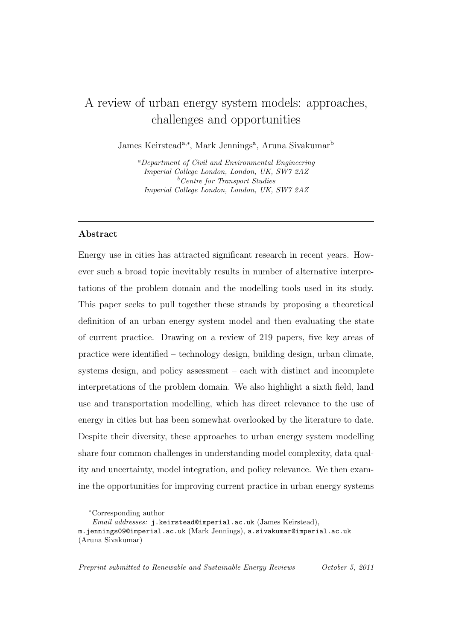# A review of urban energy system models: approaches, challenges and opportunities

James Keirstead<sup>a,∗</sup>, Mark Jennings<sup>a</sup>, Aruna Sivakumar<sup>b</sup>

<sup>a</sup>Department of Civil and Environmental Engineering Imperial College London, London, UK, SW7 2AZ  $b$  Centre for Transport Studies Imperial College London, London, UK, SW7 2AZ

# Abstract

Energy use in cities has attracted significant research in recent years. However such a broad topic inevitably results in number of alternative interpretations of the problem domain and the modelling tools used in its study. This paper seeks to pull together these strands by proposing a theoretical definition of an urban energy system model and then evaluating the state of current practice. Drawing on a review of 219 papers, five key areas of practice were identified – technology design, building design, urban climate, systems design, and policy assessment – each with distinct and incomplete interpretations of the problem domain. We also highlight a sixth field, land use and transportation modelling, which has direct relevance to the use of energy in cities but has been somewhat overlooked by the literature to date. Despite their diversity, these approaches to urban energy system modelling share four common challenges in understanding model complexity, data quality and uncertainty, model integration, and policy relevance. We then examine the opportunities for improving current practice in urban energy systems

<sup>∗</sup>Corresponding author

Email addresses: j.keirstead@imperial.ac.uk (James Keirstead),

m.jennings09@imperial.ac.uk (Mark Jennings), a.sivakumar@imperial.ac.uk (Aruna Sivakumar)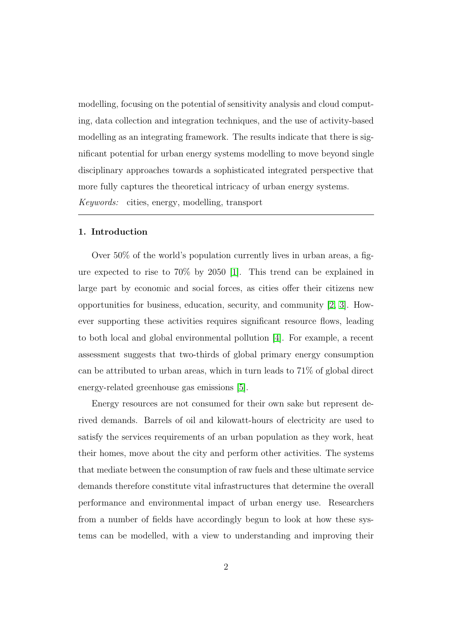modelling, focusing on the potential of sensitivity analysis and cloud computing, data collection and integration techniques, and the use of activity-based modelling as an integrating framework. The results indicate that there is significant potential for urban energy systems modelling to move beyond single disciplinary approaches towards a sophisticated integrated perspective that more fully captures the theoretical intricacy of urban energy systems. Keywords: cities, energy, modelling, transport

# 1. Introduction

Over 50% of the world's population currently lives in urban areas, a figure expected to rise to 70% by 2050 [\[1\]](#page-45-0). This trend can be explained in large part by economic and social forces, as cities offer their citizens new opportunities for business, education, security, and community [\[2,](#page-45-1) [3\]](#page-45-2). However supporting these activities requires significant resource flows, leading to both local and global environmental pollution [\[4\]](#page-46-0). For example, a recent assessment suggests that two-thirds of global primary energy consumption can be attributed to urban areas, which in turn leads to 71% of global direct energy-related greenhouse gas emissions [\[5\]](#page-46-1).

Energy resources are not consumed for their own sake but represent derived demands. Barrels of oil and kilowatt-hours of electricity are used to satisfy the services requirements of an urban population as they work, heat their homes, move about the city and perform other activities. The systems that mediate between the consumption of raw fuels and these ultimate service demands therefore constitute vital infrastructures that determine the overall performance and environmental impact of urban energy use. Researchers from a number of fields have accordingly begun to look at how these systems can be modelled, with a view to understanding and improving their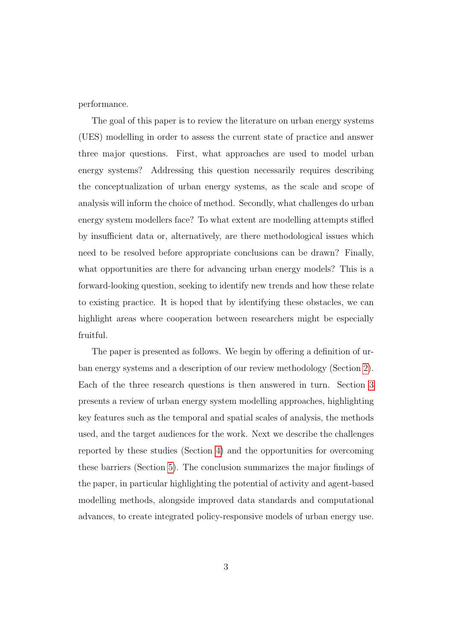performance.

The goal of this paper is to review the literature on urban energy systems (UES) modelling in order to assess the current state of practice and answer three major questions. First, what approaches are used to model urban energy systems? Addressing this question necessarily requires describing the conceptualization of urban energy systems, as the scale and scope of analysis will inform the choice of method. Secondly, what challenges do urban energy system modellers face? To what extent are modelling attempts stifled by insufficient data or, alternatively, are there methodological issues which need to be resolved before appropriate conclusions can be drawn? Finally, what opportunities are there for advancing urban energy models? This is a forward-looking question, seeking to identify new trends and how these relate to existing practice. It is hoped that by identifying these obstacles, we can highlight areas where cooperation between researchers might be especially fruitful.

The paper is presented as follows. We begin by offering a definition of urban energy systems and a description of our review methodology (Section [2\)](#page-3-0). Each of the three research questions is then answered in turn. Section [3](#page-7-0) presents a review of urban energy system modelling approaches, highlighting key features such as the temporal and spatial scales of analysis, the methods used, and the target audiences for the work. Next we describe the challenges reported by these studies (Section [4\)](#page-25-0) and the opportunities for overcoming these barriers (Section [5\)](#page-32-0). The conclusion summarizes the major findings of the paper, in particular highlighting the potential of activity and agent-based modelling methods, alongside improved data standards and computational advances, to create integrated policy-responsive models of urban energy use.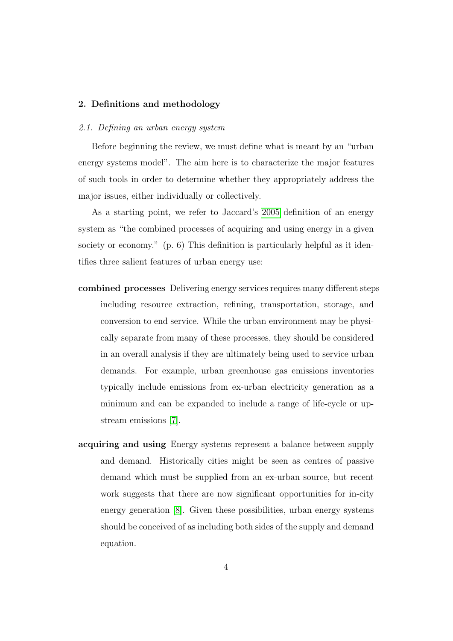# <span id="page-3-0"></span>2. Definitions and methodology

## 2.1. Defining an urban energy system

Before beginning the review, we must define what is meant by an "urban energy systems model". The aim here is to characterize the major features of such tools in order to determine whether they appropriately address the major issues, either individually or collectively.

As a starting point, we refer to Jaccard's [2005](#page-46-2) definition of an energy system as "the combined processes of acquiring and using energy in a given society or economy." (p. 6) This definition is particularly helpful as it identifies three salient features of urban energy use:

- combined processes Delivering energy services requires many different steps including resource extraction, refining, transportation, storage, and conversion to end service. While the urban environment may be physically separate from many of these processes, they should be considered in an overall analysis if they are ultimately being used to service urban demands. For example, urban greenhouse gas emissions inventories typically include emissions from ex-urban electricity generation as a minimum and can be expanded to include a range of life-cycle or upstream emissions [\[7\]](#page-46-3).
- acquiring and using Energy systems represent a balance between supply and demand. Historically cities might be seen as centres of passive demand which must be supplied from an ex-urban source, but recent work suggests that there are now significant opportunities for in-city energy generation [\[8\]](#page-46-4). Given these possibilities, urban energy systems should be conceived of as including both sides of the supply and demand equation.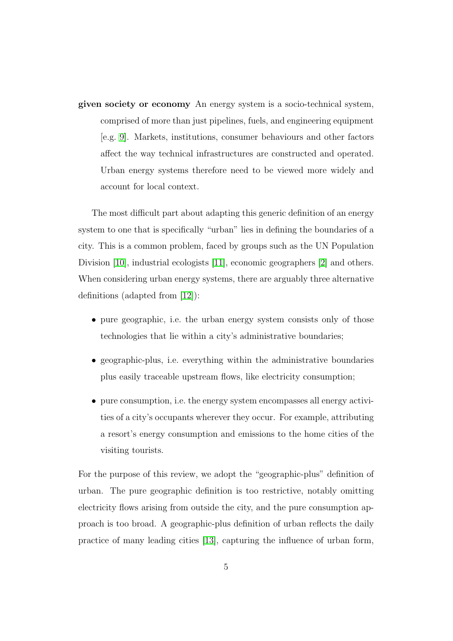given society or economy An energy system is a socio-technical system, comprised of more than just pipelines, fuels, and engineering equipment [e.g. [9\]](#page-46-5). Markets, institutions, consumer behaviours and other factors affect the way technical infrastructures are constructed and operated. Urban energy systems therefore need to be viewed more widely and account for local context.

The most difficult part about adapting this generic definition of an energy system to one that is specifically "urban" lies in defining the boundaries of a city. This is a common problem, faced by groups such as the UN Population Division [\[10\]](#page-46-6), industrial ecologists [\[11\]](#page-47-0), economic geographers [\[2\]](#page-45-1) and others. When considering urban energy systems, there are arguably three alternative definitions (adapted from [\[12\]](#page-47-1)):

- pure geographic, i.e. the urban energy system consists only of those technologies that lie within a city's administrative boundaries;
- geographic-plus, i.e. everything within the administrative boundaries plus easily traceable upstream flows, like electricity consumption;
- pure consumption, i.e. the energy system encompasses all energy activities of a city's occupants wherever they occur. For example, attributing a resort's energy consumption and emissions to the home cities of the visiting tourists.

For the purpose of this review, we adopt the "geographic-plus" definition of urban. The pure geographic definition is too restrictive, notably omitting electricity flows arising from outside the city, and the pure consumption approach is too broad. A geographic-plus definition of urban reflects the daily practice of many leading cities [\[13\]](#page-47-2), capturing the influence of urban form,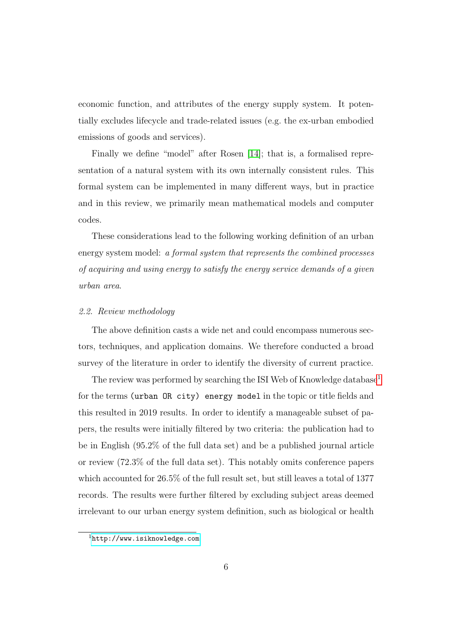economic function, and attributes of the energy supply system. It potentially excludes lifecycle and trade-related issues (e.g. the ex-urban embodied emissions of goods and services).

Finally we define "model" after Rosen [\[14\]](#page-47-3); that is, a formalised representation of a natural system with its own internally consistent rules. This formal system can be implemented in many different ways, but in practice and in this review, we primarily mean mathematical models and computer codes.

These considerations lead to the following working definition of an urban energy system model: a formal system that represents the combined processes of acquiring and using energy to satisfy the energy service demands of a given urban area.

# 2.2. Review methodology

The above definition casts a wide net and could encompass numerous sectors, techniques, and application domains. We therefore conducted a broad survey of the literature in order to identify the diversity of current practice.

The review was performed by searching the ISI Web of Knowledge database<sup>[1](#page-5-0)</sup> for the terms (urban OR city) energy model in the topic or title fields and this resulted in 2019 results. In order to identify a manageable subset of papers, the results were initially filtered by two criteria: the publication had to be in English (95.2% of the full data set) and be a published journal article or review (72.3% of the full data set). This notably omits conference papers which accounted for 26.5% of the full result set, but still leaves a total of 1377 records. The results were further filtered by excluding subject areas deemed irrelevant to our urban energy system definition, such as biological or health

<span id="page-5-0"></span> $1$ <http://www.isiknowledge.com>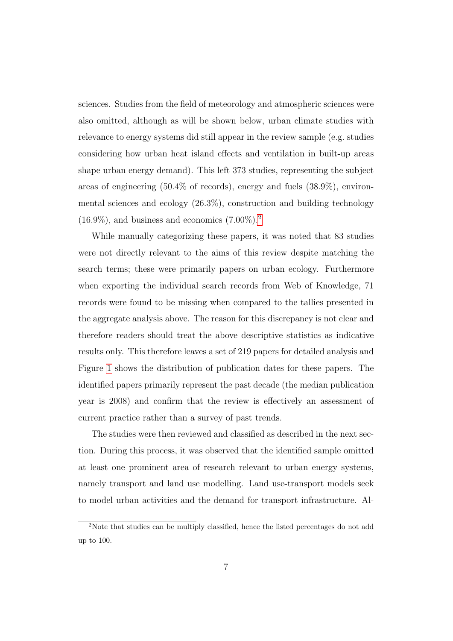sciences. Studies from the field of meteorology and atmospheric sciences were also omitted, although as will be shown below, urban climate studies with relevance to energy systems did still appear in the review sample (e.g. studies considering how urban heat island effects and ventilation in built-up areas shape urban energy demand). This left 373 studies, representing the subject areas of engineering (50.4% of records), energy and fuels (38.9%), environmental sciences and ecology (26.3%), construction and building technology  $(16.9\%)$ , and business and economics  $(7.00\%)$ .<sup>[2](#page-6-0)</sup>

While manually categorizing these papers, it was noted that 83 studies were not directly relevant to the aims of this review despite matching the search terms; these were primarily papers on urban ecology. Furthermore when exporting the individual search records from Web of Knowledge, 71 records were found to be missing when compared to the tallies presented in the aggregate analysis above. The reason for this discrepancy is not clear and therefore readers should treat the above descriptive statistics as indicative results only. This therefore leaves a set of 219 papers for detailed analysis and Figure [1](#page-7-1) shows the distribution of publication dates for these papers. The identified papers primarily represent the past decade (the median publication year is 2008) and confirm that the review is effectively an assessment of current practice rather than a survey of past trends.

The studies were then reviewed and classified as described in the next section. During this process, it was observed that the identified sample omitted at least one prominent area of research relevant to urban energy systems, namely transport and land use modelling. Land use-transport models seek to model urban activities and the demand for transport infrastructure. Al-

<span id="page-6-0"></span><sup>2</sup>Note that studies can be multiply classified, hence the listed percentages do not add up to 100.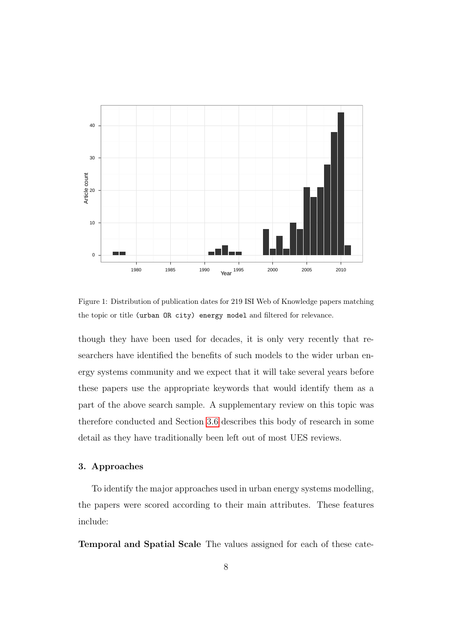

<span id="page-7-1"></span>Figure 1: Distribution of publication dates for 219 ISI Web of Knowledge papers matching the topic or title (urban OR city) energy model and filtered for relevance.

though they have been used for decades, it is only very recently that researchers have identified the benefits of such models to the wider urban energy systems community and we expect that it will take several years before these papers use the appropriate keywords that would identify them as a part of the above search sample. A supplementary review on this topic was therefore conducted and Section [3.6](#page-17-0) describes this body of research in some detail as they have traditionally been left out of most UES reviews.

# <span id="page-7-0"></span>3. Approaches

To identify the major approaches used in urban energy systems modelling, the papers were scored according to their main attributes. These features include:

Temporal and Spatial Scale The values assigned for each of these cate-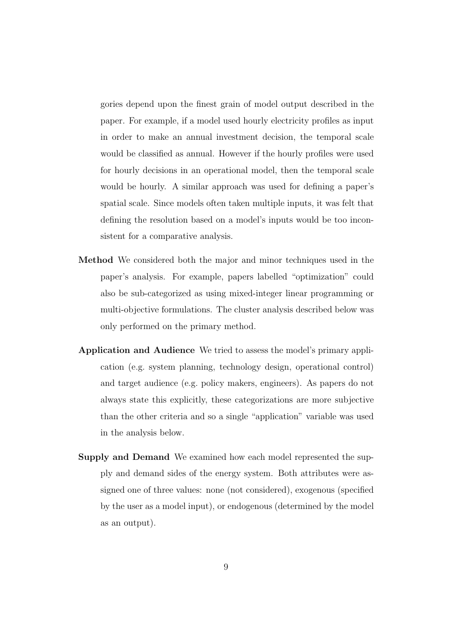gories depend upon the finest grain of model output described in the paper. For example, if a model used hourly electricity profiles as input in order to make an annual investment decision, the temporal scale would be classified as annual. However if the hourly profiles were used for hourly decisions in an operational model, then the temporal scale would be hourly. A similar approach was used for defining a paper's spatial scale. Since models often taken multiple inputs, it was felt that defining the resolution based on a model's inputs would be too inconsistent for a comparative analysis.

- Method We considered both the major and minor techniques used in the paper's analysis. For example, papers labelled "optimization" could also be sub-categorized as using mixed-integer linear programming or multi-objective formulations. The cluster analysis described below was only performed on the primary method.
- Application and Audience We tried to assess the model's primary application (e.g. system planning, technology design, operational control) and target audience (e.g. policy makers, engineers). As papers do not always state this explicitly, these categorizations are more subjective than the other criteria and so a single "application" variable was used in the analysis below.
- Supply and Demand We examined how each model represented the supply and demand sides of the energy system. Both attributes were assigned one of three values: none (not considered), exogenous (specified by the user as a model input), or endogenous (determined by the model as an output).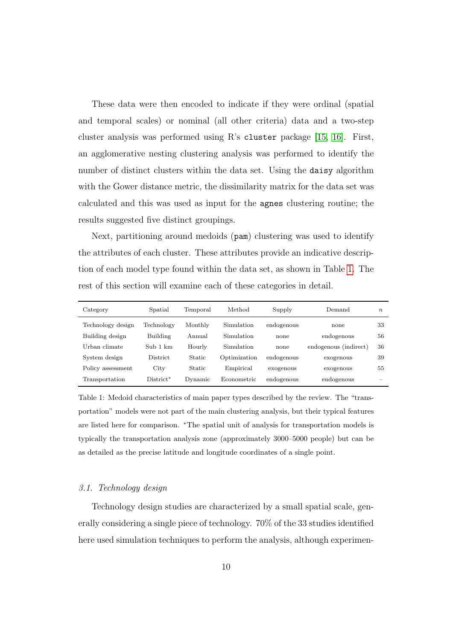These data were then encoded to indicate if they were ordinal (spatial and temporal scales) or nominal (all other criteria) data and a two-step cluster analysis was performed using R's cluster package [\[15,](#page-47-4) [16\]](#page-47-5). First, an agglomerative nesting clustering analysis was performed to identify the number of distinct clusters within the data set. Using the daisy algorithm with the Gower distance metric, the dissimilarity matrix for the data set was calculated and this was used as input for the agnes clustering routine; the results suggested five distinct groupings.

Next, partitioning around medoids (pam) clustering was used to identify the attributes of each cluster. These attributes provide an indicative description of each model type found within the data set, as shown in Table [1.](#page-9-0) The rest of this section will examine each of these categories in detail.

| Category          | Spatial     | Temporal | Method       | Supply     | Demand                | $\boldsymbol{n}$         |
|-------------------|-------------|----------|--------------|------------|-----------------------|--------------------------|
| Technology design | Technology  | Monthly  | Simulation   | endogenous | none                  | 33                       |
| Building design   | Building    | Annual   | Simulation   | none       | endogenous            | 56                       |
| Urban climate     | Sub 1 km    | Hourly   | Simulation   | none       | endogenous (indirect) | 36                       |
| System design     | District    | Static   | Optimization | endogenous | exogenous             | 39                       |
| Policy assessment | City        | Static   | Empirical    | exogenous  | exogenous             | 55                       |
| Transportation    | $District*$ | Dynamic  | Econometric  | endogenous | endogenous            | $\overline{\phantom{0}}$ |

<span id="page-9-0"></span>Table 1: Medoid characteristics of main paper types described by the review. The "transportation" models were not part of the main clustering analysis, but their typical features are listed here for comparison. <sup>∗</sup>The spatial unit of analysis for transportation models is typically the transportation analysis zone (approximately 3000–5000 people) but can be as detailed as the precise latitude and longitude coordinates of a single point.

# 3.1. Technology design

Technology design studies are characterized by a small spatial scale, generally considering a single piece of technology. 70% of the 33 studies identified here used simulation techniques to perform the analysis, although experimen-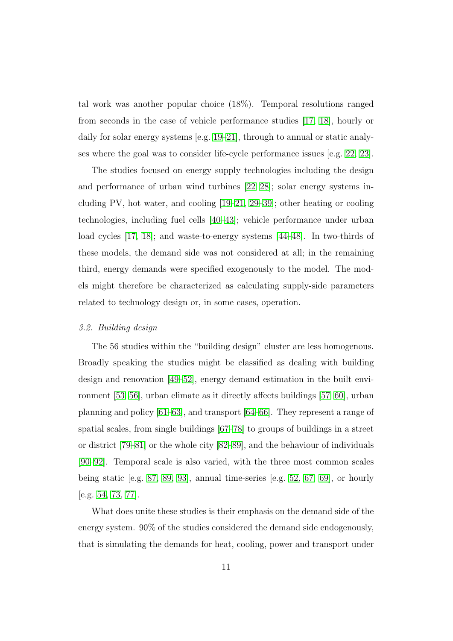tal work was another popular choice (18%). Temporal resolutions ranged from seconds in the case of vehicle performance studies [\[17,](#page-47-6) [18\]](#page-47-7), hourly or daily for solar energy systems [e.g. [19–](#page-48-0)[21\]](#page-48-1), through to annual or static analyses where the goal was to consider life-cycle performance issues [e.g. [22,](#page-48-2) [23\]](#page-48-3).

The studies focused on energy supply technologies including the design and performance of urban wind turbines [\[22–](#page-48-2)[28\]](#page-49-0); solar energy systems including PV, hot water, and cooling [\[19–](#page-48-0)[21,](#page-48-1) [29–](#page-50-0)[39\]](#page-52-0); other heating or cooling technologies, including fuel cells [\[40–](#page-52-1)[43\]](#page-52-2); vehicle performance under urban load cycles [\[17,](#page-47-6) [18\]](#page-47-7); and waste-to-energy systems [\[44–](#page-53-0)[48\]](#page-53-1). In two-thirds of these models, the demand side was not considered at all; in the remaining third, energy demands were specified exogenously to the model. The models might therefore be characterized as calculating supply-side parameters related to technology design or, in some cases, operation.

# 3.2. Building design

The 56 studies within the "building design" cluster are less homogenous. Broadly speaking the studies might be classified as dealing with building design and renovation [\[49–](#page-54-0)[52\]](#page-54-1), energy demand estimation in the built environment [\[53–](#page-54-2)[56\]](#page-55-0), urban climate as it directly affects buildings [\[57–](#page-55-1)[60\]](#page-56-0), urban planning and policy [\[61](#page-56-1)[–63\]](#page-57-0), and transport [\[64–](#page-57-1)[66\]](#page-57-2). They represent a range of spatial scales, from single buildings [\[67–](#page-57-3)[78\]](#page-60-0) to groups of buildings in a street or district [\[79–](#page-60-1)[81\]](#page-60-2) or the whole city [\[82](#page-60-3)[–89\]](#page-62-0), and the behaviour of individuals [\[90–](#page-62-1)[92\]](#page-62-2). Temporal scale is also varied, with the three most common scales being static [e.g. [87,](#page-61-0) [89,](#page-62-0) [93\]](#page-62-3), annual time-series [e.g. [52,](#page-54-1) [67,](#page-57-3) [69\]](#page-58-0), or hourly [e.g. [54,](#page-55-2) [73,](#page-59-0) [77\]](#page-59-1).

What does unite these studies is their emphasis on the demand side of the energy system. 90% of the studies considered the demand side endogenously, that is simulating the demands for heat, cooling, power and transport under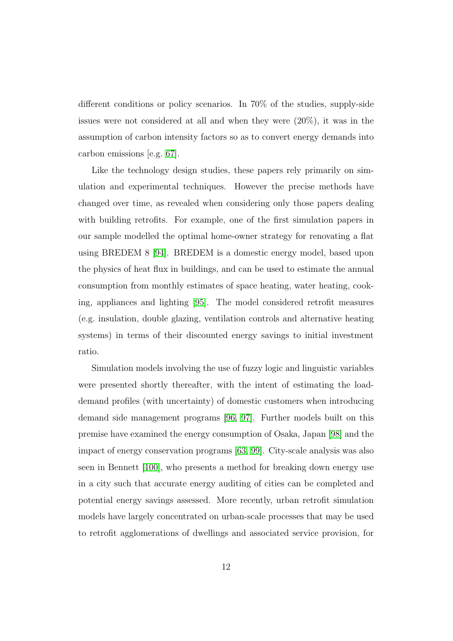different conditions or policy scenarios. In 70% of the studies, supply-side issues were not considered at all and when they were (20%), it was in the assumption of carbon intensity factors so as to convert energy demands into carbon emissions [e.g. [67\]](#page-57-3).

Like the technology design studies, these papers rely primarily on simulation and experimental techniques. However the precise methods have changed over time, as revealed when considering only those papers dealing with building retrofits. For example, one of the first simulation papers in our sample modelled the optimal home-owner strategy for renovating a flat using BREDEM 8 [\[94\]](#page-63-0). BREDEM is a domestic energy model, based upon the physics of heat flux in buildings, and can be used to estimate the annual consumption from monthly estimates of space heating, water heating, cooking, appliances and lighting [\[95\]](#page-63-1). The model considered retrofit measures (e.g. insulation, double glazing, ventilation controls and alternative heating systems) in terms of their discounted energy savings to initial investment ratio.

Simulation models involving the use of fuzzy logic and linguistic variables were presented shortly thereafter, with the intent of estimating the loaddemand profiles (with uncertainty) of domestic customers when introducing demand side management programs [\[96,](#page-63-2) [97\]](#page-63-3). Further models built on this premise have examined the energy consumption of Osaka, Japan [\[98\]](#page-63-4) and the impact of energy conservation programs [\[63,](#page-57-0) [99\]](#page-63-5). City-scale analysis was also seen in Bennett [\[100\]](#page-64-0), who presents a method for breaking down energy use in a city such that accurate energy auditing of cities can be completed and potential energy savings assessed. More recently, urban retrofit simulation models have largely concentrated on urban-scale processes that may be used to retrofit agglomerations of dwellings and associated service provision, for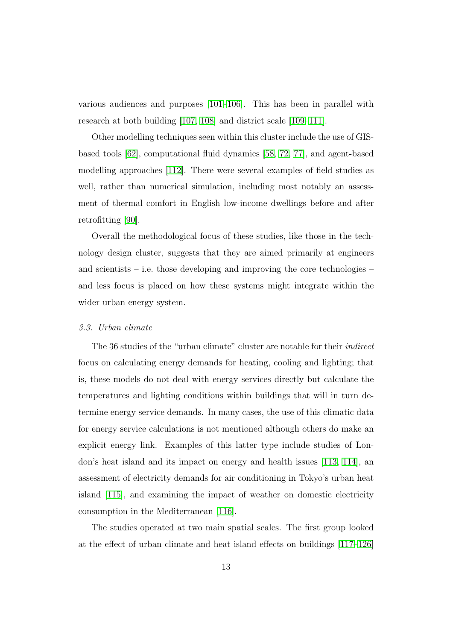various audiences and purposes [\[101–](#page-64-1)[106\]](#page-65-0). This has been in parallel with research at both building [\[107,](#page-65-1) [108\]](#page-65-2) and district scale [\[109](#page-65-3)[–111\]](#page-66-0).

Other modelling techniques seen within this cluster include the use of GISbased tools [\[62\]](#page-56-2), computational fluid dynamics [\[58,](#page-55-3) [72,](#page-58-1) [77\]](#page-59-1), and agent-based modelling approaches [\[112\]](#page-66-1). There were several examples of field studies as well, rather than numerical simulation, including most notably an assessment of thermal comfort in English low-income dwellings before and after retrofitting [\[90\]](#page-62-1).

Overall the methodological focus of these studies, like those in the technology design cluster, suggests that they are aimed primarily at engineers and scientists – i.e. those developing and improving the core technologies – and less focus is placed on how these systems might integrate within the wider urban energy system.

## 3.3. Urban climate

The 36 studies of the "urban climate" cluster are notable for their indirect focus on calculating energy demands for heating, cooling and lighting; that is, these models do not deal with energy services directly but calculate the temperatures and lighting conditions within buildings that will in turn determine energy service demands. In many cases, the use of this climatic data for energy service calculations is not mentioned although others do make an explicit energy link. Examples of this latter type include studies of London's heat island and its impact on energy and health issues [\[113,](#page-66-2) [114\]](#page-67-0), an assessment of electricity demands for air conditioning in Tokyo's urban heat island [\[115\]](#page-67-1), and examining the impact of weather on domestic electricity consumption in the Mediterranean [\[116\]](#page-67-2).

The studies operated at two main spatial scales. The first group looked at the effect of urban climate and heat island effects on buildings [\[117–](#page-67-3)[126\]](#page-69-0)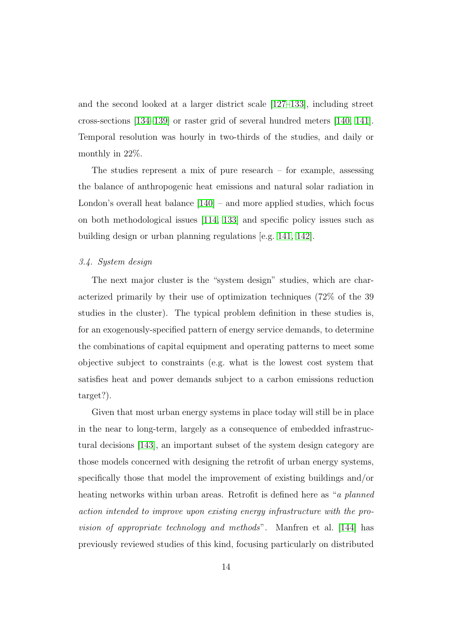and the second looked at a larger district scale [\[127–](#page-69-1)[133\]](#page-70-0), including street cross-sections [\[134–](#page-71-0)[139\]](#page-72-0) or raster grid of several hundred meters [\[140,](#page-72-1) [141\]](#page-72-2). Temporal resolution was hourly in two-thirds of the studies, and daily or monthly in 22%.

The studies represent a mix of pure research – for example, assessing the balance of anthropogenic heat emissions and natural solar radiation in London's overall heat balance  $[140]$  – and more applied studies, which focus on both methodological issues [\[114,](#page-67-0) [133\]](#page-70-0) and specific policy issues such as building design or urban planning regulations [e.g. [141,](#page-72-2) [142\]](#page-72-3).

# 3.4. System design

The next major cluster is the "system design" studies, which are characterized primarily by their use of optimization techniques (72% of the 39 studies in the cluster). The typical problem definition in these studies is, for an exogenously-specified pattern of energy service demands, to determine the combinations of capital equipment and operating patterns to meet some objective subject to constraints (e.g. what is the lowest cost system that satisfies heat and power demands subject to a carbon emissions reduction target?).

Given that most urban energy systems in place today will still be in place in the near to long-term, largely as a consequence of embedded infrastructural decisions [\[143\]](#page-73-0), an important subset of the system design category are those models concerned with designing the retrofit of urban energy systems, specifically those that model the improvement of existing buildings and/or heating networks within urban areas. Retrofit is defined here as "a planned" action intended to improve upon existing energy infrastructure with the provision of appropriate technology and methods". Manfren et al. [\[144\]](#page-73-1) has previously reviewed studies of this kind, focusing particularly on distributed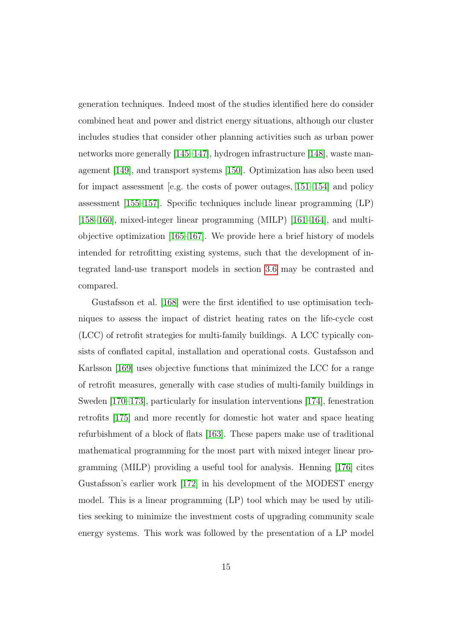generation techniques. Indeed most of the studies identified here do consider combined heat and power and district energy situations, although our cluster includes studies that consider other planning activities such as urban power networks more generally [\[145–](#page-73-2)[147\]](#page-73-3), hydrogen infrastructure [\[148\]](#page-73-4), waste management [\[149\]](#page-74-0), and transport systems [\[150\]](#page-74-1). Optimization has also been used for impact assessment [e.g. the costs of power outages, [151–](#page-74-2)[154\]](#page-75-0) and policy assessment [\[155](#page-75-1)[–157\]](#page-75-2). Specific techniques include linear programming (LP) [\[158–](#page-75-3)[160\]](#page-76-0), mixed-integer linear programming (MILP) [\[161–](#page-76-1)[164\]](#page-77-0), and multiobjective optimization [\[165–](#page-77-1)[167\]](#page-77-2). We provide here a brief history of models intended for retrofitting existing systems, such that the development of integrated land-use transport models in section [3.6](#page-17-0) may be contrasted and compared.

Gustafsson et al. [\[168\]](#page-77-3) were the first identified to use optimisation techniques to assess the impact of district heating rates on the life-cycle cost (LCC) of retrofit strategies for multi-family buildings. A LCC typically consists of conflated capital, installation and operational costs. Gustafsson and Karlsson [\[169\]](#page-78-0) uses objective functions that minimized the LCC for a range of retrofit measures, generally with case studies of multi-family buildings in Sweden [\[170–](#page-78-1)[173\]](#page-78-2), particularly for insulation interventions [\[174\]](#page-78-3), fenestration retrofits [\[175\]](#page-79-0) and more recently for domestic hot water and space heating refurbishment of a block of flats [\[163\]](#page-76-2). These papers make use of traditional mathematical programming for the most part with mixed integer linear programming (MILP) providing a useful tool for analysis. Henning [\[176\]](#page-79-1) cites Gustafsson's earlier work [\[172\]](#page-78-4) in his development of the MODEST energy model. This is a linear programming (LP) tool which may be used by utilities seeking to minimize the investment costs of upgrading community scale energy systems. This work was followed by the presentation of a LP model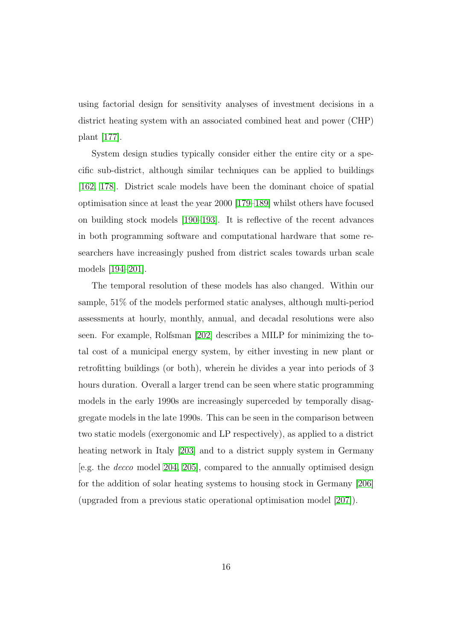using factorial design for sensitivity analyses of investment decisions in a district heating system with an associated combined heat and power (CHP) plant [\[177\]](#page-79-2).

System design studies typically consider either the entire city or a specific sub-district, although similar techniques can be applied to buildings [\[162,](#page-76-3) [178\]](#page-79-3). District scale models have been the dominant choice of spatial optimisation since at least the year 2000 [\[179](#page-79-4)[–189\]](#page-81-0) whilst others have focused on building stock models [\[190](#page-82-0)[–193\]](#page-82-1). It is reflective of the recent advances in both programming software and computational hardware that some researchers have increasingly pushed from district scales towards urban scale models [\[194–](#page-82-2)[201\]](#page-84-0).

The temporal resolution of these models has also changed. Within our sample, 51% of the models performed static analyses, although multi-period assessments at hourly, monthly, annual, and decadal resolutions were also seen. For example, Rolfsman [\[202\]](#page-84-1) describes a MILP for minimizing the total cost of a municipal energy system, by either investing in new plant or retrofitting buildings (or both), wherein he divides a year into periods of 3 hours duration. Overall a larger trend can be seen where static programming models in the early 1990s are increasingly superceded by temporally disaggregate models in the late 1990s. This can be seen in the comparison between two static models (exergonomic and LP respectively), as applied to a district heating network in Italy [\[203\]](#page-84-2) and to a district supply system in Germany [e.g. the decco model [204,](#page-84-3) [205\]](#page-85-0), compared to the annually optimised design for the addition of solar heating systems to housing stock in Germany [\[206\]](#page-85-1) (upgraded from a previous static operational optimisation model [\[207\]](#page-85-2)).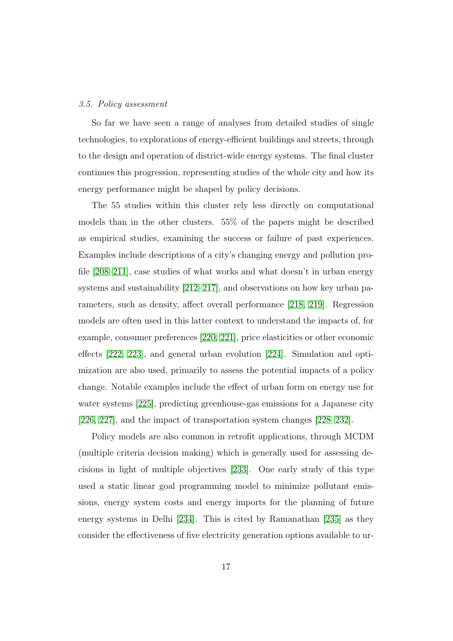#### 3.5. Policy assessment

So far we have seen a range of analyses from detailed studies of single technologies, to explorations of energy-efficient buildings and streets, through to the design and operation of district-wide energy systems. The final cluster continues this progression, representing studies of the whole city and how its energy performance might be shaped by policy decisions.

The 55 studies within this cluster rely less directly on computational models than in the other clusters. 55% of the papers might be described as empirical studies, examining the success or failure of past experiences. Examples include descriptions of a city's changing energy and pollution profile [\[208–](#page-85-3)[211\]](#page-86-0), case studies of what works and what doesn't in urban energy systems and sustainability [\[212](#page-86-1)[–217\]](#page-87-0), and observations on how key urban parameters, such as density, affect overall performance [\[218,](#page-87-1) [219\]](#page-87-2). Regression models are often used in this latter context to understand the impacts of, for example, consumer preferences [\[220,](#page-88-0) [221\]](#page-88-1), price elasticities or other economic effects [\[222,](#page-88-2) [223\]](#page-88-3), and general urban evolution [\[224\]](#page-88-4). Simulation and optimization are also used, primarily to assess the potential impacts of a policy change. Notable examples include the effect of urban form on energy use for water systems [\[225\]](#page-89-0), predicting greenhouse-gas emissions for a Japanese city [\[226,](#page-89-1) [227\]](#page-89-2), and the impact of transportation system changes [\[228–](#page-89-3)[232\]](#page-90-0).

Policy models are also common in retrofit applications, through MCDM (multiple criteria decision making) which is generally used for assessing decisions in light of multiple objectives [\[233\]](#page-90-1). One early study of this type used a static linear goal programming model to minimize pollutant emissions, energy system costs and energy imports for the planning of future energy systems in Delhi [\[234\]](#page-90-2). This is cited by Ramanathan [\[235\]](#page-91-0) as they consider the effectiveness of five electricity generation options available to ur-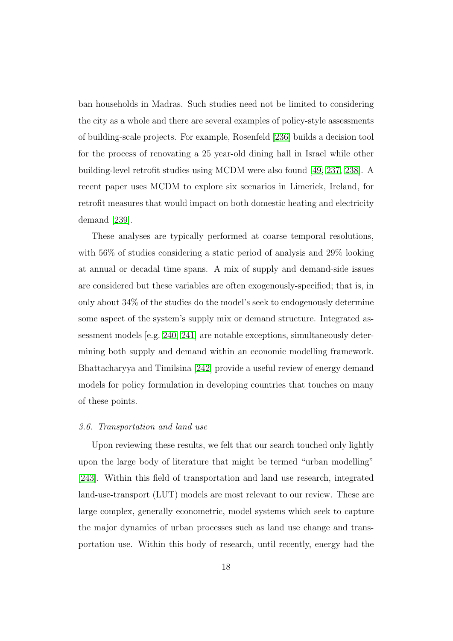ban households in Madras. Such studies need not be limited to considering the city as a whole and there are several examples of policy-style assessments of building-scale projects. For example, Rosenfeld [\[236\]](#page-91-1) builds a decision tool for the process of renovating a 25 year-old dining hall in Israel while other building-level retrofit studies using MCDM were also found [\[49,](#page-54-0) [237,](#page-91-2) [238\]](#page-91-3). A recent paper uses MCDM to explore six scenarios in Limerick, Ireland, for retrofit measures that would impact on both domestic heating and electricity demand [\[239\]](#page-91-4).

These analyses are typically performed at coarse temporal resolutions, with 56% of studies considering a static period of analysis and 29% looking at annual or decadal time spans. A mix of supply and demand-side issues are considered but these variables are often exogenously-specified; that is, in only about 34% of the studies do the model's seek to endogenously determine some aspect of the system's supply mix or demand structure. Integrated assessment models [e.g. [240,](#page-92-0) [241\]](#page-92-1) are notable exceptions, simultaneously determining both supply and demand within an economic modelling framework. Bhattacharyya and Timilsina [\[242\]](#page-92-2) provide a useful review of energy demand models for policy formulation in developing countries that touches on many of these points.

## <span id="page-17-0"></span>3.6. Transportation and land use

Upon reviewing these results, we felt that our search touched only lightly upon the large body of literature that might be termed "urban modelling" [\[243\]](#page-92-3). Within this field of transportation and land use research, integrated land-use-transport (LUT) models are most relevant to our review. These are large complex, generally econometric, model systems which seek to capture the major dynamics of urban processes such as land use change and transportation use. Within this body of research, until recently, energy had the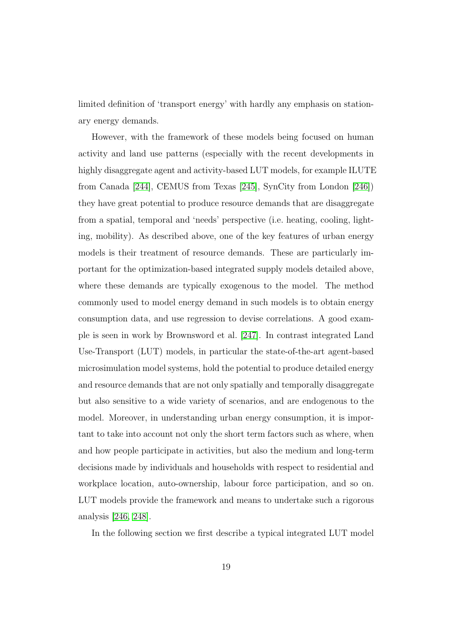limited definition of 'transport energy' with hardly any emphasis on stationary energy demands.

However, with the framework of these models being focused on human activity and land use patterns (especially with the recent developments in highly disaggregate agent and activity-based LUT models, for example ILUTE from Canada [\[244\]](#page-92-4), CEMUS from Texas [\[245\]](#page-93-0), SynCity from London [\[246\]](#page-93-1)) they have great potential to produce resource demands that are disaggregate from a spatial, temporal and 'needs' perspective (i.e. heating, cooling, lighting, mobility). As described above, one of the key features of urban energy models is their treatment of resource demands. These are particularly important for the optimization-based integrated supply models detailed above, where these demands are typically exogenous to the model. The method commonly used to model energy demand in such models is to obtain energy consumption data, and use regression to devise correlations. A good example is seen in work by Brownsword et al. [\[247\]](#page-93-2). In contrast integrated Land Use-Transport (LUT) models, in particular the state-of-the-art agent-based microsimulation model systems, hold the potential to produce detailed energy and resource demands that are not only spatially and temporally disaggregate but also sensitive to a wide variety of scenarios, and are endogenous to the model. Moreover, in understanding urban energy consumption, it is important to take into account not only the short term factors such as where, when and how people participate in activities, but also the medium and long-term decisions made by individuals and households with respect to residential and workplace location, auto-ownership, labour force participation, and so on. LUT models provide the framework and means to undertake such a rigorous analysis [\[246,](#page-93-1) [248\]](#page-93-3).

In the following section we first describe a typical integrated LUT model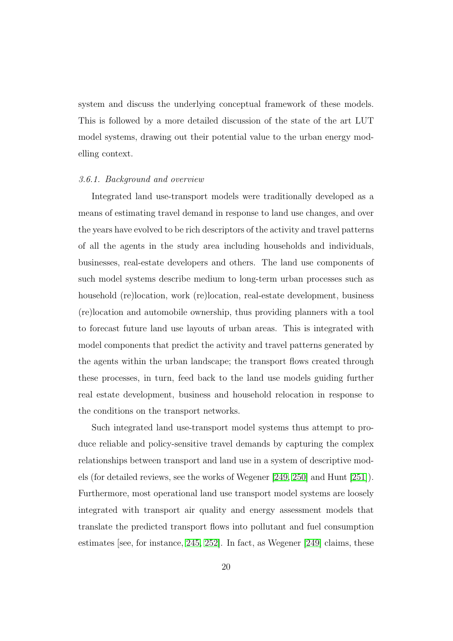system and discuss the underlying conceptual framework of these models. This is followed by a more detailed discussion of the state of the art LUT model systems, drawing out their potential value to the urban energy modelling context.

#### 3.6.1. Background and overview

Integrated land use-transport models were traditionally developed as a means of estimating travel demand in response to land use changes, and over the years have evolved to be rich descriptors of the activity and travel patterns of all the agents in the study area including households and individuals, businesses, real-estate developers and others. The land use components of such model systems describe medium to long-term urban processes such as household (re)location, work (re)location, real-estate development, business (re)location and automobile ownership, thus providing planners with a tool to forecast future land use layouts of urban areas. This is integrated with model components that predict the activity and travel patterns generated by the agents within the urban landscape; the transport flows created through these processes, in turn, feed back to the land use models guiding further real estate development, business and household relocation in response to the conditions on the transport networks.

Such integrated land use-transport model systems thus attempt to produce reliable and policy-sensitive travel demands by capturing the complex relationships between transport and land use in a system of descriptive models (for detailed reviews, see the works of Wegener [\[249,](#page-93-4) [250\]](#page-94-0) and Hunt [\[251\]](#page-94-1)). Furthermore, most operational land use transport model systems are loosely integrated with transport air quality and energy assessment models that translate the predicted transport flows into pollutant and fuel consumption estimates [see, for instance, [245,](#page-93-0) [252\]](#page-94-2). In fact, as Wegener [\[249\]](#page-93-4) claims, these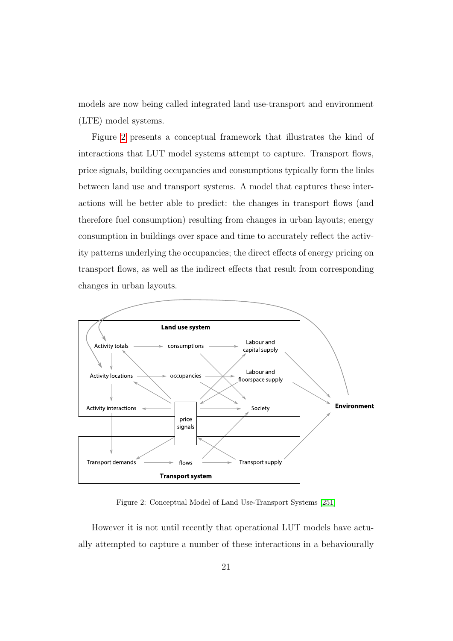models are now being called integrated land use-transport and environment (LTE) model systems.

Figure [2](#page-20-0) presents a conceptual framework that illustrates the kind of interactions that LUT model systems attempt to capture. Transport flows, price signals, building occupancies and consumptions typically form the links between land use and transport systems. A model that captures these interactions will be better able to predict: the changes in transport flows (and therefore fuel consumption) resulting from changes in urban layouts; energy consumption in buildings over space and time to accurately reflect the activity patterns underlying the occupancies; the direct effects of energy pricing on transport flows, as well as the indirect effects that result from corresponding changes in urban layouts.



<span id="page-20-0"></span>Figure 2: Conceptual Model of Land Use-Transport Systems [\[251\]](#page-94-1)

However it is not until recently that operational LUT models have actually attempted to capture a number of these interactions in a behaviourally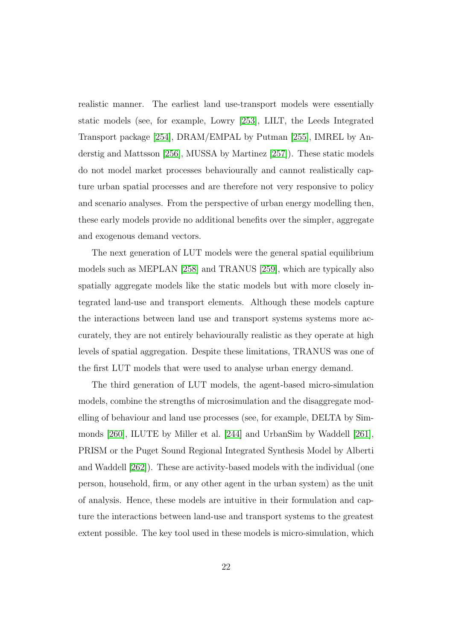realistic manner. The earliest land use-transport models were essentially static models (see, for example, Lowry [\[253\]](#page-94-3), LILT, the Leeds Integrated Transport package [\[254\]](#page-94-4), DRAM/EMPAL by Putman [\[255\]](#page-94-5), IMREL by Anderstig and Mattsson [\[256\]](#page-94-6), MUSSA by Martinez [\[257\]](#page-95-0)). These static models do not model market processes behaviourally and cannot realistically capture urban spatial processes and are therefore not very responsive to policy and scenario analyses. From the perspective of urban energy modelling then, these early models provide no additional benefits over the simpler, aggregate and exogenous demand vectors.

The next generation of LUT models were the general spatial equilibrium models such as MEPLAN [\[258\]](#page-95-1) and TRANUS [\[259\]](#page-95-2), which are typically also spatially aggregate models like the static models but with more closely integrated land-use and transport elements. Although these models capture the interactions between land use and transport systems systems more accurately, they are not entirely behaviourally realistic as they operate at high levels of spatial aggregation. Despite these limitations, TRANUS was one of the first LUT models that were used to analyse urban energy demand.

The third generation of LUT models, the agent-based micro-simulation models, combine the strengths of microsimulation and the disaggregate modelling of behaviour and land use processes (see, for example, DELTA by Simmonds [\[260\]](#page-95-3), ILUTE by Miller et al. [\[244\]](#page-92-4) and UrbanSim by Waddell [\[261\]](#page-95-4), PRISM or the Puget Sound Regional Integrated Synthesis Model by Alberti and Waddell [\[262\]](#page-95-5)). These are activity-based models with the individual (one person, household, firm, or any other agent in the urban system) as the unit of analysis. Hence, these models are intuitive in their formulation and capture the interactions between land-use and transport systems to the greatest extent possible. The key tool used in these models is micro-simulation, which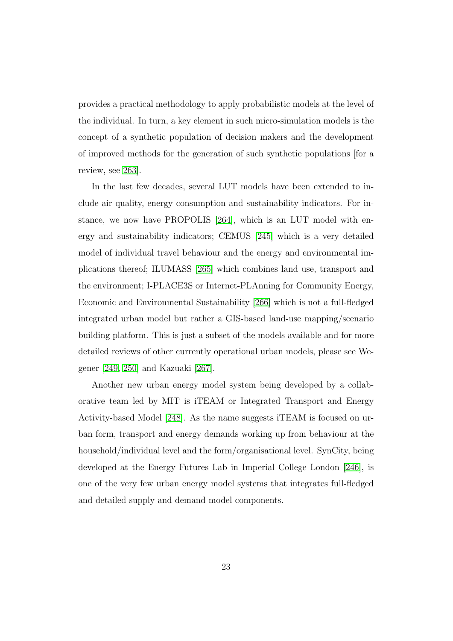provides a practical methodology to apply probabilistic models at the level of the individual. In turn, a key element in such micro-simulation models is the concept of a synthetic population of decision makers and the development of improved methods for the generation of such synthetic populations [for a review, see [263\]](#page-95-6).

In the last few decades, several LUT models have been extended to include air quality, energy consumption and sustainability indicators. For instance, we now have PROPOLIS [\[264\]](#page-96-0), which is an LUT model with energy and sustainability indicators; CEMUS [\[245\]](#page-93-0) which is a very detailed model of individual travel behaviour and the energy and environmental implications thereof; ILUMASS [\[265\]](#page-96-1) which combines land use, transport and the environment; I-PLACE3S or Internet-PLAnning for Community Energy, Economic and Environmental Sustainability [\[266\]](#page-96-2) which is not a full-fledged integrated urban model but rather a GIS-based land-use mapping/scenario building platform. This is just a subset of the models available and for more detailed reviews of other currently operational urban models, please see Wegener [\[249,](#page-93-4) [250\]](#page-94-0) and Kazuaki [\[267\]](#page-96-3).

Another new urban energy model system being developed by a collaborative team led by MIT is iTEAM or Integrated Transport and Energy Activity-based Model [\[248\]](#page-93-3). As the name suggests iTEAM is focused on urban form, transport and energy demands working up from behaviour at the household/individual level and the form/organisational level. SynCity, being developed at the Energy Futures Lab in Imperial College London [\[246\]](#page-93-1), is one of the very few urban energy model systems that integrates full-fledged and detailed supply and demand model components.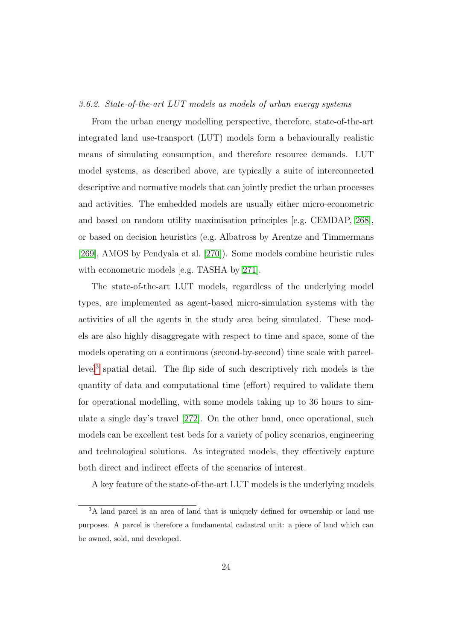## 3.6.2. State-of-the-art LUT models as models of urban energy systems

From the urban energy modelling perspective, therefore, state-of-the-art integrated land use-transport (LUT) models form a behaviourally realistic means of simulating consumption, and therefore resource demands. LUT model systems, as described above, are typically a suite of interconnected descriptive and normative models that can jointly predict the urban processes and activities. The embedded models are usually either micro-econometric and based on random utility maximisation principles [e.g. CEMDAP, [268\]](#page-96-4), or based on decision heuristics (e.g. Albatross by Arentze and Timmermans [\[269\]](#page-96-5), AMOS by Pendyala et al. [\[270\]](#page-97-0)). Some models combine heuristic rules with econometric models [e.g. TASHA by [271\]](#page-97-1).

The state-of-the-art LUT models, regardless of the underlying model types, are implemented as agent-based micro-simulation systems with the activities of all the agents in the study area being simulated. These models are also highly disaggregate with respect to time and space, some of the models operating on a continuous (second-by-second) time scale with parcel-level<sup>[3](#page-23-0)</sup> spatial detail. The flip side of such descriptively rich models is the quantity of data and computational time (effort) required to validate them for operational modelling, with some models taking up to 36 hours to simulate a single day's travel [\[272\]](#page-97-2). On the other hand, once operational, such models can be excellent test beds for a variety of policy scenarios, engineering and technological solutions. As integrated models, they effectively capture both direct and indirect effects of the scenarios of interest.

A key feature of the state-of-the-art LUT models is the underlying models

<span id="page-23-0"></span><sup>3</sup>A land parcel is an area of land that is uniquely defined for ownership or land use purposes. A parcel is therefore a fundamental cadastral unit: a piece of land which can be owned, sold, and developed.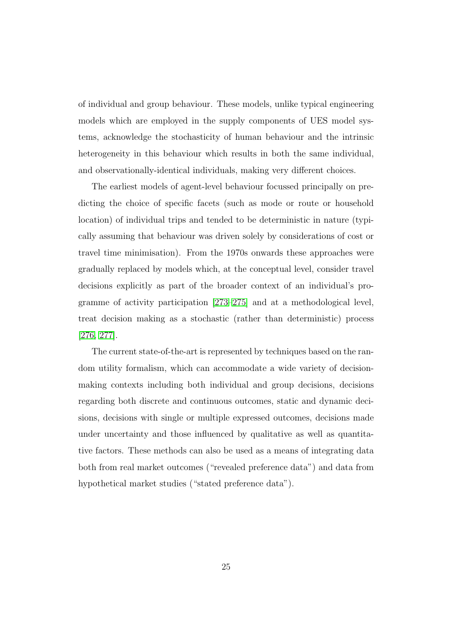of individual and group behaviour. These models, unlike typical engineering models which are employed in the supply components of UES model systems, acknowledge the stochasticity of human behaviour and the intrinsic heterogeneity in this behaviour which results in both the same individual, and observationally-identical individuals, making very different choices.

The earliest models of agent-level behaviour focussed principally on predicting the choice of specific facets (such as mode or route or household location) of individual trips and tended to be deterministic in nature (typically assuming that behaviour was driven solely by considerations of cost or travel time minimisation). From the 1970s onwards these approaches were gradually replaced by models which, at the conceptual level, consider travel decisions explicitly as part of the broader context of an individual's programme of activity participation [\[273–](#page-97-3)[275\]](#page-97-4) and at a methodological level, treat decision making as a stochastic (rather than deterministic) process [\[276,](#page-97-5) [277\]](#page-98-0).

The current state-of-the-art is represented by techniques based on the random utility formalism, which can accommodate a wide variety of decisionmaking contexts including both individual and group decisions, decisions regarding both discrete and continuous outcomes, static and dynamic decisions, decisions with single or multiple expressed outcomes, decisions made under uncertainty and those influenced by qualitative as well as quantitative factors. These methods can also be used as a means of integrating data both from real market outcomes ("revealed preference data") and data from hypothetical market studies ("stated preference data").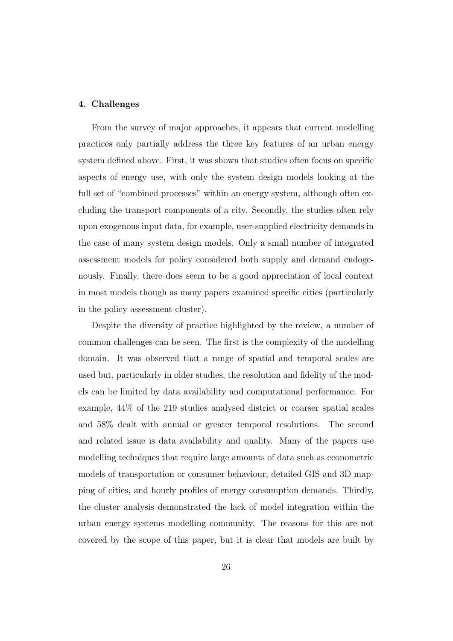## <span id="page-25-0"></span>4. Challenges

From the survey of major approaches, it appears that current modelling practices only partially address the three key features of an urban energy system defined above. First, it was shown that studies often focus on specific aspects of energy use, with only the system design models looking at the full set of "combined processes" within an energy system, although often excluding the transport components of a city. Secondly, the studies often rely upon exogenous input data, for example, user-supplied electricity demands in the case of many system design models. Only a small number of integrated assessment models for policy considered both supply and demand endogenously. Finally, there does seem to be a good appreciation of local context in most models though as many papers examined specific cities (particularly in the policy assessment cluster).

Despite the diversity of practice highlighted by the review, a number of common challenges can be seen. The first is the complexity of the modelling domain. It was observed that a range of spatial and temporal scales are used but, particularly in older studies, the resolution and fidelity of the models can be limited by data availability and computational performance. For example, 44% of the 219 studies analysed district or coarser spatial scales and 58% dealt with annual or greater temporal resolutions. The second and related issue is data availability and quality. Many of the papers use modelling techniques that require large amounts of data such as econometric models of transportation or consumer behaviour, detailed GIS and 3D mapping of cities, and hourly profiles of energy consumption demands. Thirdly, the cluster analysis demonstrated the lack of model integration within the urban energy systems modelling community. The reasons for this are not covered by the scope of this paper, but it is clear that models are built by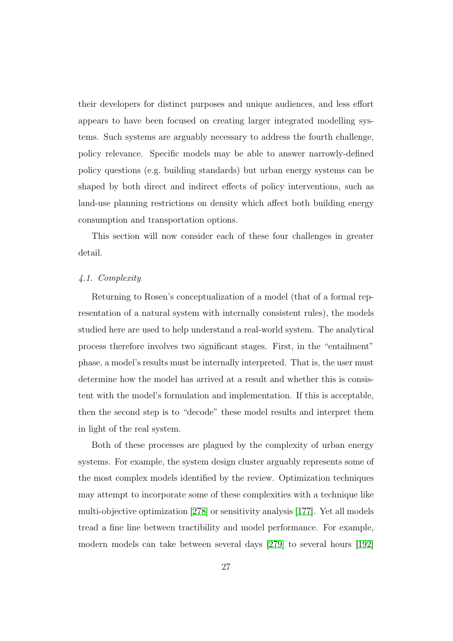their developers for distinct purposes and unique audiences, and less effort appears to have been focused on creating larger integrated modelling systems. Such systems are arguably necessary to address the fourth challenge, policy relevance. Specific models may be able to answer narrowly-defined policy questions (e.g. building standards) but urban energy systems can be shaped by both direct and indirect effects of policy interventions, such as land-use planning restrictions on density which affect both building energy consumption and transportation options.

This section will now consider each of these four challenges in greater detail.

# 4.1. Complexity

Returning to Rosen's conceptualization of a model (that of a formal representation of a natural system with internally consistent rules), the models studied here are used to help understand a real-world system. The analytical process therefore involves two significant stages. First, in the "entailment" phase, a model's results must be internally interpreted. That is, the user must determine how the model has arrived at a result and whether this is consistent with the model's formulation and implementation. If this is acceptable, then the second step is to "decode" these model results and interpret them in light of the real system.

Both of these processes are plagued by the complexity of urban energy systems. For example, the system design cluster arguably represents some of the most complex models identified by the review. Optimization techniques may attempt to incorporate some of these complexities with a technique like multi-objective optimization [\[278\]](#page-98-1) or sensitivity analysis [\[177\]](#page-79-2). Yet all models tread a fine line between tractibility and model performance. For example, modern models can take between several days [\[279\]](#page-98-2) to several hours [\[192\]](#page-82-3)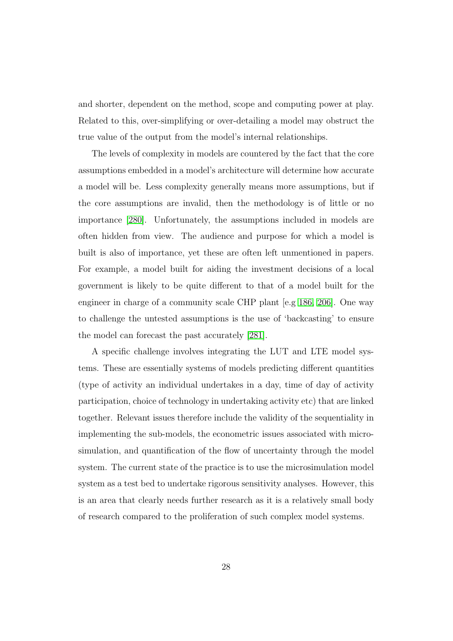and shorter, dependent on the method, scope and computing power at play. Related to this, over-simplifying or over-detailing a model may obstruct the true value of the output from the model's internal relationships.

The levels of complexity in models are countered by the fact that the core assumptions embedded in a model's architecture will determine how accurate a model will be. Less complexity generally means more assumptions, but if the core assumptions are invalid, then the methodology is of little or no importance [\[280\]](#page-98-3). Unfortunately, the assumptions included in models are often hidden from view. The audience and purpose for which a model is built is also of importance, yet these are often left unmentioned in papers. For example, a model built for aiding the investment decisions of a local government is likely to be quite different to that of a model built for the engineer in charge of a community scale CHP plant [e.g [186,](#page-81-1) [206\]](#page-85-1). One way to challenge the untested assumptions is the use of 'backcasting' to ensure the model can forecast the past accurately [\[281\]](#page-98-4).

A specific challenge involves integrating the LUT and LTE model systems. These are essentially systems of models predicting different quantities (type of activity an individual undertakes in a day, time of day of activity participation, choice of technology in undertaking activity etc) that are linked together. Relevant issues therefore include the validity of the sequentiality in implementing the sub-models, the econometric issues associated with microsimulation, and quantification of the flow of uncertainty through the model system. The current state of the practice is to use the microsimulation model system as a test bed to undertake rigorous sensitivity analyses. However, this is an area that clearly needs further research as it is a relatively small body of research compared to the proliferation of such complex model systems.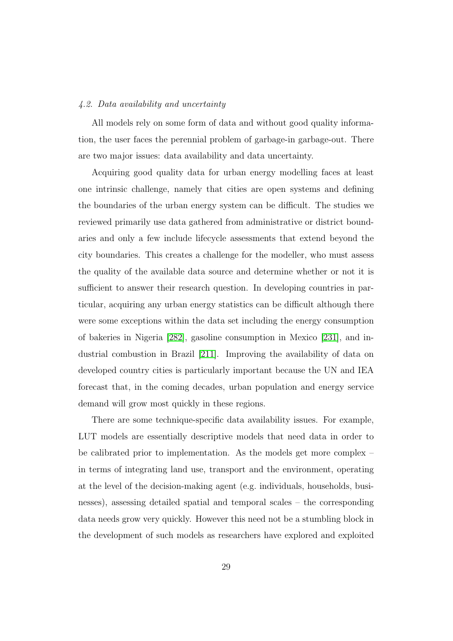## 4.2. Data availability and uncertainty

All models rely on some form of data and without good quality information, the user faces the perennial problem of garbage-in garbage-out. There are two major issues: data availability and data uncertainty.

Acquiring good quality data for urban energy modelling faces at least one intrinsic challenge, namely that cities are open systems and defining the boundaries of the urban energy system can be difficult. The studies we reviewed primarily use data gathered from administrative or district boundaries and only a few include lifecycle assessments that extend beyond the city boundaries. This creates a challenge for the modeller, who must assess the quality of the available data source and determine whether or not it is sufficient to answer their research question. In developing countries in particular, acquiring any urban energy statistics can be difficult although there were some exceptions within the data set including the energy consumption of bakeries in Nigeria [\[282\]](#page-98-5), gasoline consumption in Mexico [\[231\]](#page-90-3), and industrial combustion in Brazil [\[211\]](#page-86-0). Improving the availability of data on developed country cities is particularly important because the UN and IEA forecast that, in the coming decades, urban population and energy service demand will grow most quickly in these regions.

There are some technique-specific data availability issues. For example, LUT models are essentially descriptive models that need data in order to be calibrated prior to implementation. As the models get more complex – in terms of integrating land use, transport and the environment, operating at the level of the decision-making agent (e.g. individuals, households, businesses), assessing detailed spatial and temporal scales – the corresponding data needs grow very quickly. However this need not be a stumbling block in the development of such models as researchers have explored and exploited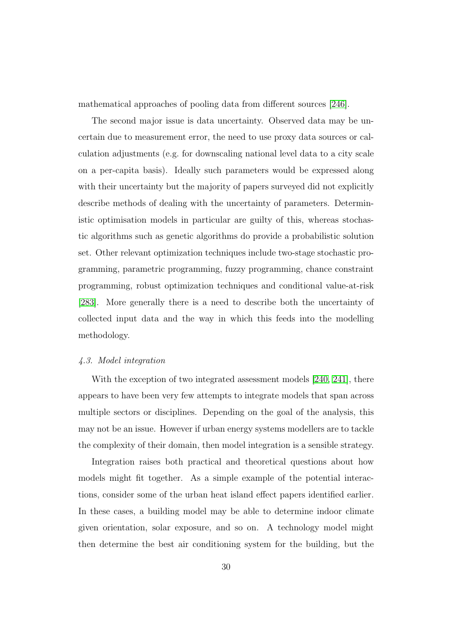mathematical approaches of pooling data from different sources [\[246\]](#page-93-1).

The second major issue is data uncertainty. Observed data may be uncertain due to measurement error, the need to use proxy data sources or calculation adjustments (e.g. for downscaling national level data to a city scale on a per-capita basis). Ideally such parameters would be expressed along with their uncertainty but the majority of papers surveyed did not explicitly describe methods of dealing with the uncertainty of parameters. Deterministic optimisation models in particular are guilty of this, whereas stochastic algorithms such as genetic algorithms do provide a probabilistic solution set. Other relevant optimization techniques include two-stage stochastic programming, parametric programming, fuzzy programming, chance constraint programming, robust optimization techniques and conditional value-at-risk [\[283\]](#page-98-6). More generally there is a need to describe both the uncertainty of collected input data and the way in which this feeds into the modelling methodology.

## 4.3. Model integration

With the exception of two integrated assessment models [\[240,](#page-92-0) [241\]](#page-92-1), there appears to have been very few attempts to integrate models that span across multiple sectors or disciplines. Depending on the goal of the analysis, this may not be an issue. However if urban energy systems modellers are to tackle the complexity of their domain, then model integration is a sensible strategy.

Integration raises both practical and theoretical questions about how models might fit together. As a simple example of the potential interactions, consider some of the urban heat island effect papers identified earlier. In these cases, a building model may be able to determine indoor climate given orientation, solar exposure, and so on. A technology model might then determine the best air conditioning system for the building, but the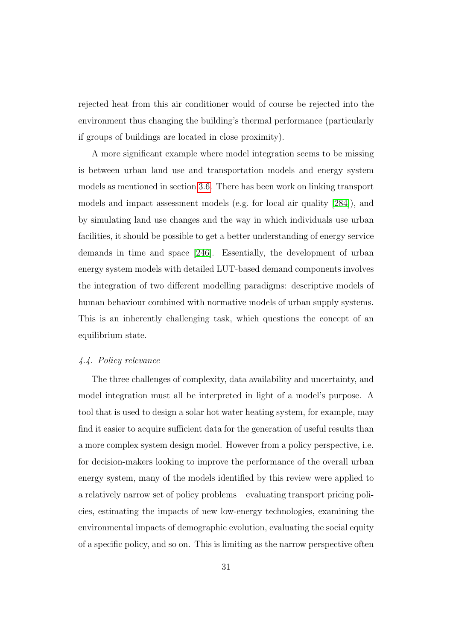rejected heat from this air conditioner would of course be rejected into the environment thus changing the building's thermal performance (particularly if groups of buildings are located in close proximity).

A more significant example where model integration seems to be missing is between urban land use and transportation models and energy system models as mentioned in section [3.6.](#page-17-0) There has been work on linking transport models and impact assessment models (e.g. for local air quality [\[284\]](#page-99-0)), and by simulating land use changes and the way in which individuals use urban facilities, it should be possible to get a better understanding of energy service demands in time and space [\[246\]](#page-93-1). Essentially, the development of urban energy system models with detailed LUT-based demand components involves the integration of two different modelling paradigms: descriptive models of human behaviour combined with normative models of urban supply systems. This is an inherently challenging task, which questions the concept of an equilibrium state.

## 4.4. Policy relevance

The three challenges of complexity, data availability and uncertainty, and model integration must all be interpreted in light of a model's purpose. A tool that is used to design a solar hot water heating system, for example, may find it easier to acquire sufficient data for the generation of useful results than a more complex system design model. However from a policy perspective, i.e. for decision-makers looking to improve the performance of the overall urban energy system, many of the models identified by this review were applied to a relatively narrow set of policy problems – evaluating transport pricing policies, estimating the impacts of new low-energy technologies, examining the environmental impacts of demographic evolution, evaluating the social equity of a specific policy, and so on. This is limiting as the narrow perspective often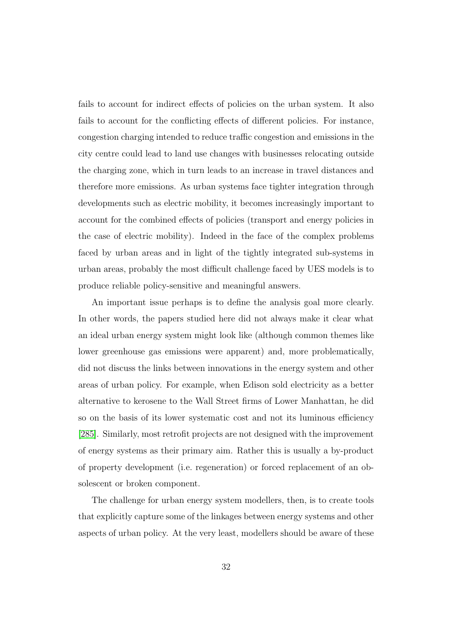fails to account for indirect effects of policies on the urban system. It also fails to account for the conflicting effects of different policies. For instance, congestion charging intended to reduce traffic congestion and emissions in the city centre could lead to land use changes with businesses relocating outside the charging zone, which in turn leads to an increase in travel distances and therefore more emissions. As urban systems face tighter integration through developments such as electric mobility, it becomes increasingly important to account for the combined effects of policies (transport and energy policies in the case of electric mobility). Indeed in the face of the complex problems faced by urban areas and in light of the tightly integrated sub-systems in urban areas, probably the most difficult challenge faced by UES models is to produce reliable policy-sensitive and meaningful answers.

An important issue perhaps is to define the analysis goal more clearly. In other words, the papers studied here did not always make it clear what an ideal urban energy system might look like (although common themes like lower greenhouse gas emissions were apparent) and, more problematically, did not discuss the links between innovations in the energy system and other areas of urban policy. For example, when Edison sold electricity as a better alternative to kerosene to the Wall Street firms of Lower Manhattan, he did so on the basis of its lower systematic cost and not its luminous efficiency [\[285\]](#page-99-1). Similarly, most retrofit projects are not designed with the improvement of energy systems as their primary aim. Rather this is usually a by-product of property development (i.e. regeneration) or forced replacement of an obsolescent or broken component.

The challenge for urban energy system modellers, then, is to create tools that explicitly capture some of the linkages between energy systems and other aspects of urban policy. At the very least, modellers should be aware of these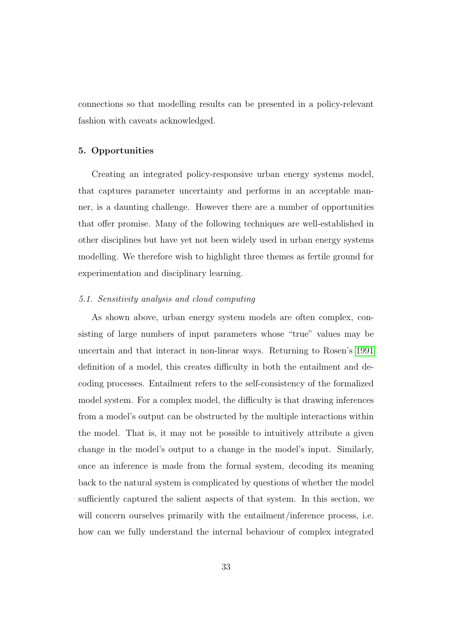connections so that modelling results can be presented in a policy-relevant fashion with caveats acknowledged.

#### <span id="page-32-0"></span>5. Opportunities

Creating an integrated policy-responsive urban energy systems model, that captures parameter uncertainty and performs in an acceptable manner, is a daunting challenge. However there are a number of opportunities that offer promise. Many of the following techniques are well-established in other disciplines but have yet not been widely used in urban energy systems modelling. We therefore wish to highlight three themes as fertile ground for experimentation and disciplinary learning.

## 5.1. Sensitivity analysis and cloud computing

As shown above, urban energy system models are often complex, consisting of large numbers of input parameters whose "true" values may be uncertain and that interact in non-linear ways. Returning to Rosen's [1991](#page-47-3) definition of a model, this creates difficulty in both the entailment and decoding processes. Entailment refers to the self-consistency of the formalized model system. For a complex model, the difficulty is that drawing inferences from a model's output can be obstructed by the multiple interactions within the model. That is, it may not be possible to intuitively attribute a given change in the model's output to a change in the model's input. Similarly, once an inference is made from the formal system, decoding its meaning back to the natural system is complicated by questions of whether the model sufficiently captured the salient aspects of that system. In this section, we will concern ourselves primarily with the entailment/inference process, *i.e.* how can we fully understand the internal behaviour of complex integrated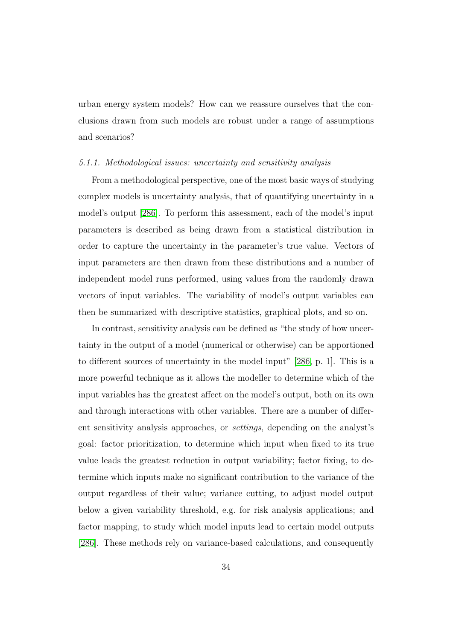urban energy system models? How can we reassure ourselves that the conclusions drawn from such models are robust under a range of assumptions and scenarios?

#### 5.1.1. Methodological issues: uncertainty and sensitivity analysis

From a methodological perspective, one of the most basic ways of studying complex models is uncertainty analysis, that of quantifying uncertainty in a model's output [\[286\]](#page-99-2). To perform this assessment, each of the model's input parameters is described as being drawn from a statistical distribution in order to capture the uncertainty in the parameter's true value. Vectors of input parameters are then drawn from these distributions and a number of independent model runs performed, using values from the randomly drawn vectors of input variables. The variability of model's output variables can then be summarized with descriptive statistics, graphical plots, and so on.

In contrast, sensitivity analysis can be defined as "the study of how uncertainty in the output of a model (numerical or otherwise) can be apportioned to different sources of uncertainty in the model input" [\[286,](#page-99-2) p. 1]. This is a more powerful technique as it allows the modeller to determine which of the input variables has the greatest affect on the model's output, both on its own and through interactions with other variables. There are a number of different sensitivity analysis approaches, or settings, depending on the analyst's goal: factor prioritization, to determine which input when fixed to its true value leads the greatest reduction in output variability; factor fixing, to determine which inputs make no significant contribution to the variance of the output regardless of their value; variance cutting, to adjust model output below a given variability threshold, e.g. for risk analysis applications; and factor mapping, to study which model inputs lead to certain model outputs [\[286\]](#page-99-2). These methods rely on variance-based calculations, and consequently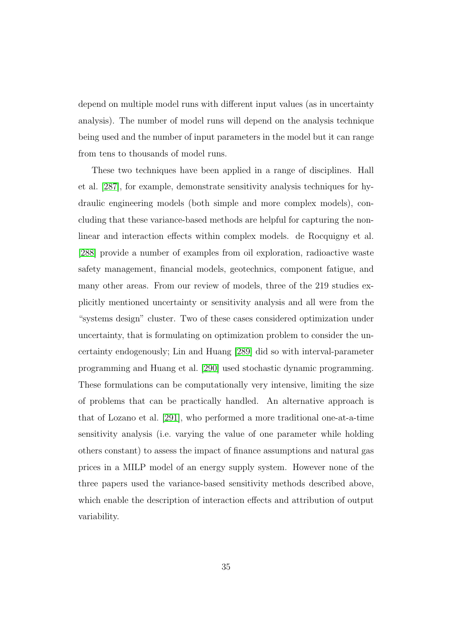depend on multiple model runs with different input values (as in uncertainty analysis). The number of model runs will depend on the analysis technique being used and the number of input parameters in the model but it can range from tens to thousands of model runs.

These two techniques have been applied in a range of disciplines. Hall et al. [\[287\]](#page-99-3), for example, demonstrate sensitivity analysis techniques for hydraulic engineering models (both simple and more complex models), concluding that these variance-based methods are helpful for capturing the nonlinear and interaction effects within complex models. de Rocquigny et al. [\[288\]](#page-99-4) provide a number of examples from oil exploration, radioactive waste safety management, financial models, geotechnics, component fatigue, and many other areas. From our review of models, three of the 219 studies explicitly mentioned uncertainty or sensitivity analysis and all were from the "systems design" cluster. Two of these cases considered optimization under uncertainty, that is formulating on optimization problem to consider the uncertainty endogenously; Lin and Huang [\[289\]](#page-99-5) did so with interval-parameter programming and Huang et al. [\[290\]](#page-100-0) used stochastic dynamic programming. These formulations can be computationally very intensive, limiting the size of problems that can be practically handled. An alternative approach is that of Lozano et al. [\[291\]](#page-100-1), who performed a more traditional one-at-a-time sensitivity analysis (i.e. varying the value of one parameter while holding others constant) to assess the impact of finance assumptions and natural gas prices in a MILP model of an energy supply system. However none of the three papers used the variance-based sensitivity methods described above, which enable the description of interaction effects and attribution of output variability.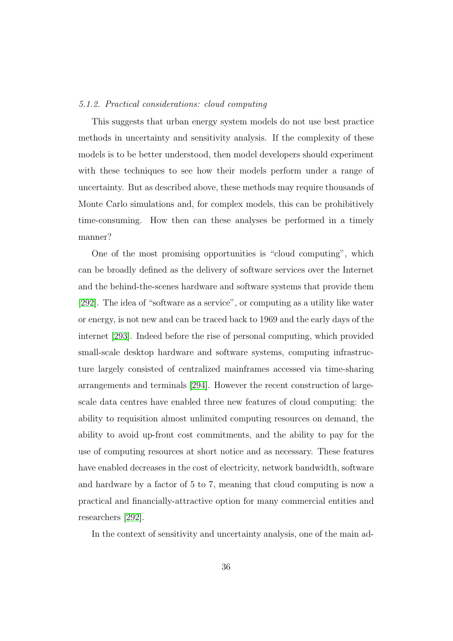## 5.1.2. Practical considerations: cloud computing

This suggests that urban energy system models do not use best practice methods in uncertainty and sensitivity analysis. If the complexity of these models is to be better understood, then model developers should experiment with these techniques to see how their models perform under a range of uncertainty. But as described above, these methods may require thousands of Monte Carlo simulations and, for complex models, this can be prohibitively time-consuming. How then can these analyses be performed in a timely manner?

One of the most promising opportunities is "cloud computing", which can be broadly defined as the delivery of software services over the Internet and the behind-the-scenes hardware and software systems that provide them [\[292\]](#page-100-2). The idea of "software as a service", or computing as a utility like water or energy, is not new and can be traced back to 1969 and the early days of the internet [\[293\]](#page-100-3). Indeed before the rise of personal computing, which provided small-scale desktop hardware and software systems, computing infrastructure largely consisted of centralized mainframes accessed via time-sharing arrangements and terminals [\[294\]](#page-101-0). However the recent construction of largescale data centres have enabled three new features of cloud computing: the ability to requisition almost unlimited computing resources on demand, the ability to avoid up-front cost commitments, and the ability to pay for the use of computing resources at short notice and as necessary. These features have enabled decreases in the cost of electricity, network bandwidth, software and hardware by a factor of 5 to 7, meaning that cloud computing is now a practical and financially-attractive option for many commercial entities and researchers [\[292\]](#page-100-2).

In the context of sensitivity and uncertainty analysis, one of the main ad-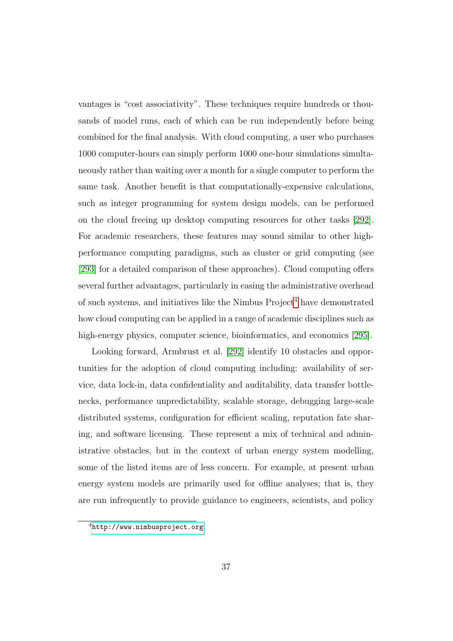vantages is "cost associativity". These techniques require hundreds or thousands of model runs, each of which can be run independently before being combined for the final analysis. With cloud computing, a user who purchases 1000 computer-hours can simply perform 1000 one-hour simulations simultaneously rather than waiting over a month for a single computer to perform the same task. Another benefit is that computationally-expensive calculations, such as integer programming for system design models, can be performed on the cloud freeing up desktop computing resources for other tasks [\[292\]](#page-100-0). For academic researchers, these features may sound similar to other highperformance computing paradigms, such as cluster or grid computing (see [\[293\]](#page-100-1) for a detailed comparison of these approaches). Cloud computing offers several further advantages, particularly in easing the administrative overhead of such systems, and initiatives like the Nimbus  $Project<sup>4</sup>$  $Project<sup>4</sup>$  $Project<sup>4</sup>$  have demonstrated how cloud computing can be applied in a range of academic disciplines such as high-energy physics, computer science, bioinformatics, and economics [\[295\]](#page-101-0).

Looking forward, Armbrust et al. [\[292\]](#page-100-0) identify 10 obstacles and opportunities for the adoption of cloud computing including: availability of service, data lock-in, data confidentiality and auditability, data transfer bottlenecks, performance unpredictability, scalable storage, debugging large-scale distributed systems, configuration for efficient scaling, reputation fate sharing, and software licensing. These represent a mix of technical and administrative obstacles, but in the context of urban energy system modelling, some of the listed items are of less concern. For example, at present urban energy system models are primarily used for offline analyses; that is, they are run infrequently to provide guidance to engineers, scientists, and policy

<span id="page-36-0"></span><sup>4</sup><http://www.nimbusproject.org>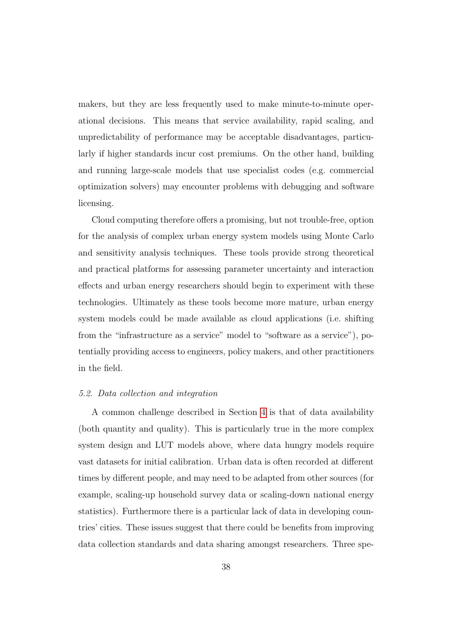makers, but they are less frequently used to make minute-to-minute operational decisions. This means that service availability, rapid scaling, and unpredictability of performance may be acceptable disadvantages, particularly if higher standards incur cost premiums. On the other hand, building and running large-scale models that use specialist codes (e.g. commercial optimization solvers) may encounter problems with debugging and software licensing.

Cloud computing therefore offers a promising, but not trouble-free, option for the analysis of complex urban energy system models using Monte Carlo and sensitivity analysis techniques. These tools provide strong theoretical and practical platforms for assessing parameter uncertainty and interaction effects and urban energy researchers should begin to experiment with these technologies. Ultimately as these tools become more mature, urban energy system models could be made available as cloud applications (i.e. shifting from the "infrastructure as a service" model to "software as a service"), potentially providing access to engineers, policy makers, and other practitioners in the field.

### 5.2. Data collection and integration

A common challenge described in Section [4](#page-25-0) is that of data availability (both quantity and quality). This is particularly true in the more complex system design and LUT models above, where data hungry models require vast datasets for initial calibration. Urban data is often recorded at different times by different people, and may need to be adapted from other sources (for example, scaling-up household survey data or scaling-down national energy statistics). Furthermore there is a particular lack of data in developing countries' cities. These issues suggest that there could be benefits from improving data collection standards and data sharing amongst researchers. Three spe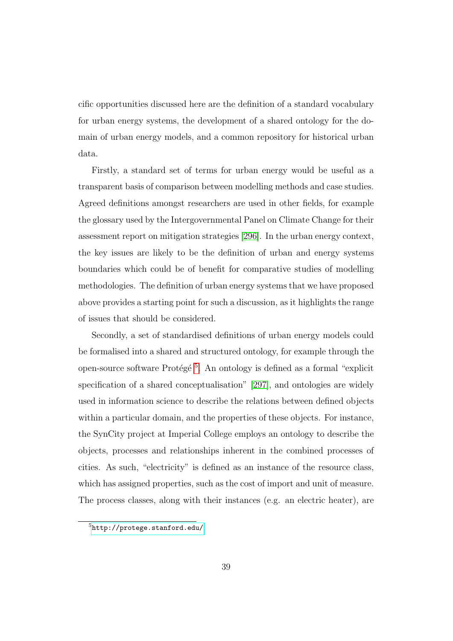cific opportunities discussed here are the definition of a standard vocabulary for urban energy systems, the development of a shared ontology for the domain of urban energy models, and a common repository for historical urban data.

Firstly, a standard set of terms for urban energy would be useful as a transparent basis of comparison between modelling methods and case studies. Agreed definitions amongst researchers are used in other fields, for example the glossary used by the Intergovernmental Panel on Climate Change for their assessment report on mitigation strategies [\[296\]](#page-101-1). In the urban energy context, the key issues are likely to be the definition of urban and energy systems boundaries which could be of benefit for comparative studies of modelling methodologies. The definition of urban energy systems that we have proposed above provides a starting point for such a discussion, as it highlights the range of issues that should be considered.

Secondly, a set of standardised definitions of urban energy models could be formalised into a shared and structured ontology, for example through the open-source software Protégé<sup>[5](#page-38-0)</sup>. An ontology is defined as a formal "explicit specification of a shared conceptualisation" [\[297\]](#page-101-2), and ontologies are widely used in information science to describe the relations between defined objects within a particular domain, and the properties of these objects. For instance, the SynCity project at Imperial College employs an ontology to describe the objects, processes and relationships inherent in the combined processes of cities. As such, "electricity" is defined as an instance of the resource class, which has assigned properties, such as the cost of import and unit of measure. The process classes, along with their instances (e.g. an electric heater), are

<span id="page-38-0"></span><sup>5</sup><http://protege.stanford.edu/>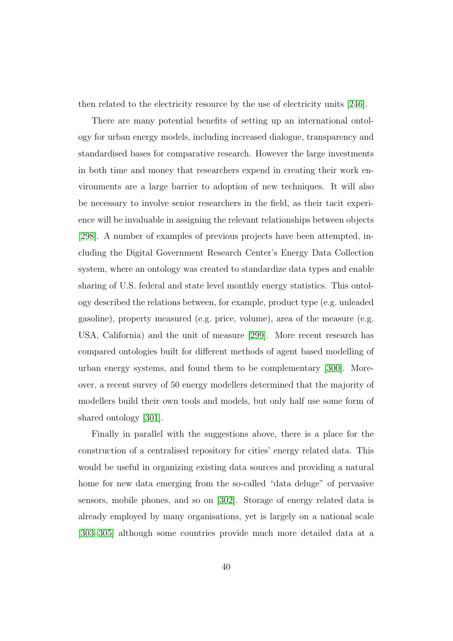then related to the electricity resource by the use of electricity units [\[246\]](#page-93-0).

There are many potential benefits of setting up an international ontology for urban energy models, including increased dialogue, transparency and standardised bases for comparative research. However the large investments in both time and money that researchers expend in creating their work environments are a large barrier to adoption of new techniques. It will also be necessary to involve senior researchers in the field, as their tacit experience will be invaluable in assigning the relevant relationships between objects [\[298\]](#page-101-3). A number of examples of previous projects have been attempted, including the Digital Government Research Center's Energy Data Collection system, where an ontology was created to standardize data types and enable sharing of U.S. federal and state level monthly energy statistics. This ontology described the relations between, for example, product type (e.g. unleaded gasoline), property measured (e.g. price, volume), area of the measure (e.g. USA, California) and the unit of measure [\[299\]](#page-101-4). More recent research has compared ontologies built for different methods of agent based modelling of urban energy systems, and found them to be complementary [\[300\]](#page-101-5). Moreover, a recent survey of 50 energy modellers determined that the majority of modellers build their own tools and models, but only half use some form of shared ontology [\[301\]](#page-101-6).

Finally in parallel with the suggestions above, there is a place for the construction of a centralised repository for cities' energy related data. This would be useful in organizing existing data sources and providing a natural home for new data emerging from the so-called "data deluge" of pervasive sensors, mobile phones, and so on [\[302\]](#page-102-0). Storage of energy related data is already employed by many organisations, yet is largely on a national scale [\[303–](#page-102-1)[305\]](#page-102-2) although some countries provide much more detailed data at a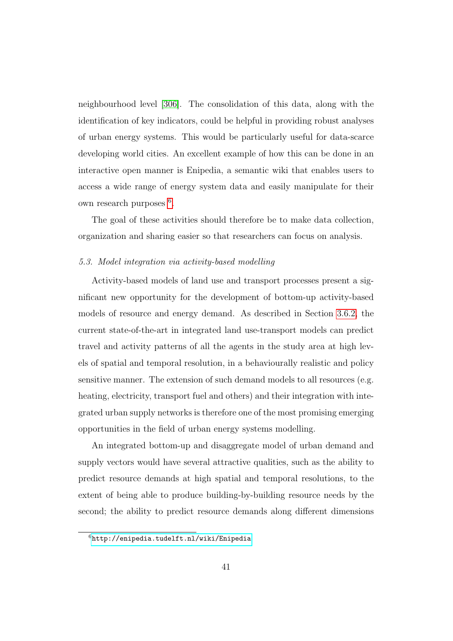neighbourhood level [\[306\]](#page-102-3). The consolidation of this data, along with the identification of key indicators, could be helpful in providing robust analyses of urban energy systems. This would be particularly useful for data-scarce developing world cities. An excellent example of how this can be done in an interactive open manner is Enipedia, a semantic wiki that enables users to access a wide range of energy system data and easily manipulate for their own research purposes [6](#page-40-0) .

The goal of these activities should therefore be to make data collection, organization and sharing easier so that researchers can focus on analysis.

## 5.3. Model integration via activity-based modelling

Activity-based models of land use and transport processes present a significant new opportunity for the development of bottom-up activity-based models of resource and energy demand. As described in Section [3.6.2,](#page-23-0) the current state-of-the-art in integrated land use-transport models can predict travel and activity patterns of all the agents in the study area at high levels of spatial and temporal resolution, in a behaviourally realistic and policy sensitive manner. The extension of such demand models to all resources (e.g. heating, electricity, transport fuel and others) and their integration with integrated urban supply networks is therefore one of the most promising emerging opportunities in the field of urban energy systems modelling.

An integrated bottom-up and disaggregate model of urban demand and supply vectors would have several attractive qualities, such as the ability to predict resource demands at high spatial and temporal resolutions, to the extent of being able to produce building-by-building resource needs by the second; the ability to predict resource demands along different dimensions

<span id="page-40-0"></span> $6$ <http://enipedia.tudelft.nl/wiki/Enipedia>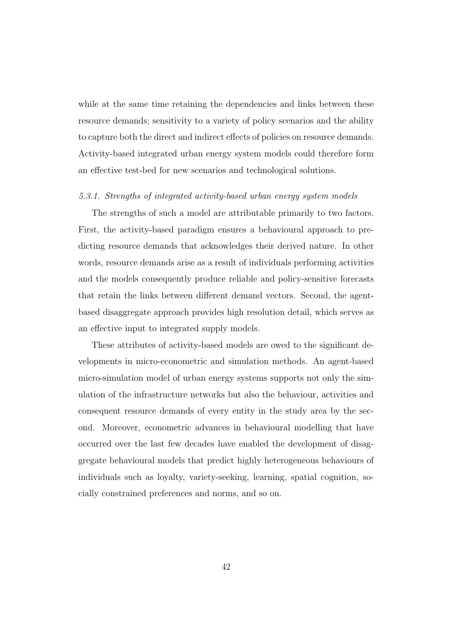while at the same time retaining the dependencies and links between these resource demands; sensitivity to a variety of policy scenarios and the ability to capture both the direct and indirect effects of policies on resource demands. Activity-based integrated urban energy system models could therefore form an effective test-bed for new scenarios and technological solutions.

### 5.3.1. Strengths of integrated activity-based urban energy system models

The strengths of such a model are attributable primarily to two factors. First, the activity-based paradigm ensures a behavioural approach to predicting resource demands that acknowledges their derived nature. In other words, resource demands arise as a result of individuals performing activities and the models consequently produce reliable and policy-sensitive forecasts that retain the links between different demand vectors. Second, the agentbased disaggregate approach provides high resolution detail, which serves as an effective input to integrated supply models.

These attributes of activity-based models are owed to the significant developments in micro-econometric and simulation methods. An agent-based micro-simulation model of urban energy systems supports not only the simulation of the infrastructure networks but also the behaviour, activities and consequent resource demands of every entity in the study area by the second. Moreover, econometric advances in behavioural modelling that have occurred over the last few decades have enabled the development of disaggregate behavioural models that predict highly heterogeneous behaviours of individuals such as loyalty, variety-seeking, learning, spatial cognition, socially constrained preferences and norms, and so on.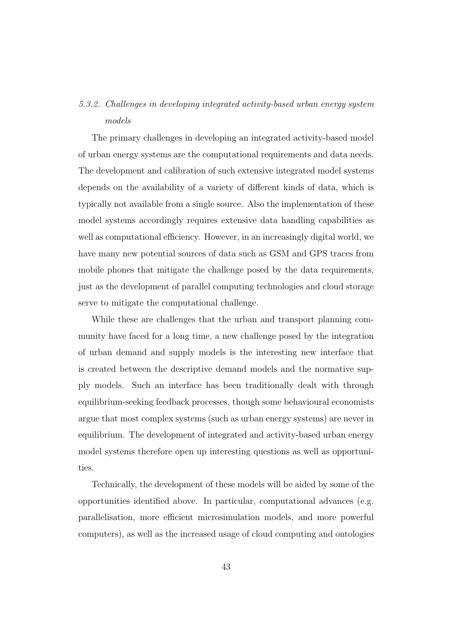# 5.3.2. Challenges in developing integrated activity-based urban energy system models

The primary challenges in developing an integrated activity-based model of urban energy systems are the computational requirements and data needs. The development and calibration of such extensive integrated model systems depends on the availability of a variety of different kinds of data, which is typically not available from a single source. Also the implementation of these model systems accordingly requires extensive data handling capabilities as well as computational efficiency. However, in an increasingly digital world, we have many new potential sources of data such as GSM and GPS traces from mobile phones that mitigate the challenge posed by the data requirements, just as the development of parallel computing technologies and cloud storage serve to mitigate the computational challenge.

While these are challenges that the urban and transport planning community have faced for a long time, a new challenge posed by the integration of urban demand and supply models is the interesting new interface that is created between the descriptive demand models and the normative supply models. Such an interface has been traditionally dealt with through equilibrium-seeking feedback processes, though some behavioural economists argue that most complex systems (such as urban energy systems) are never in equilibrium. The development of integrated and activity-based urban energy model systems therefore open up interesting questions as well as opportunities.

Technically, the development of these models will be aided by some of the opportunities identified above. In particular, computational advances (e.g. parallelisation, more efficient microsimulation models, and more powerful computers), as well as the increased usage of cloud computing and ontologies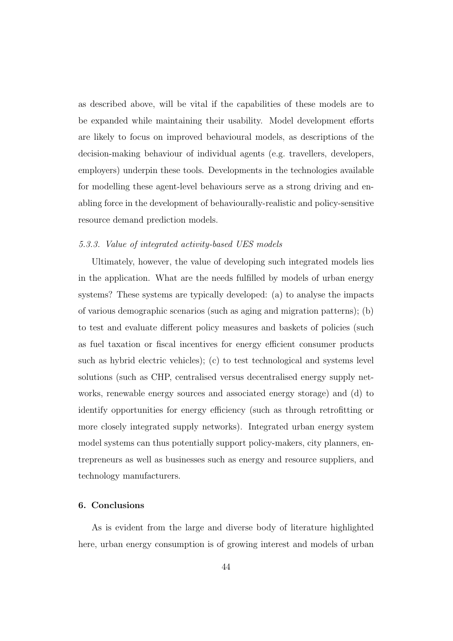as described above, will be vital if the capabilities of these models are to be expanded while maintaining their usability. Model development efforts are likely to focus on improved behavioural models, as descriptions of the decision-making behaviour of individual agents (e.g. travellers, developers, employers) underpin these tools. Developments in the technologies available for modelling these agent-level behaviours serve as a strong driving and enabling force in the development of behaviourally-realistic and policy-sensitive resource demand prediction models.

## 5.3.3. Value of integrated activity-based UES models

Ultimately, however, the value of developing such integrated models lies in the application. What are the needs fulfilled by models of urban energy systems? These systems are typically developed: (a) to analyse the impacts of various demographic scenarios (such as aging and migration patterns); (b) to test and evaluate different policy measures and baskets of policies (such as fuel taxation or fiscal incentives for energy efficient consumer products such as hybrid electric vehicles); (c) to test technological and systems level solutions (such as CHP, centralised versus decentralised energy supply networks, renewable energy sources and associated energy storage) and (d) to identify opportunities for energy efficiency (such as through retrofitting or more closely integrated supply networks). Integrated urban energy system model systems can thus potentially support policy-makers, city planners, entrepreneurs as well as businesses such as energy and resource suppliers, and technology manufacturers.

# 6. Conclusions

As is evident from the large and diverse body of literature highlighted here, urban energy consumption is of growing interest and models of urban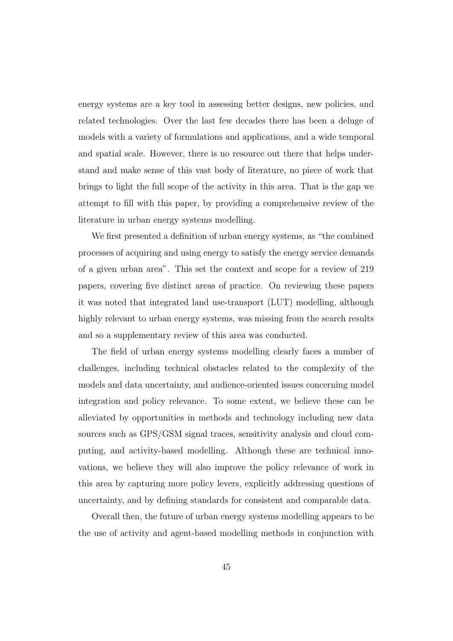energy systems are a key tool in assessing better designs, new policies, and related technologies. Over the last few decades there has been a deluge of models with a variety of formulations and applications, and a wide temporal and spatial scale. However, there is no resource out there that helps understand and make sense of this vast body of literature, no piece of work that brings to light the full scope of the activity in this area. That is the gap we attempt to fill with this paper, by providing a comprehensive review of the literature in urban energy systems modelling.

We first presented a definition of urban energy systems, as "the combined processes of acquiring and using energy to satisfy the energy service demands of a given urban area". This set the context and scope for a review of 219 papers, covering five distinct areas of practice. On reviewing these papers it was noted that integrated land use-transport (LUT) modelling, although highly relevant to urban energy systems, was missing from the search results and so a supplementary review of this area was conducted.

The field of urban energy systems modelling clearly faces a number of challenges, including technical obstacles related to the complexity of the models and data uncertainty, and audience-oriented issues concerning model integration and policy relevance. To some extent, we believe these can be alleviated by opportunities in methods and technology including new data sources such as GPS/GSM signal traces, sensitivity analysis and cloud computing, and activity-based modelling. Although these are technical innovations, we believe they will also improve the policy relevance of work in this area by capturing more policy levers, explicitly addressing questions of uncertainty, and by defining standards for consistent and comparable data.

Overall then, the future of urban energy systems modelling appears to be the use of activity and agent-based modelling methods in conjunction with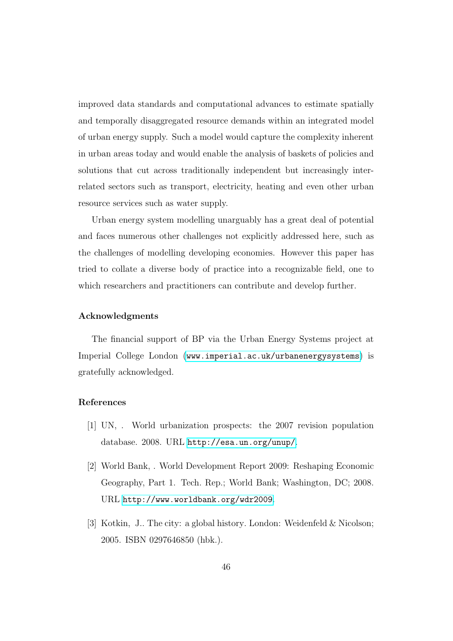improved data standards and computational advances to estimate spatially and temporally disaggregated resource demands within an integrated model of urban energy supply. Such a model would capture the complexity inherent in urban areas today and would enable the analysis of baskets of policies and solutions that cut across traditionally independent but increasingly interrelated sectors such as transport, electricity, heating and even other urban resource services such as water supply.

Urban energy system modelling unarguably has a great deal of potential and faces numerous other challenges not explicitly addressed here, such as the challenges of modelling developing economies. However this paper has tried to collate a diverse body of practice into a recognizable field, one to which researchers and practitioners can contribute and develop further.

#### Acknowledgments

The financial support of BP via the Urban Energy Systems project at Imperial College London (<www.imperial.ac.uk/urbanenergysystems>) is gratefully acknowledged.

# References

- [1] UN, . World urbanization prospects: the 2007 revision population database. 2008. URL <http://esa.un.org/unup/>.
- [2] World Bank, . World Development Report 2009: Reshaping Economic Geography, Part 1. Tech. Rep.; World Bank; Washington, DC; 2008. URL <http://www.worldbank.org/wdr2009>.
- [3] Kotkin, J.. The city: a global history. London: Weidenfeld & Nicolson; 2005. ISBN 0297646850 (hbk.).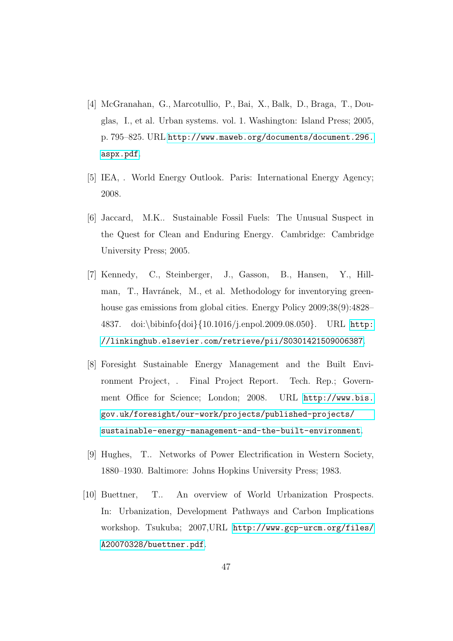- [4] McGranahan, G., Marcotullio, P., Bai, X., Balk, D., Braga, T., Douglas, I., et al. Urban systems. vol. 1. Washington: Island Press; 2005, p. 795–825. URL [http://www.maweb.org/documents/document.296.](http://www.maweb.org/documents/document.296.aspx.pdf) [aspx.pdf](http://www.maweb.org/documents/document.296.aspx.pdf).
- [5] IEA, . World Energy Outlook. Paris: International Energy Agency; 2008.
- [6] Jaccard, M.K.. Sustainable Fossil Fuels: The Unusual Suspect in the Quest for Clean and Enduring Energy. Cambridge: Cambridge University Press; 2005.
- [7] Kennedy, C., Steinberger, J., Gasson, B., Hansen, Y., Hillman, T., Havránek, M., et al. Methodology for inventorying greenhouse gas emissions from global cities. Energy Policy 2009;38(9):4828– 4837. doi:\bibinfo{doi}{10.1016/j.enpol.2009.08.050}. URL [http:](http://linkinghub.elsevier.com/retrieve/pii/S0301421509006387) [//linkinghub.elsevier.com/retrieve/pii/S0301421509006387](http://linkinghub.elsevier.com/retrieve/pii/S0301421509006387).
- [8] Foresight Sustainable Energy Management and the Built Environment Project, . Final Project Report. Tech. Rep.; Government Office for Science; London; 2008. URL [http://www.bis.](http://www.bis.gov.uk/foresight/our-work/projects/published-projects/sustainable-energy-management-and-the-built-environment) [gov.uk/foresight/our-work/projects/published-projects/](http://www.bis.gov.uk/foresight/our-work/projects/published-projects/sustainable-energy-management-and-the-built-environment) [sustainable-energy-management-and-the-built-environment](http://www.bis.gov.uk/foresight/our-work/projects/published-projects/sustainable-energy-management-and-the-built-environment).
- [9] Hughes, T.. Networks of Power Electrification in Western Society, 1880–1930. Baltimore: Johns Hopkins University Press; 1983.
- [10] Buettner, T.. An overview of World Urbanization Prospects. In: Urbanization, Development Pathways and Carbon Implications workshop. Tsukuba; 2007,URL [http://www.gcp-urcm.org/files/](http://www.gcp-urcm.org/files/A20070328/buettner.pdf) [A20070328/buettner.pdf](http://www.gcp-urcm.org/files/A20070328/buettner.pdf).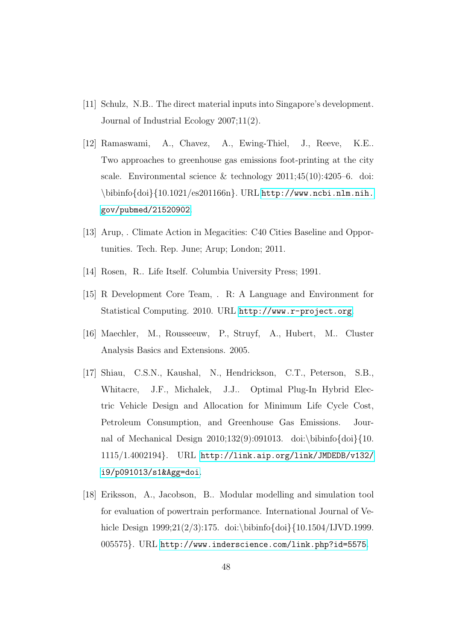- [11] Schulz, N.B.. The direct material inputs into Singapore's development. Journal of Industrial Ecology 2007;11(2).
- [12] Ramaswami, A., Chavez, A., Ewing-Thiel, J., Reeve, K.E.. Two approaches to greenhouse gas emissions foot-printing at the city scale. Environmental science & technology 2011;45(10):4205–6. doi: \bibinfo{doi}{10.1021/es201166n}. URL [http://www.ncbi.nlm.nih.](http://www.ncbi.nlm.nih.gov/pubmed/21520902) [gov/pubmed/21520902](http://www.ncbi.nlm.nih.gov/pubmed/21520902).
- [13] Arup, . Climate Action in Megacities: C40 Cities Baseline and Opportunities. Tech. Rep. June; Arup; London; 2011.
- [14] Rosen, R.. Life Itself. Columbia University Press; 1991.
- [15] R Development Core Team, . R: A Language and Environment for Statistical Computing. 2010. URL <http://www.r-project.org>.
- [16] Maechler, M., Rousseeuw, P., Struyf, A., Hubert, M.. Cluster Analysis Basics and Extensions. 2005.
- [17] Shiau, C.S.N., Kaushal, N., Hendrickson, C.T., Peterson, S.B., Whitacre, J.F., Michalek, J.J.. Optimal Plug-In Hybrid Electric Vehicle Design and Allocation for Minimum Life Cycle Cost, Petroleum Consumption, and Greenhouse Gas Emissions. Journal of Mechanical Design 2010;132(9):091013. doi:\bibinfo{doi}{10. 1115/1.4002194}. URL [http://link.aip.org/link/JMDEDB/v132/](http://link.aip.org/link/JMDEDB/v132/i9/p091013/s1&Agg=doi) [i9/p091013/s1&Agg=doi](http://link.aip.org/link/JMDEDB/v132/i9/p091013/s1&Agg=doi).
- [18] Eriksson, A., Jacobson, B.. Modular modelling and simulation tool for evaluation of powertrain performance. International Journal of Vehicle Design 1999;21(2/3):175. doi:\bibinfo{doi}{10.1504/IJVD.1999. 005575}. URL <http://www.inderscience.com/link.php?id=5575>.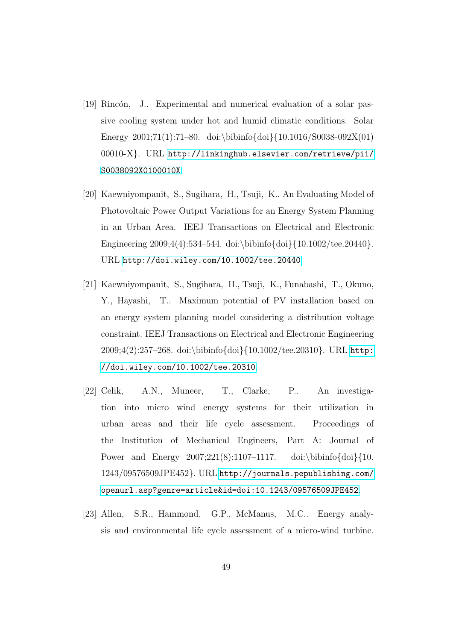- [19] Rincón, J.. Experimental and numerical evaluation of a solar passive cooling system under hot and humid climatic conditions. Solar Energy  $2001;71(1):71–80.$  doi:\bibinfo{doi}{10.1016/S0038-092X(01) 00010-X}. URL [http://linkinghub.elsevier.com/retrieve/pii/](http://linkinghub.elsevier.com/retrieve/pii/S0038092X0100010X) [S0038092X0100010X](http://linkinghub.elsevier.com/retrieve/pii/S0038092X0100010X).
- [20] Kaewniyompanit, S., Sugihara, H., Tsuji, K.. An Evaluating Model of Photovoltaic Power Output Variations for an Energy System Planning in an Urban Area. IEEJ Transactions on Electrical and Electronic Engineering  $2009;4(4):534-544.$  doi:\bibinfo{doi}{10.1002/tee.20440}. URL <http://doi.wiley.com/10.1002/tee.20440>.
- [21] Kaewniyompanit, S., Sugihara, H., Tsuji, K., Funabashi, T., Okuno, Y., Hayashi, T.. Maximum potential of PV installation based on an energy system planning model considering a distribution voltage constraint. IEEJ Transactions on Electrical and Electronic Engineering 2009;4(2):257–268. doi:\bibinfo{doi}{10.1002/tee.20310}. URL [http:](http://doi.wiley.com/10.1002/tee.20310) [//doi.wiley.com/10.1002/tee.20310](http://doi.wiley.com/10.1002/tee.20310).
- [22] Celik, A.N., Muneer, T., Clarke, P.. An investigation into micro wind energy systems for their utilization in urban areas and their life cycle assessment. Proceedings of the Institution of Mechanical Engineers, Part A: Journal of Power and Energy  $2007;221(8):1107-1117.$  doi:\bibinfo{doi}{10. 1243/09576509JPE452}. URL [http://journals.pepublishing.com/](http://journals.pepublishing.com/openurl.asp?genre=article&id=doi:10.1243/09576509JPE452) [openurl.asp?genre=article&id=doi:10.1243/09576509JPE452](http://journals.pepublishing.com/openurl.asp?genre=article&id=doi:10.1243/09576509JPE452).
- [23] Allen, S.R., Hammond, G.P., McManus, M.C.. Energy analysis and environmental life cycle assessment of a micro-wind turbine.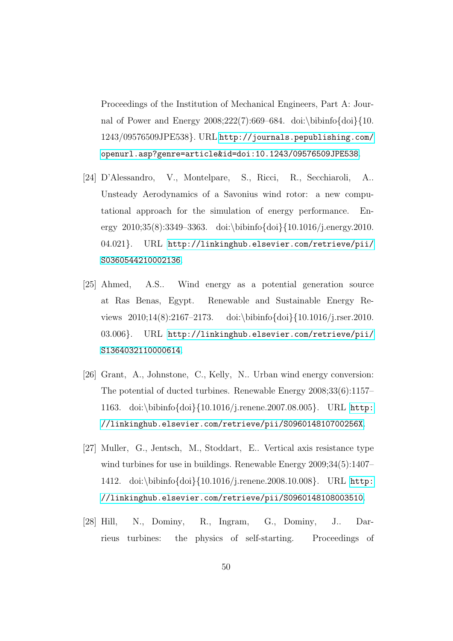Proceedings of the Institution of Mechanical Engineers, Part A: Journal of Power and Energy  $2008;222(7):669–684. \text{ doi:}\bibinfo{doi}{10.}$ 1243/09576509JPE538}. URL [http://journals.pepublishing.com/](http://journals.pepublishing.com/openurl.asp?genre=article&id=doi:10.1243/09576509JPE538) [openurl.asp?genre=article&id=doi:10.1243/09576509JPE538](http://journals.pepublishing.com/openurl.asp?genre=article&id=doi:10.1243/09576509JPE538).

- [24] D'Alessandro, V., Montelpare, S., Ricci, R., Secchiaroli, A.. Unsteady Aerodynamics of a Savonius wind rotor: a new computational approach for the simulation of energy performance. Energy 2010;35(8):3349–3363. doi:\bibinfo{doi}{10.1016/j.energy.2010. 04.021}. URL [http://linkinghub.elsevier.com/retrieve/pii/](http://linkinghub.elsevier.com/retrieve/pii/S0360544210002136) [S0360544210002136](http://linkinghub.elsevier.com/retrieve/pii/S0360544210002136).
- [25] Ahmed, A.S.. Wind energy as a potential generation source at Ras Benas, Egypt. Renewable and Sustainable Energy Reviews 2010;14(8):2167–2173. doi:\bibinfo{doi}{10.1016/j.rser.2010. 03.006}. URL [http://linkinghub.elsevier.com/retrieve/pii/](http://linkinghub.elsevier.com/retrieve/pii/S1364032110000614) [S1364032110000614](http://linkinghub.elsevier.com/retrieve/pii/S1364032110000614).
- [26] Grant, A., Johnstone, C., Kelly, N.. Urban wind energy conversion: The potential of ducted turbines. Renewable Energy 2008;33(6):1157– 1163. doi:\bibinfo{doi}{10.1016/j.renene.2007.08.005}. URL [http:](http://linkinghub.elsevier.com/retrieve/pii/S096014810700256X) [//linkinghub.elsevier.com/retrieve/pii/S096014810700256X](http://linkinghub.elsevier.com/retrieve/pii/S096014810700256X).
- [27] Muller, G., Jentsch, M., Stoddart, E.. Vertical axis resistance type wind turbines for use in buildings. Renewable Energy 2009;34(5):1407– 1412. doi:\bibinfo{doi}{10.1016/j.renene.2008.10.008}. URL [http:](http://linkinghub.elsevier.com/retrieve/pii/S0960148108003510) [//linkinghub.elsevier.com/retrieve/pii/S0960148108003510](http://linkinghub.elsevier.com/retrieve/pii/S0960148108003510).
- [28] Hill, N., Dominy, R., Ingram, G., Dominy, J.. Darrieus turbines: the physics of self-starting. Proceedings of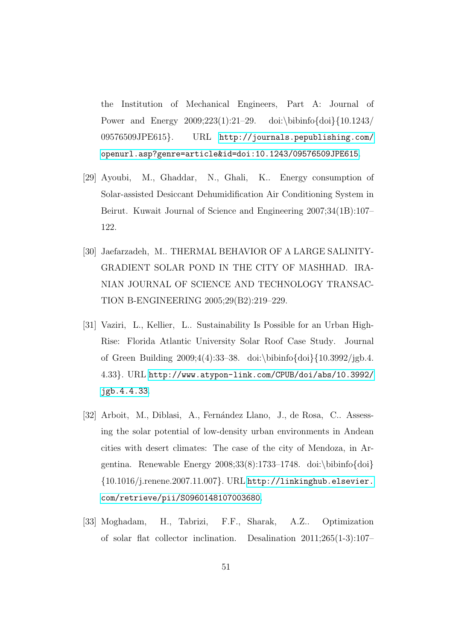the Institution of Mechanical Engineers, Part A: Journal of Power and Energy 2009;223(1):21–29. doi:\bibinfo{doi}{10.1243/ 09576509JPE615}. URL [http://journals.pepublishing.com/](http://journals.pepublishing.com/openurl.asp?genre=article&id=doi:10.1243/09576509JPE615) [openurl.asp?genre=article&id=doi:10.1243/09576509JPE615](http://journals.pepublishing.com/openurl.asp?genre=article&id=doi:10.1243/09576509JPE615).

- [29] Ayoubi, M., Ghaddar, N., Ghali, K.. Energy consumption of Solar-assisted Desiccant Dehumidification Air Conditioning System in Beirut. Kuwait Journal of Science and Engineering 2007;34(1B):107– 122.
- [30] Jaefarzadeh, M.. THERMAL BEHAVIOR OF A LARGE SALINITY-GRADIENT SOLAR POND IN THE CITY OF MASHHAD. IRA-NIAN JOURNAL OF SCIENCE AND TECHNOLOGY TRANSAC-TION B-ENGINEERING 2005;29(B2):219–229.
- [31] Vaziri, L., Kellier, L.. Sustainability Is Possible for an Urban High-Rise: Florida Atlantic University Solar Roof Case Study. Journal of Green Building  $2009;4(4):33-38$ . doi:\bibinfo{doi}{10.3992/jgb.4. 4.33}. URL [http://www.atypon-link.com/CPUB/doi/abs/10.3992/](http://www.atypon-link.com/CPUB/doi/abs/10.3992/jgb.4.4.33) [jgb.4.4.33](http://www.atypon-link.com/CPUB/doi/abs/10.3992/jgb.4.4.33).
- [32] Arboit, M., Diblasi, A., Fernández Llano, J., de Rosa, C.. Assessing the solar potential of low-density urban environments in Andean cities with desert climates: The case of the city of Mendoza, in Argentina. Renewable Energy  $2008;33(8):1733-1748$ . doi:\bibinfo{doi} {10.1016/j.renene.2007.11.007}. URL [http://linkinghub.elsevier.](http://linkinghub.elsevier.com/retrieve/pii/S0960148107003680) [com/retrieve/pii/S0960148107003680](http://linkinghub.elsevier.com/retrieve/pii/S0960148107003680).
- [33] Moghadam, H., Tabrizi, F.F., Sharak, A.Z.. Optimization of solar flat collector inclination. Desalination 2011;265(1-3):107–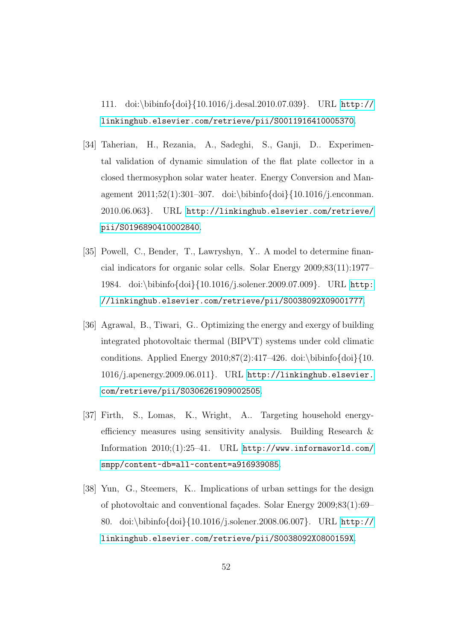111. doi:\bibinfo{doi}{10.1016/j.desal.2010.07.039}. URL [http://](http://linkinghub.elsevier.com/retrieve/pii/S0011916410005370) [linkinghub.elsevier.com/retrieve/pii/S0011916410005370](http://linkinghub.elsevier.com/retrieve/pii/S0011916410005370).

- [34] Taherian, H., Rezania, A., Sadeghi, S., Ganji, D.. Experimental validation of dynamic simulation of the flat plate collector in a closed thermosyphon solar water heater. Energy Conversion and Management 2011;52(1):301–307. doi:\bibinfo{doi}{10.1016/j.enconman. 2010.06.063}. URL [http://linkinghub.elsevier.com/retrieve/](http://linkinghub.elsevier.com/retrieve/pii/S0196890410002840) [pii/S0196890410002840](http://linkinghub.elsevier.com/retrieve/pii/S0196890410002840).
- [35] Powell, C., Bender, T., Lawryshyn, Y.. A model to determine financial indicators for organic solar cells. Solar Energy 2009;83(11):1977– 1984. doi:\bibinfo{doi}{10.1016/j.solener.2009.07.009}. URL [http:](http://linkinghub.elsevier.com/retrieve/pii/S0038092X09001777) [//linkinghub.elsevier.com/retrieve/pii/S0038092X09001777](http://linkinghub.elsevier.com/retrieve/pii/S0038092X09001777).
- [36] Agrawal, B., Tiwari, G.. Optimizing the energy and exergy of building integrated photovoltaic thermal (BIPVT) systems under cold climatic conditions. Applied Energy  $2010:87(2):417-426$ . doi:\bibinfo{doi}{10. 1016/j.apenergy.2009.06.011}. URL [http://linkinghub.elsevier.](http://linkinghub.elsevier.com/retrieve/pii/S0306261909002505) [com/retrieve/pii/S0306261909002505](http://linkinghub.elsevier.com/retrieve/pii/S0306261909002505).
- [37] Firth, S., Lomas, K., Wright, A.. Targeting household energyefficiency measures using sensitivity analysis. Building Research & Information 2010;(1):25–41. URL [http://www.informaworld.com/](http://www.informaworld.com/smpp/content~db=all~content=a916939085) [smpp/content~db=all~content=a916939085](http://www.informaworld.com/smpp/content~db=all~content=a916939085).
- [38] Yun, G., Steemers, K.. Implications of urban settings for the design of photovoltaic and conventional façades. Solar Energy  $2009;83(1):69-$ 80. doi:\bibinfo{doi}{10.1016/j.solener.2008.06.007}. URL [http://](http://linkinghub.elsevier.com/retrieve/pii/S0038092X0800159X) [linkinghub.elsevier.com/retrieve/pii/S0038092X0800159X](http://linkinghub.elsevier.com/retrieve/pii/S0038092X0800159X).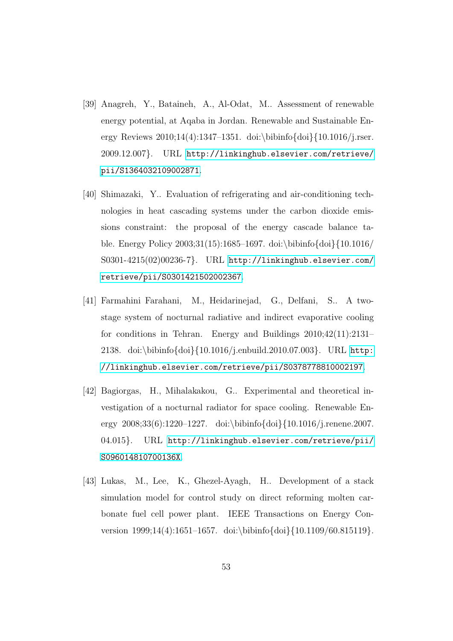- [39] Anagreh, Y., Bataineh, A., Al-Odat, M.. Assessment of renewable energy potential, at Aqaba in Jordan. Renewable and Sustainable Energy Reviews 2010;14(4):1347–1351. doi:\bibinfo{doi}{10.1016/j.rser. 2009.12.007}. URL [http://linkinghub.elsevier.com/retrieve/](http://linkinghub.elsevier.com/retrieve/pii/S1364032109002871) [pii/S1364032109002871](http://linkinghub.elsevier.com/retrieve/pii/S1364032109002871).
- [40] Shimazaki, Y.. Evaluation of refrigerating and air-conditioning technologies in heat cascading systems under the carbon dioxide emissions constraint: the proposal of the energy cascade balance table. Energy Policy 2003;31(15):1685–1697. doi:\bibinfo{doi}{10.1016/ S0301-4215(02)00236-7}. URL [http://linkinghub.elsevier.com/](http://linkinghub.elsevier.com/retrieve/pii/S0301421502002367) [retrieve/pii/S0301421502002367](http://linkinghub.elsevier.com/retrieve/pii/S0301421502002367).
- [41] Farmahini Farahani, M., Heidarinejad, G., Delfani, S.. A twostage system of nocturnal radiative and indirect evaporative cooling for conditions in Tehran. Energy and Buildings 2010;42(11):2131– 2138. doi:\bibinfo{doi}{10.1016/j.enbuild.2010.07.003}. URL [http:](http://linkinghub.elsevier.com/retrieve/pii/S0378778810002197) [//linkinghub.elsevier.com/retrieve/pii/S0378778810002197](http://linkinghub.elsevier.com/retrieve/pii/S0378778810002197).
- [42] Bagiorgas, H., Mihalakakou, G.. Experimental and theoretical investigation of a nocturnal radiator for space cooling. Renewable Energy 2008;33(6):1220–1227. doi:\bibinfo{doi}{10.1016/j.renene.2007. 04.015}. URL [http://linkinghub.elsevier.com/retrieve/pii/](http://linkinghub.elsevier.com/retrieve/pii/S096014810700136X) [S096014810700136X](http://linkinghub.elsevier.com/retrieve/pii/S096014810700136X).
- [43] Lukas, M., Lee, K., Ghezel-Ayagh, H.. Development of a stack simulation model for control study on direct reforming molten carbonate fuel cell power plant. IEEE Transactions on Energy Conversion 1999;14(4):1651–1657. doi:\bibinfo{doi}{10.1109/60.815119}.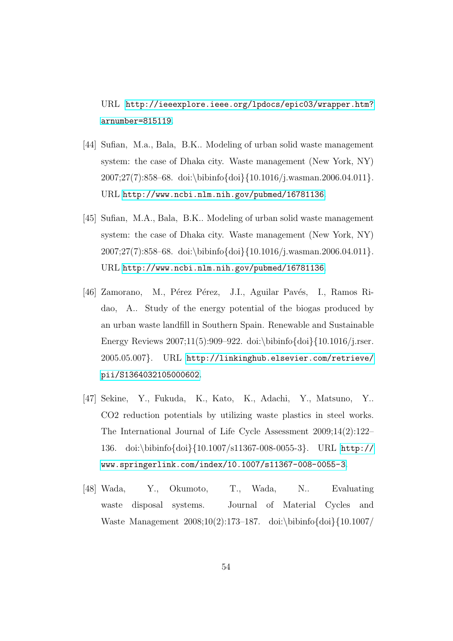URL [http://ieeexplore.ieee.org/lpdocs/epic03/wrapper.htm?](http://ieeexplore.ieee.org/lpdocs/epic03/wrapper.htm?arnumber=815119) [arnumber=815119](http://ieeexplore.ieee.org/lpdocs/epic03/wrapper.htm?arnumber=815119).

- [44] Sufian, M.a., Bala, B.K.. Modeling of urban solid waste management system: the case of Dhaka city. Waste management (New York, NY) 2007;27(7):858–68. doi:\bibinfo{doi}{10.1016/j.wasman.2006.04.011}. URL <http://www.ncbi.nlm.nih.gov/pubmed/16781136>.
- [45] Sufian, M.A., Bala, B.K.. Modeling of urban solid waste management system: the case of Dhaka city. Waste management (New York, NY) 2007;27(7):858–68. doi:\bibinfo{doi}{10.1016/j.wasman.2006.04.011}. URL <http://www.ncbi.nlm.nih.gov/pubmed/16781136>.
- [46] Zamorano, M., Pérez Pérez, J.I., Aguilar Pavés, I., Ramos Ridao, A.. Study of the energy potential of the biogas produced by an urban waste landfill in Southern Spain. Renewable and Sustainable Energy Reviews 2007;11(5):909–922. doi:\bibinfo{doi}{10.1016/j.rser. 2005.05.007}. URL [http://linkinghub.elsevier.com/retrieve/](http://linkinghub.elsevier.com/retrieve/pii/S1364032105000602) [pii/S1364032105000602](http://linkinghub.elsevier.com/retrieve/pii/S1364032105000602).
- [47] Sekine, Y., Fukuda, K., Kato, K., Adachi, Y., Matsuno, Y.. CO2 reduction potentials by utilizing waste plastics in steel works. The International Journal of Life Cycle Assessment 2009;14(2):122– 136. doi:\bibinfo{doi}{10.1007/s11367-008-0055-3}. URL [http://](http://www.springerlink.com/index/10.1007/s11367-008-0055-3) [www.springerlink.com/index/10.1007/s11367-008-0055-3](http://www.springerlink.com/index/10.1007/s11367-008-0055-3).
- [48] Wada, Y., Okumoto, T., Wada, N.. Evaluating waste disposal systems. Journal of Material Cycles and Waste Management 2008;10(2):173–187. doi:\bibinfo{doi}{10.1007/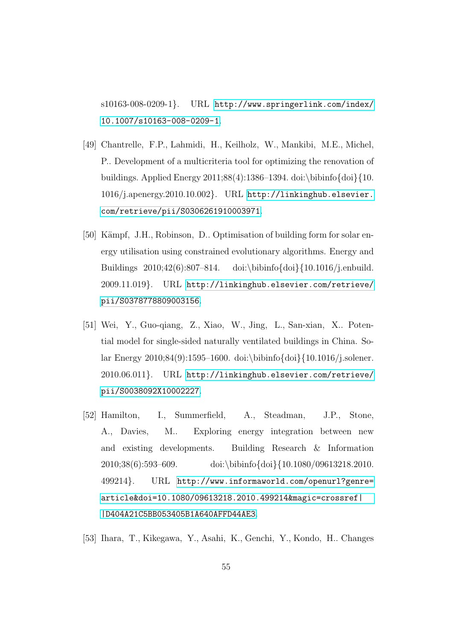s10163-008-0209-1}. URL [http://www.springerlink.com/index/](http://www.springerlink.com/index/10.1007/s10163-008-0209-1) [10.1007/s10163-008-0209-1](http://www.springerlink.com/index/10.1007/s10163-008-0209-1).

- [49] Chantrelle, F.P., Lahmidi, H., Keilholz, W., Mankibi, M.E., Michel, P.. Development of a multicriteria tool for optimizing the renovation of buildings. Applied Energy 2011;88(4):1386–1394. doi:\bibinfo{doi}{10. 1016/j.apenergy.2010.10.002}. URL [http://linkinghub.elsevier.](http://linkinghub.elsevier.com/retrieve/pii/S0306261910003971) [com/retrieve/pii/S0306261910003971](http://linkinghub.elsevier.com/retrieve/pii/S0306261910003971).
- [50] Kämpf, J.H., Robinson, D.. Optimisation of building form for solar energy utilisation using constrained evolutionary algorithms. Energy and Buildings 2010;42(6):807–814. doi:\bibinfo{doi}{10.1016/j.enbuild. 2009.11.019}. URL [http://linkinghub.elsevier.com/retrieve/](http://linkinghub.elsevier.com/retrieve/pii/S0378778809003156) [pii/S0378778809003156](http://linkinghub.elsevier.com/retrieve/pii/S0378778809003156).
- [51] Wei, Y., Guo-qiang, Z., Xiao, W., Jing, L., San-xian, X.. Potential model for single-sided naturally ventilated buildings in China. Solar Energy  $2010;84(9):1595-1600. \n[doi: \bbi \of \doi{doi} \[10.1016/j.solener](https://doi.org/10.1016/j.solener).$ 2010.06.011}. URL [http://linkinghub.elsevier.com/retrieve/](http://linkinghub.elsevier.com/retrieve/pii/S0038092X10002227) [pii/S0038092X10002227](http://linkinghub.elsevier.com/retrieve/pii/S0038092X10002227).
- [52] Hamilton, I., Summerfield, A., Steadman, J.P., Stone, A., Davies, M.. Exploring energy integration between new and existing developments. Building Research & Information 2010;38(6):593–609. doi:\bibinfo{doi}{10.1080/09613218.2010. 499214}. URL [http://www.informaworld.com/openurl?genre=](http://www.informaworld.com/openurl?genre=article&doi=10.1080/09613218.2010.499214&magic=crossref||D404A21C5BB053405B1A640AFFD44AE3) [article&doi=10.1080/09613218.2010.499214&magic=crossref|](http://www.informaworld.com/openurl?genre=article&doi=10.1080/09613218.2010.499214&magic=crossref||D404A21C5BB053405B1A640AFFD44AE3) [|D404A21C5BB053405B1A640AFFD44AE3](http://www.informaworld.com/openurl?genre=article&doi=10.1080/09613218.2010.499214&magic=crossref||D404A21C5BB053405B1A640AFFD44AE3).
- [53] Ihara, T., Kikegawa, Y., Asahi, K., Genchi, Y., Kondo, H.. Changes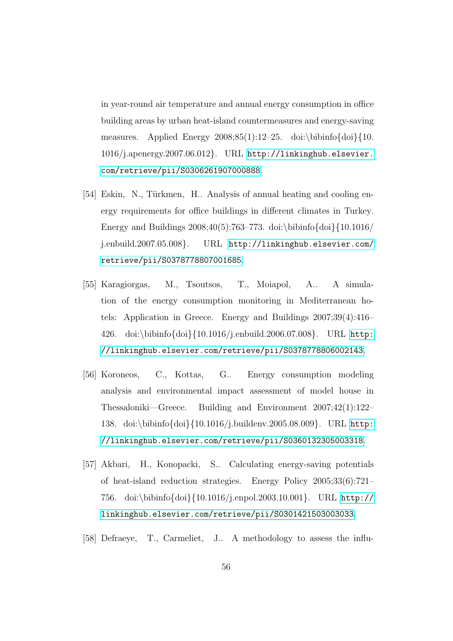in year-round air temperature and annual energy consumption in office building areas by urban heat-island countermeasures and energy-saving measures. Applied Energy  $2008:85(1):12-25$ . doi:\bibinfo{doi}{10. 1016/j.apenergy.2007.06.012}. URL [http://linkinghub.elsevier.](http://linkinghub.elsevier.com/retrieve/pii/S0306261907000888) [com/retrieve/pii/S0306261907000888](http://linkinghub.elsevier.com/retrieve/pii/S0306261907000888).

- [54] Eskin, N., Türkmen, H.. Analysis of annual heating and cooling energy requirements for office buildings in different climates in Turkey. Energy and Buildings  $2008;40(5):763-773. \text{doi:} \bibinfo{doi}{10.1016}$ j.enbuild.2007.05.008}. URL [http://linkinghub.elsevier.com/](http://linkinghub.elsevier.com/retrieve/pii/S0378778807001685) [retrieve/pii/S0378778807001685](http://linkinghub.elsevier.com/retrieve/pii/S0378778807001685).
- [55] Karagiorgas, M., Tsoutsos, T., Moiapol, A.. A simulation of the energy consumption monitoring in Mediterranean hotels: Application in Greece. Energy and Buildings 2007;39(4):416– 426. doi:\bibinfo{doi}{10.1016/j.enbuild.2006.07.008}. URL [http:](http://linkinghub.elsevier.com/retrieve/pii/S0378778806002143) [//linkinghub.elsevier.com/retrieve/pii/S0378778806002143](http://linkinghub.elsevier.com/retrieve/pii/S0378778806002143).
- [56] Koroneos, C., Kottas, G.. Energy consumption modeling analysis and environmental impact assessment of model house in Thessaloniki—Greece. Building and Environment 2007;42(1):122– 138. doi:\bibinfo{doi}{10.1016/j.buildenv.2005.08.009}. URL [http:](http://linkinghub.elsevier.com/retrieve/pii/S0360132305003318) [//linkinghub.elsevier.com/retrieve/pii/S0360132305003318](http://linkinghub.elsevier.com/retrieve/pii/S0360132305003318).
- [57] Akbari, H., Konopacki, S.. Calculating energy-saving potentials of heat-island reduction strategies. Energy Policy 2005;33(6):721– 756. doi:\bibinfo{doi}{10.1016/j.enpol.2003.10.001}. URL [http://](http://linkinghub.elsevier.com/retrieve/pii/S0301421503003033) [linkinghub.elsevier.com/retrieve/pii/S0301421503003033](http://linkinghub.elsevier.com/retrieve/pii/S0301421503003033).
- [58] Defraeye, T., Carmeliet, J.. A methodology to assess the influ-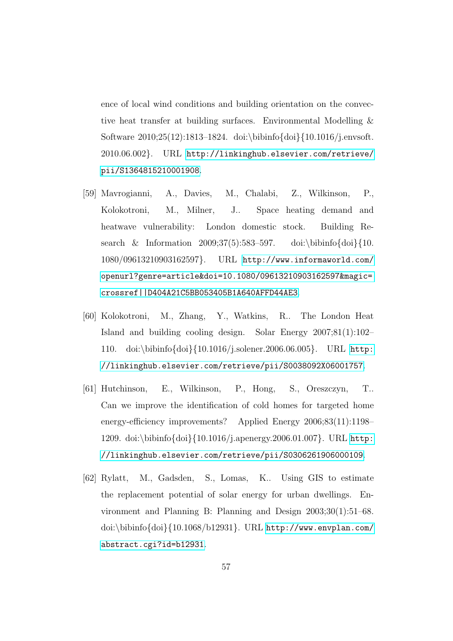ence of local wind conditions and building orientation on the convective heat transfer at building surfaces. Environmental Modelling & Software 2010;25(12):1813–1824. doi:\bibinfo{doi}{10.1016/j.envsoft. 2010.06.002}. URL [http://linkinghub.elsevier.com/retrieve/](http://linkinghub.elsevier.com/retrieve/pii/S1364815210001908) [pii/S1364815210001908](http://linkinghub.elsevier.com/retrieve/pii/S1364815210001908).

- [59] Mavrogianni, A., Davies, M., Chalabi, Z., Wilkinson, P., Kolokotroni, M., Milner, J.. Space heating demand and heatwave vulnerability: London domestic stock. Building Research & Information  $2009;37(5):583-597$ . doi:\bibinfo{doi}{10. 1080/09613210903162597}. URL [http://www.informaworld.com/](http://www.informaworld.com/openurl?genre=article&doi=10.1080/09613210903162597&magic=crossref||D404A21C5BB053405B1A640AFFD44AE3) [openurl?genre=article&doi=10.1080/09613210903162597&magic=](http://www.informaworld.com/openurl?genre=article&doi=10.1080/09613210903162597&magic=crossref||D404A21C5BB053405B1A640AFFD44AE3) [crossref||D404A21C5BB053405B1A640AFFD44AE3](http://www.informaworld.com/openurl?genre=article&doi=10.1080/09613210903162597&magic=crossref||D404A21C5BB053405B1A640AFFD44AE3).
- [60] Kolokotroni, M., Zhang, Y., Watkins, R.. The London Heat Island and building cooling design. Solar Energy 2007;81(1):102– 110. doi:\bibinfo{doi}{10.1016/j.solener.2006.06.005}. URL [http:](http://linkinghub.elsevier.com/retrieve/pii/S0038092X06001757) [//linkinghub.elsevier.com/retrieve/pii/S0038092X06001757](http://linkinghub.elsevier.com/retrieve/pii/S0038092X06001757).
- [61] Hutchinson, E., Wilkinson, P., Hong, S., Oreszczyn, T.. Can we improve the identification of cold homes for targeted home energy-efficiency improvements? Applied Energy 2006;83(11):1198– 1209. doi:\bibinfo{doi}{10.1016/j.apenergy.2006.01.007}. URL [http:](http://linkinghub.elsevier.com/retrieve/pii/S0306261906000109) [//linkinghub.elsevier.com/retrieve/pii/S0306261906000109](http://linkinghub.elsevier.com/retrieve/pii/S0306261906000109).
- [62] Rylatt, M., Gadsden, S., Lomas, K.. Using GIS to estimate the replacement potential of solar energy for urban dwellings. Environment and Planning B: Planning and Design 2003;30(1):51–68. doi:\bibinfo{doi}{10.1068/b12931}. URL [http://www.envplan.com/](http://www.envplan.com/abstract.cgi?id=b12931) [abstract.cgi?id=b12931](http://www.envplan.com/abstract.cgi?id=b12931).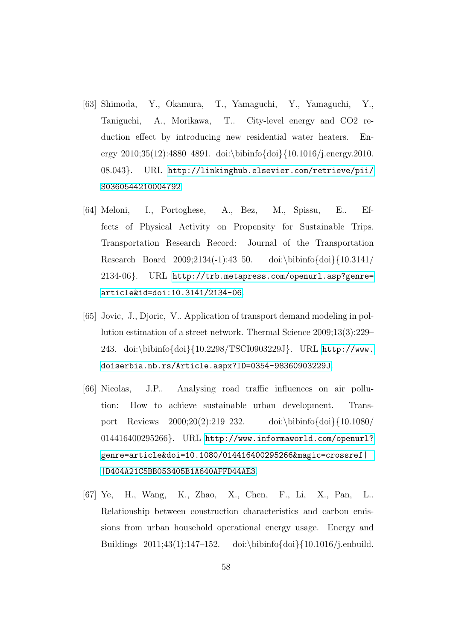- [63] Shimoda, Y., Okamura, T., Yamaguchi, Y., Yamaguchi, Y., Taniguchi, A., Morikawa, T.. City-level energy and CO2 reduction effect by introducing new residential water heaters. Energy 2010;35(12):4880–4891. doi:\bibinfo{doi}{10.1016/j.energy.2010. 08.043}. URL [http://linkinghub.elsevier.com/retrieve/pii/](http://linkinghub.elsevier.com/retrieve/pii/S0360544210004792) [S0360544210004792](http://linkinghub.elsevier.com/retrieve/pii/S0360544210004792).
- [64] Meloni, I., Portoghese, A., Bez, M., Spissu, E.. Effects of Physical Activity on Propensity for Sustainable Trips. Transportation Research Record: Journal of the Transportation Research Board 2009;2134(-1):43–50. doi:\bibinfo{doi}{10.3141/ 2134-06}. URL [http://trb.metapress.com/openurl.asp?genre=](http://trb.metapress.com/openurl.asp?genre=article&id=doi:10.3141/2134-06) [article&id=doi:10.3141/2134-06](http://trb.metapress.com/openurl.asp?genre=article&id=doi:10.3141/2134-06).
- [65] Jovic, J., Djoric, V.. Application of transport demand modeling in pollution estimation of a street network. Thermal Science 2009;13(3):229– 243. doi:\bibinfo{doi}{10.2298/TSCI0903229J}. URL [http://www.](http://www.doiserbia.nb.rs/Article.aspx?ID=0354-98360903229J) [doiserbia.nb.rs/Article.aspx?ID=0354-98360903229J](http://www.doiserbia.nb.rs/Article.aspx?ID=0354-98360903229J).
- [66] Nicolas, J.P.. Analysing road traffic influences on air pollution: How to achieve sustainable urban development. Transport Reviews 2000;20(2):219–232. doi:\bibinfo{doi}{10.1080/ 014416400295266}. URL [http://www.informaworld.com/openurl?](http://www.informaworld.com/openurl?genre=article&doi=10.1080/014416400295266&magic=crossref||D404A21C5BB053405B1A640AFFD44AE3) [genre=article&doi=10.1080/014416400295266&magic=crossref|](http://www.informaworld.com/openurl?genre=article&doi=10.1080/014416400295266&magic=crossref||D404A21C5BB053405B1A640AFFD44AE3) [|D404A21C5BB053405B1A640AFFD44AE3](http://www.informaworld.com/openurl?genre=article&doi=10.1080/014416400295266&magic=crossref||D404A21C5BB053405B1A640AFFD44AE3).
- [67] Ye, H., Wang, K., Zhao, X., Chen, F., Li, X., Pan, L.. Relationship between construction characteristics and carbon emissions from urban household operational energy usage. Energy and Buildings 2011;43(1):147–152. doi:\bibinfo{doi}{10.1016/j.enbuild.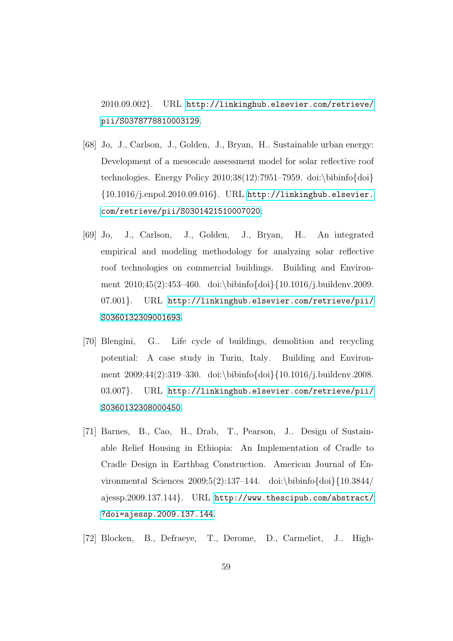2010.09.002}. URL [http://linkinghub.elsevier.com/retrieve/](http://linkinghub.elsevier.com/retrieve/pii/S0378778810003129) [pii/S0378778810003129](http://linkinghub.elsevier.com/retrieve/pii/S0378778810003129).

- [68] Jo, J., Carlson, J., Golden, J., Bryan, H.. Sustainable urban energy: Development of a mesoscale assessment model for solar reflective roof technologies. Energy Policy  $2010;38(12):7951-7959$ . doi:\bibinfo{doi} {10.1016/j.enpol.2010.09.016}. URL [http://linkinghub.elsevier.](http://linkinghub.elsevier.com/retrieve/pii/S0301421510007020) [com/retrieve/pii/S0301421510007020](http://linkinghub.elsevier.com/retrieve/pii/S0301421510007020).
- [69] Jo, J., Carlson, J., Golden, J., Bryan, H.. An integrated empirical and modeling methodology for analyzing solar reflective roof technologies on commercial buildings. Building and Environment 2010;45(2):453–460. doi:\bibinfo{doi}{10.1016/j.buildenv.2009. 07.001}. URL [http://linkinghub.elsevier.com/retrieve/pii/](http://linkinghub.elsevier.com/retrieve/pii/S0360132309001693) [S0360132309001693](http://linkinghub.elsevier.com/retrieve/pii/S0360132309001693).
- [70] Blengini, G.. Life cycle of buildings, demolition and recycling potential: A case study in Turin, Italy. Building and Environment 2009;44(2):319–330. doi:\bibinfo{doi}{10.1016/j.buildenv.2008. 03.007}. URL [http://linkinghub.elsevier.com/retrieve/pii/](http://linkinghub.elsevier.com/retrieve/pii/S0360132308000450) [S0360132308000450](http://linkinghub.elsevier.com/retrieve/pii/S0360132308000450).
- [71] Barnes, B., Cao, H., Drab, T., Pearson, J.. Design of Sustainable Relief Housing in Ethiopia: An Implementation of Cradle to Cradle Design in Earthbag Construction. American Journal of Environmental Sciences 2009;5(2):137–144. doi:\bibinfo{doi}{10.3844/ ajessp.2009.137.144}. URL [http://www.thescipub.com/abstract/](http://www.thescipub.com/abstract/?doi=ajessp.2009.137.144) [?doi=ajessp.2009.137.144](http://www.thescipub.com/abstract/?doi=ajessp.2009.137.144).
- [72] Blocken, B., Defraeye, T., Derome, D., Carmeliet, J.. High-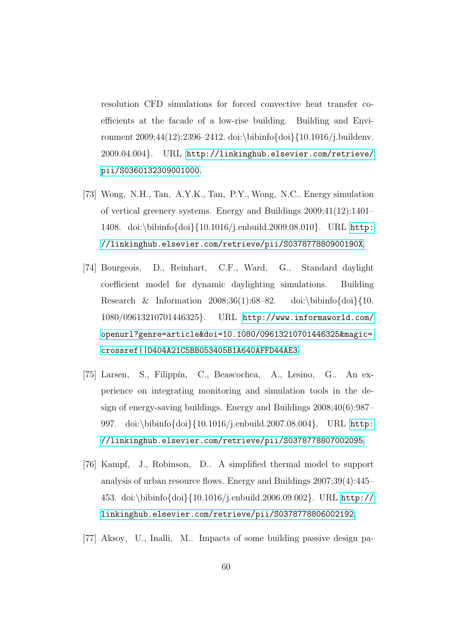resolution CFD simulations for forced convective heat transfer coefficients at the facade of a low-rise building. Building and Environment 2009;44(12):2396–2412. doi:\bibinfo{doi}{10.1016/j.buildenv. 2009.04.004}. URL [http://linkinghub.elsevier.com/retrieve/](http://linkinghub.elsevier.com/retrieve/pii/S0360132309001000) [pii/S0360132309001000](http://linkinghub.elsevier.com/retrieve/pii/S0360132309001000).

- [73] Wong, N.H., Tan, A.Y.K., Tan, P.Y., Wong, N.C.. Energy simulation of vertical greenery systems. Energy and Buildings 2009;41(12):1401– 1408. doi:\bibinfo{doi}{10.1016/j.enbuild.2009.08.010}. URL [http:](http://linkinghub.elsevier.com/retrieve/pii/S037877880900190X) [//linkinghub.elsevier.com/retrieve/pii/S037877880900190X](http://linkinghub.elsevier.com/retrieve/pii/S037877880900190X).
- [74] Bourgeois, D., Reinhart, C.F., Ward, G.. Standard daylight coefficient model for dynamic daylighting simulations. Building Research & Information  $2008;36(1):68-82$ . doi:\bibinfo{doi}{10. 1080/09613210701446325}. URL [http://www.informaworld.com/](http://www.informaworld.com/openurl?genre=article&doi=10.1080/09613210701446325&magic=crossref||D404A21C5BB053405B1A640AFFD44AE3) [openurl?genre=article&doi=10.1080/09613210701446325&magic=](http://www.informaworld.com/openurl?genre=article&doi=10.1080/09613210701446325&magic=crossref||D404A21C5BB053405B1A640AFFD44AE3) [crossref||D404A21C5BB053405B1A640AFFD44AE3](http://www.informaworld.com/openurl?genre=article&doi=10.1080/09613210701446325&magic=crossref||D404A21C5BB053405B1A640AFFD44AE3).
- [75] Larsen, S., Filippín, C., Beascochea, A., Lesino, G.. An experience on integrating monitoring and simulation tools in the design of energy-saving buildings. Energy and Buildings 2008;40(6):987– 997. doi:\bibinfo{doi}{10.1016/j.enbuild.2007.08.004}. URL [http:](http://linkinghub.elsevier.com/retrieve/pii/S0378778807002095) [//linkinghub.elsevier.com/retrieve/pii/S0378778807002095](http://linkinghub.elsevier.com/retrieve/pii/S0378778807002095).
- [76] Kampf, J., Robinson, D.. A simplified thermal model to support analysis of urban resource flows. Energy and Buildings 2007;39(4):445– 453. doi:\bibinfo{doi}{10.1016/j.enbuild.2006.09.002}. URL [http://](http://linkinghub.elsevier.com/retrieve/pii/S0378778806002192) [linkinghub.elsevier.com/retrieve/pii/S0378778806002192](http://linkinghub.elsevier.com/retrieve/pii/S0378778806002192).
- [77] Aksoy, U., Inalli, M.. Impacts of some building passive design pa-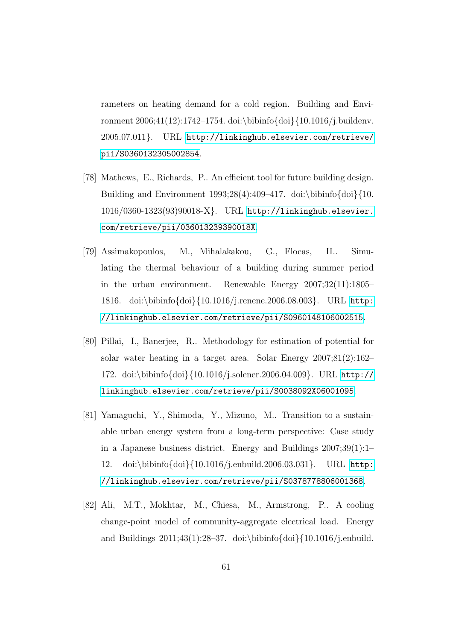rameters on heating demand for a cold region. Building and Environment 2006;41(12):1742–1754. doi:\bibinfo{doi}{10.1016/j.buildenv. 2005.07.011}. URL [http://linkinghub.elsevier.com/retrieve/](http://linkinghub.elsevier.com/retrieve/pii/S0360132305002854) [pii/S0360132305002854](http://linkinghub.elsevier.com/retrieve/pii/S0360132305002854).

- [78] Mathews, E., Richards, P.. An efficient tool for future building design. Building and Environment  $1993;28(4):409-417$ . doi:\bibinfo{doi}{10. 1016/0360-1323(93)90018-X}. URL [http://linkinghub.elsevier.](http://linkinghub.elsevier.com/retrieve/pii/036013239390018X) [com/retrieve/pii/036013239390018X](http://linkinghub.elsevier.com/retrieve/pii/036013239390018X).
- [79] Assimakopoulos, M., Mihalakakou, G., Flocas, H.. Simulating the thermal behaviour of a building during summer period in the urban environment. Renewable Energy 2007;32(11):1805– 1816. doi:\bibinfo{doi}{10.1016/j.renene.2006.08.003}. URL [http:](http://linkinghub.elsevier.com/retrieve/pii/S0960148106002515) [//linkinghub.elsevier.com/retrieve/pii/S0960148106002515](http://linkinghub.elsevier.com/retrieve/pii/S0960148106002515).
- [80] Pillai, I., Banerjee, R.. Methodology for estimation of potential for solar water heating in a target area. Solar Energy 2007;81(2):162– 172. doi:\bibinfo{doi}{10.1016/j.solener.2006.04.009}. URL [http://](http://linkinghub.elsevier.com/retrieve/pii/S0038092X06001095) [linkinghub.elsevier.com/retrieve/pii/S0038092X06001095](http://linkinghub.elsevier.com/retrieve/pii/S0038092X06001095).
- [81] Yamaguchi, Y., Shimoda, Y., Mizuno, M.. Transition to a sustainable urban energy system from a long-term perspective: Case study in a Japanese business district. Energy and Buildings 2007;39(1):1– 12. doi:\bibinfo{doi}{10.1016/j.enbuild.2006.03.031}. URL [http:](http://linkinghub.elsevier.com/retrieve/pii/S0378778806001368) [//linkinghub.elsevier.com/retrieve/pii/S0378778806001368](http://linkinghub.elsevier.com/retrieve/pii/S0378778806001368).
- [82] Ali, M.T., Mokhtar, M., Chiesa, M., Armstrong, P.. A cooling change-point model of community-aggregate electrical load. Energy and Buildings  $2011;43(1):28-37$ . doi:\bibinfo{doi}{10.1016/j.enbuild.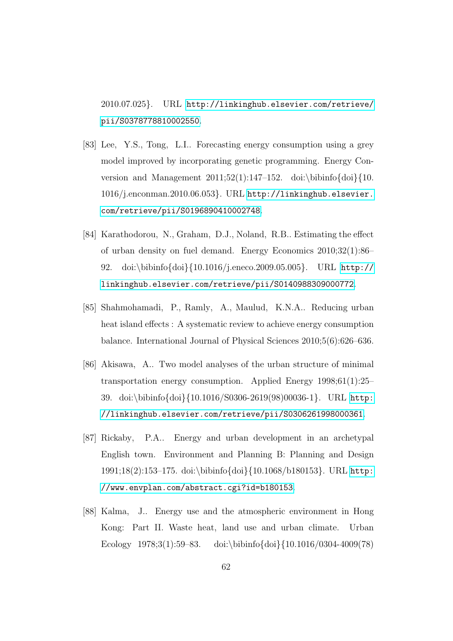2010.07.025}. URL [http://linkinghub.elsevier.com/retrieve/](http://linkinghub.elsevier.com/retrieve/pii/S0378778810002550) [pii/S0378778810002550](http://linkinghub.elsevier.com/retrieve/pii/S0378778810002550).

- [83] Lee, Y.S., Tong, L.I.. Forecasting energy consumption using a grey model improved by incorporating genetic programming. Energy Conversion and Management  $2011;52(1):147-152$ . doi:\bibinfo{doi}{10. 1016/j.enconman.2010.06.053}. URL [http://linkinghub.elsevier.](http://linkinghub.elsevier.com/retrieve/pii/S0196890410002748) [com/retrieve/pii/S0196890410002748](http://linkinghub.elsevier.com/retrieve/pii/S0196890410002748).
- [84] Karathodorou, N., Graham, D.J., Noland, R.B.. Estimating the effect of urban density on fuel demand. Energy Economics 2010;32(1):86– 92. doi:\bibinfo{doi}{10.1016/j.eneco.2009.05.005}. URL [http://](http://linkinghub.elsevier.com/retrieve/pii/S0140988309000772) [linkinghub.elsevier.com/retrieve/pii/S0140988309000772](http://linkinghub.elsevier.com/retrieve/pii/S0140988309000772).
- [85] Shahmohamadi, P., Ramly, A., Maulud, K.N.A.. Reducing urban heat island effects : A systematic review to achieve energy consumption balance. International Journal of Physical Sciences 2010;5(6):626–636.
- [86] Akisawa, A.. Two model analyses of the urban structure of minimal transportation energy consumption. Applied Energy 1998;61(1):25– 39. doi:\bibinfo{doi}{10.1016/S0306-2619(98)00036-1}. URL [http:](http://linkinghub.elsevier.com/retrieve/pii/S0306261998000361) [//linkinghub.elsevier.com/retrieve/pii/S0306261998000361](http://linkinghub.elsevier.com/retrieve/pii/S0306261998000361).
- [87] Rickaby, P.A.. Energy and urban development in an archetypal English town. Environment and Planning B: Planning and Design 1991;18(2):153–175. doi:\bibinfo{doi}{10.1068/b180153}. URL [http:](http://www.envplan.com/abstract.cgi?id=b180153) [//www.envplan.com/abstract.cgi?id=b180153](http://www.envplan.com/abstract.cgi?id=b180153).
- [88] Kalma, J.. Energy use and the atmospheric environment in Hong Kong: Part II. Waste heat, land use and urban climate. Urban Ecology 1978;3(1):59–83. doi:\bibinfo{doi}{10.1016/0304-4009(78)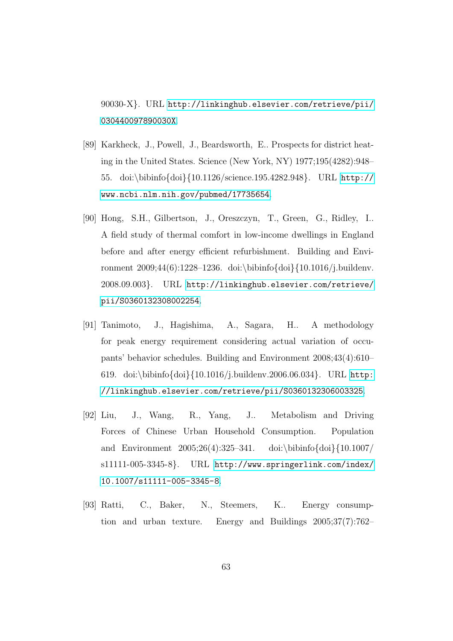90030-X}. URL [http://linkinghub.elsevier.com/retrieve/pii/](http://linkinghub.elsevier.com/retrieve/pii/030440097890030X) [030440097890030X](http://linkinghub.elsevier.com/retrieve/pii/030440097890030X).

- [89] Karkheck, J., Powell, J., Beardsworth, E.. Prospects for district heating in the United States. Science (New York, NY) 1977;195(4282):948– 55. doi:\bibinfo{doi}{10.1126/science.195.4282.948}. URL [http://](http://www.ncbi.nlm.nih.gov/pubmed/17735654) [www.ncbi.nlm.nih.gov/pubmed/17735654](http://www.ncbi.nlm.nih.gov/pubmed/17735654).
- [90] Hong, S.H., Gilbertson, J., Oreszczyn, T., Green, G., Ridley, I.. A field study of thermal comfort in low-income dwellings in England before and after energy efficient refurbishment. Building and Environment 2009;44(6):1228–1236. doi:\bibinfo{doi}{10.1016/j.buildenv. 2008.09.003}. URL [http://linkinghub.elsevier.com/retrieve/](http://linkinghub.elsevier.com/retrieve/pii/S0360132308002254) [pii/S0360132308002254](http://linkinghub.elsevier.com/retrieve/pii/S0360132308002254).
- [91] Tanimoto, J., Hagishima, A., Sagara, H.. A methodology for peak energy requirement considering actual variation of occupants' behavior schedules. Building and Environment 2008;43(4):610– 619. doi:\bibinfo{doi}{10.1016/j.buildenv.2006.06.034}. URL [http:](http://linkinghub.elsevier.com/retrieve/pii/S0360132306003325) [//linkinghub.elsevier.com/retrieve/pii/S0360132306003325](http://linkinghub.elsevier.com/retrieve/pii/S0360132306003325).
- [92] Liu, J., Wang, R., Yang, J.. Metabolism and Driving Forces of Chinese Urban Household Consumption. Population and Environment 2005;26(4):325–341. doi:\bibinfo{doi}{10.1007/ s11111-005-3345-8}. URL [http://www.springerlink.com/index/](http://www.springerlink.com/index/10.1007/s11111-005-3345-8) [10.1007/s11111-005-3345-8](http://www.springerlink.com/index/10.1007/s11111-005-3345-8).
- [93] Ratti, C., Baker, N., Steemers, K.. Energy consumption and urban texture. Energy and Buildings 2005;37(7):762–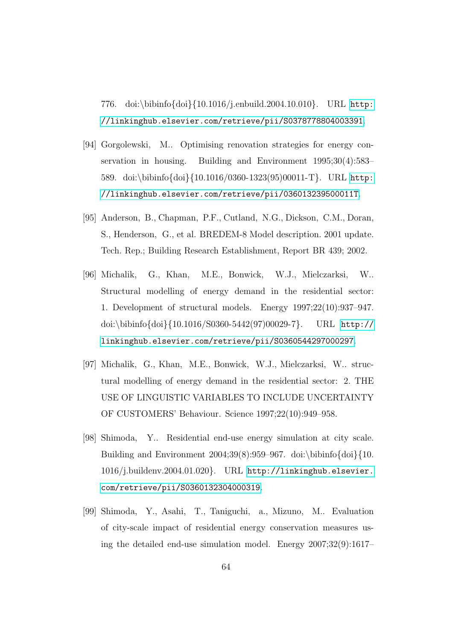776. doi:\bibinfo{doi}{10.1016/j.enbuild.2004.10.010}. URL [http:](http://linkinghub.elsevier.com/retrieve/pii/S0378778804003391) [//linkinghub.elsevier.com/retrieve/pii/S0378778804003391](http://linkinghub.elsevier.com/retrieve/pii/S0378778804003391).

- [94] Gorgolewski, M.. Optimising renovation strategies for energy conservation in housing. Building and Environment 1995;30(4):583– 589. doi:\bibinfo{doi}{10.1016/0360-1323(95)00011-T}. URL [http:](http://linkinghub.elsevier.com/retrieve/pii/036013239500011T) [//linkinghub.elsevier.com/retrieve/pii/036013239500011T](http://linkinghub.elsevier.com/retrieve/pii/036013239500011T).
- [95] Anderson, B., Chapman, P.F., Cutland, N.G., Dickson, C.M., Doran, S., Henderson, G., et al. BREDEM-8 Model description. 2001 update. Tech. Rep.; Building Research Establishment, Report BR 439; 2002.
- [96] Michalik, G., Khan, M.E., Bonwick, W.J., Mielczarksi, W.. Structural modelling of energy demand in the residential sector: 1. Development of structural models. Energy 1997;22(10):937–947. doi:\bibinfo{doi}{10.1016/S0360-5442(97)00029-7}. URL [http://](http://linkinghub.elsevier.com/retrieve/pii/S0360544297000297) [linkinghub.elsevier.com/retrieve/pii/S0360544297000297](http://linkinghub.elsevier.com/retrieve/pii/S0360544297000297).
- [97] Michalik, G., Khan, M.E., Bonwick, W.J., Mielczarksi, W.. structural modelling of energy demand in the residential sector: 2. THE USE OF LINGUISTIC VARIABLES TO INCLUDE UNCERTAINTY OF CUSTOMERS' Behaviour. Science 1997;22(10):949–958.
- [98] Shimoda, Y.. Residential end-use energy simulation at city scale. Building and Environment  $2004;39(8):959-967.$  doi:\bibinfo{doi}{10. 1016/j.buildenv.2004.01.020}. URL [http://linkinghub.elsevier.](http://linkinghub.elsevier.com/retrieve/pii/S0360132304000319) [com/retrieve/pii/S0360132304000319](http://linkinghub.elsevier.com/retrieve/pii/S0360132304000319).
- [99] Shimoda, Y., Asahi, T., Taniguchi, a., Mizuno, M.. Evaluation of city-scale impact of residential energy conservation measures using the detailed end-use simulation model. Energy 2007;32(9):1617–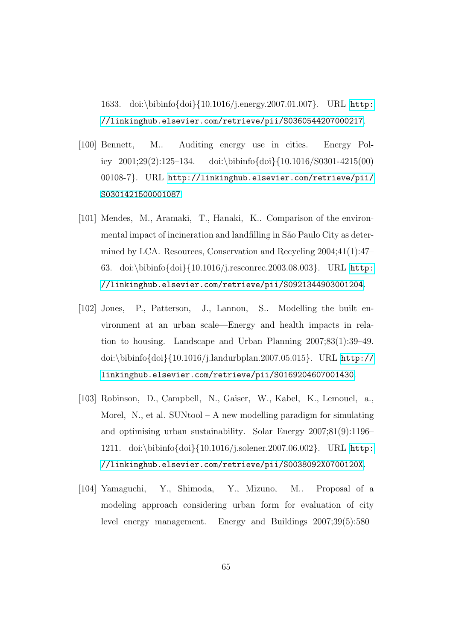1633. doi:\bibinfo{doi}{10.1016/j.energy.2007.01.007}. URL [http:](http://linkinghub.elsevier.com/retrieve/pii/S0360544207000217) [//linkinghub.elsevier.com/retrieve/pii/S0360544207000217](http://linkinghub.elsevier.com/retrieve/pii/S0360544207000217).

- [100] Bennett, M.. Auditing energy use in cities. Energy Policy 2001;29(2):125–134. doi:\bibinfo{doi}{10.1016/S0301-4215(00) 00108-7}. URL [http://linkinghub.elsevier.com/retrieve/pii/](http://linkinghub.elsevier.com/retrieve/pii/S0301421500001087) [S0301421500001087](http://linkinghub.elsevier.com/retrieve/pii/S0301421500001087).
- [101] Mendes, M., Aramaki, T., Hanaki, K.. Comparison of the environmental impact of incineration and landfilling in São Paulo City as determined by LCA. Resources, Conservation and Recycling 2004;41(1):47– 63. doi:\bibinfo{doi}{10.1016/j.resconrec.2003.08.003}. URL [http:](http://linkinghub.elsevier.com/retrieve/pii/S0921344903001204) [//linkinghub.elsevier.com/retrieve/pii/S0921344903001204](http://linkinghub.elsevier.com/retrieve/pii/S0921344903001204).
- [102] Jones, P., Patterson, J., Lannon, S.. Modelling the built environment at an urban scale—Energy and health impacts in relation to housing. Landscape and Urban Planning 2007;83(1):39–49. doi:\bibinfo{doi}{10.1016/j.landurbplan.2007.05.015}. URL [http://](http://linkinghub.elsevier.com/retrieve/pii/S0169204607001430) [linkinghub.elsevier.com/retrieve/pii/S0169204607001430](http://linkinghub.elsevier.com/retrieve/pii/S0169204607001430).
- [103] Robinson, D., Campbell, N., Gaiser, W., Kabel, K., Lemouel, a., Morel, N., et al. SUNtool – A new modelling paradigm for simulating and optimising urban sustainability. Solar Energy 2007;81(9):1196– 1211. doi:\bibinfo{doi}{10.1016/j.solener.2007.06.002}. URL [http:](http://linkinghub.elsevier.com/retrieve/pii/S0038092X0700120X) [//linkinghub.elsevier.com/retrieve/pii/S0038092X0700120X](http://linkinghub.elsevier.com/retrieve/pii/S0038092X0700120X).
- [104] Yamaguchi, Y., Shimoda, Y., Mizuno, M.. Proposal of a modeling approach considering urban form for evaluation of city level energy management. Energy and Buildings 2007;39(5):580–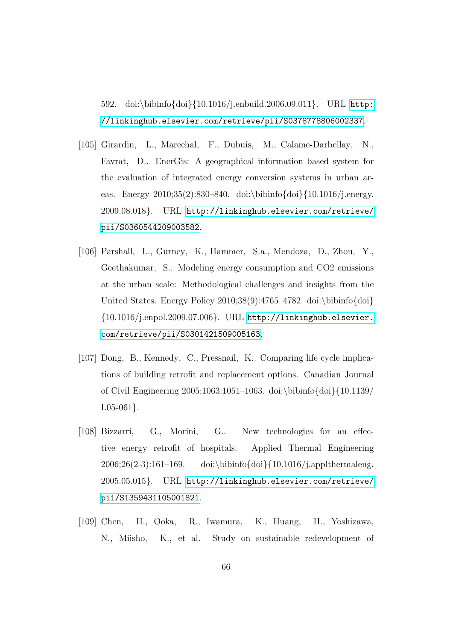592. doi:\bibinfo{doi}{10.1016/j.enbuild.2006.09.011}. URL [http:](http://linkinghub.elsevier.com/retrieve/pii/S0378778806002337) [//linkinghub.elsevier.com/retrieve/pii/S0378778806002337](http://linkinghub.elsevier.com/retrieve/pii/S0378778806002337).

- [105] Girardin, L., Marechal, F., Dubuis, M., Calame-Darbellay, N., Favrat, D.. EnerGis: A geographical information based system for the evaluation of integrated energy conversion systems in urban areas. Energy 2010;35(2):830–840. doi:\bibinfo{doi}{10.1016/j.energy. 2009.08.018}. URL [http://linkinghub.elsevier.com/retrieve/](http://linkinghub.elsevier.com/retrieve/pii/S0360544209003582) [pii/S0360544209003582](http://linkinghub.elsevier.com/retrieve/pii/S0360544209003582).
- [106] Parshall, L., Gurney, K., Hammer, S.a., Mendoza, D., Zhou, Y., Geethakumar, S.. Modeling energy consumption and CO2 emissions at the urban scale: Methodological challenges and insights from the United States. Energy Policy  $2010;38(9):4765-4782$ . doi:\bibinfo{doi} {10.1016/j.enpol.2009.07.006}. URL [http://linkinghub.elsevier.](http://linkinghub.elsevier.com/retrieve/pii/S0301421509005163) [com/retrieve/pii/S0301421509005163](http://linkinghub.elsevier.com/retrieve/pii/S0301421509005163).
- [107] Dong, B., Kennedy, C., Pressnail, K.. Comparing life cycle implications of building retrofit and replacement options. Canadian Journal of Civil Engineering 2005;1063:1051–1063. doi:\bibinfo{doi}{10.1139/ L05-061}.
- [108] Bizzarri, G., Morini, G.. New technologies for an effective energy retrofit of hospitals. Applied Thermal Engineering 2006;26(2-3):161–169. doi:\bibinfo{doi}{10.1016/j.applthermaleng. 2005.05.015}. URL [http://linkinghub.elsevier.com/retrieve/](http://linkinghub.elsevier.com/retrieve/pii/S1359431105001821) [pii/S1359431105001821](http://linkinghub.elsevier.com/retrieve/pii/S1359431105001821).
- [109] Chen, H., Ooka, R., Iwamura, K., Huang, H., Yoshizawa, N., Miisho, K., et al. Study on sustainable redevelopment of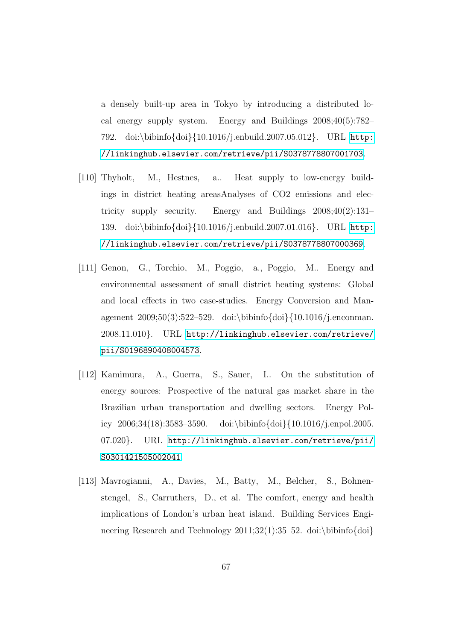a densely built-up area in Tokyo by introducing a distributed local energy supply system. Energy and Buildings 2008;40(5):782– 792. doi:\bibinfo{doi}{10.1016/j.enbuild.2007.05.012}. URL [http:](http://linkinghub.elsevier.com/retrieve/pii/S0378778807001703) [//linkinghub.elsevier.com/retrieve/pii/S0378778807001703](http://linkinghub.elsevier.com/retrieve/pii/S0378778807001703).

- [110] Thyholt, M., Hestnes, a.. Heat supply to low-energy buildings in district heating areasAnalyses of CO2 emissions and electricity supply security. Energy and Buildings 2008;40(2):131– 139. doi:\bibinfo{doi}{10.1016/j.enbuild.2007.01.016}. URL [http:](http://linkinghub.elsevier.com/retrieve/pii/S0378778807000369) [//linkinghub.elsevier.com/retrieve/pii/S0378778807000369](http://linkinghub.elsevier.com/retrieve/pii/S0378778807000369).
- [111] Genon, G., Torchio, M., Poggio, a., Poggio, M.. Energy and environmental assessment of small district heating systems: Global and local effects in two case-studies. Energy Conversion and Management 2009;50(3):522–529. doi:\bibinfo{doi}{10.1016/j.enconman. 2008.11.010}. URL [http://linkinghub.elsevier.com/retrieve/](http://linkinghub.elsevier.com/retrieve/pii/S0196890408004573) [pii/S0196890408004573](http://linkinghub.elsevier.com/retrieve/pii/S0196890408004573).
- [112] Kamimura, A., Guerra, S., Sauer, I.. On the substitution of energy sources: Prospective of the natural gas market share in the Brazilian urban transportation and dwelling sectors. Energy Policy 2006;34(18):3583–3590. doi:\bibinfo{doi}{10.1016/j.enpol.2005. 07.020}. URL [http://linkinghub.elsevier.com/retrieve/pii/](http://linkinghub.elsevier.com/retrieve/pii/S0301421505002041) [S0301421505002041](http://linkinghub.elsevier.com/retrieve/pii/S0301421505002041).
- [113] Mavrogianni, A., Davies, M., Batty, M., Belcher, S., Bohnenstengel, S., Carruthers, D., et al. The comfort, energy and health implications of London's urban heat island. Building Services Engineering Research and Technology 2011;32(1):35–52. doi:\bibinfo{doi}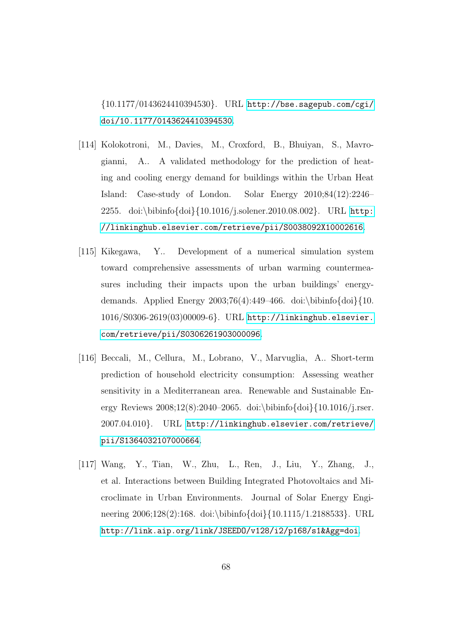{10.1177/0143624410394530}. URL [http://bse.sagepub.com/cgi/](http://bse.sagepub.com/cgi/doi/10.1177/0143624410394530) [doi/10.1177/0143624410394530](http://bse.sagepub.com/cgi/doi/10.1177/0143624410394530).

- [114] Kolokotroni, M., Davies, M., Croxford, B., Bhuiyan, S., Mavrogianni, A.. A validated methodology for the prediction of heating and cooling energy demand for buildings within the Urban Heat Island: Case-study of London. Solar Energy 2010;84(12):2246– 2255. doi:\bibinfo{doi}{10.1016/j.solener.2010.08.002}. URL [http:](http://linkinghub.elsevier.com/retrieve/pii/S0038092X10002616) [//linkinghub.elsevier.com/retrieve/pii/S0038092X10002616](http://linkinghub.elsevier.com/retrieve/pii/S0038092X10002616).
- [115] Kikegawa, Y.. Development of a numerical simulation system toward comprehensive assessments of urban warming countermeasures including their impacts upon the urban buildings' energydemands. Applied Energy  $2003;76(4):449-466$ . doi:\bibinfo{doi}{10. 1016/S0306-2619(03)00009-6}. URL [http://linkinghub.elsevier.](http://linkinghub.elsevier.com/retrieve/pii/S0306261903000096) [com/retrieve/pii/S0306261903000096](http://linkinghub.elsevier.com/retrieve/pii/S0306261903000096).
- [116] Beccali, M., Cellura, M., Lobrano, V., Marvuglia, A.. Short-term prediction of household electricity consumption: Assessing weather sensitivity in a Mediterranean area. Renewable and Sustainable Energy Reviews 2008;12(8):2040–2065. doi:\bibinfo{doi}{10.1016/j.rser. 2007.04.010}. URL [http://linkinghub.elsevier.com/retrieve/](http://linkinghub.elsevier.com/retrieve/pii/S1364032107000664) [pii/S1364032107000664](http://linkinghub.elsevier.com/retrieve/pii/S1364032107000664).
- [117] Wang, Y., Tian, W., Zhu, L., Ren, J., Liu, Y., Zhang, J., et al. Interactions between Building Integrated Photovoltaics and Microclimate in Urban Environments. Journal of Solar Energy Engineering 2006;128(2):168. doi:\bibinfo{doi}{10.1115/1.2188533}. URL <http://link.aip.org/link/JSEEDO/v128/i2/p168/s1&Agg=doi>.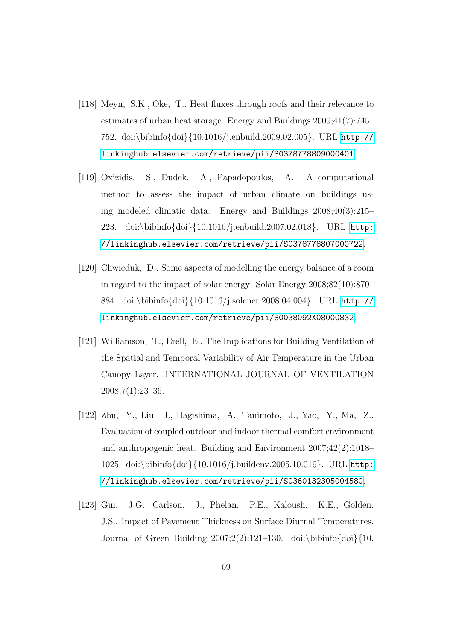- [118] Meyn, S.K., Oke, T.. Heat fluxes through roofs and their relevance to estimates of urban heat storage. Energy and Buildings 2009;41(7):745– 752. doi:\bibinfo{doi}{10.1016/j.enbuild.2009.02.005}. URL [http://](http://linkinghub.elsevier.com/retrieve/pii/S0378778809000401) [linkinghub.elsevier.com/retrieve/pii/S0378778809000401](http://linkinghub.elsevier.com/retrieve/pii/S0378778809000401).
- [119] Oxizidis, S., Dudek, A., Papadopoulos, A.. A computational method to assess the impact of urban climate on buildings using modeled climatic data. Energy and Buildings 2008;40(3):215– 223. doi:\bibinfo{doi}{10.1016/j.enbuild.2007.02.018}. URL [http:](http://linkinghub.elsevier.com/retrieve/pii/S0378778807000722) [//linkinghub.elsevier.com/retrieve/pii/S0378778807000722](http://linkinghub.elsevier.com/retrieve/pii/S0378778807000722).
- [120] Chwieduk, D.. Some aspects of modelling the energy balance of a room in regard to the impact of solar energy. Solar Energy 2008;82(10):870– 884. doi:\bibinfo{doi}{10.1016/j.solener.2008.04.004}. URL [http://](http://linkinghub.elsevier.com/retrieve/pii/S0038092X08000832) [linkinghub.elsevier.com/retrieve/pii/S0038092X08000832](http://linkinghub.elsevier.com/retrieve/pii/S0038092X08000832).
- [121] Williamson, T., Erell, E.. The Implications for Building Ventilation of the Spatial and Temporal Variability of Air Temperature in the Urban Canopy Layer. INTERNATIONAL JOURNAL OF VENTILATION 2008;7(1):23–36.
- [122] Zhu, Y., Liu, J., Hagishima, A., Tanimoto, J., Yao, Y., Ma, Z.. Evaluation of coupled outdoor and indoor thermal comfort environment and anthropogenic heat. Building and Environment 2007;42(2):1018– 1025. doi:\bibinfo{doi}{10.1016/j.buildenv.2005.10.019}. URL [http:](http://linkinghub.elsevier.com/retrieve/pii/S0360132305004580) [//linkinghub.elsevier.com/retrieve/pii/S0360132305004580](http://linkinghub.elsevier.com/retrieve/pii/S0360132305004580).
- [123] Gui, J.G., Carlson, J., Phelan, P.E., Kaloush, K.E., Golden, J.S.. Impact of Pavement Thickness on Surface Diurnal Temperatures. Journal of Green Building  $2007;2(2):121-130$ . doi:\bibinfo{doi}{10.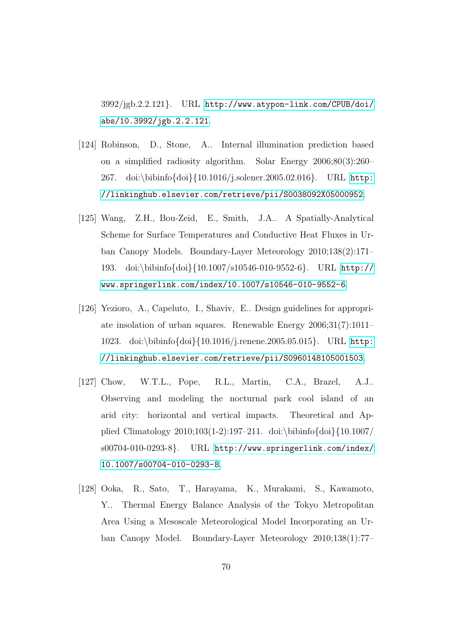3992/jgb.2.2.121}. URL [http://www.atypon-link.com/CPUB/doi/](http://www.atypon-link.com/CPUB/doi/abs/10.3992/jgb.2.2.121) [abs/10.3992/jgb.2.2.121](http://www.atypon-link.com/CPUB/doi/abs/10.3992/jgb.2.2.121).

- [124] Robinson, D., Stone, A.. Internal illumination prediction based on a simplified radiosity algorithm. Solar Energy 2006;80(3):260– 267. doi:\bibinfo{doi}{10.1016/j.solener.2005.02.016}. URL [http:](http://linkinghub.elsevier.com/retrieve/pii/S0038092X05000952) [//linkinghub.elsevier.com/retrieve/pii/S0038092X05000952](http://linkinghub.elsevier.com/retrieve/pii/S0038092X05000952).
- [125] Wang, Z.H., Bou-Zeid, E., Smith, J.A.. A Spatially-Analytical Scheme for Surface Temperatures and Conductive Heat Fluxes in Urban Canopy Models. Boundary-Layer Meteorology 2010;138(2):171– 193. doi:\bibinfo{doi}{10.1007/s10546-010-9552-6}. URL [http://](http://www.springerlink.com/index/10.1007/s10546-010-9552-6) [www.springerlink.com/index/10.1007/s10546-010-9552-6](http://www.springerlink.com/index/10.1007/s10546-010-9552-6).
- [126] Yezioro, A., Capeluto, I., Shaviv, E.. Design guidelines for appropriate insolation of urban squares. Renewable Energy 2006;31(7):1011– 1023. doi:\bibinfo{doi}{10.1016/j.renene.2005.05.015}. URL [http:](http://linkinghub.elsevier.com/retrieve/pii/S0960148105001503) [//linkinghub.elsevier.com/retrieve/pii/S0960148105001503](http://linkinghub.elsevier.com/retrieve/pii/S0960148105001503).
- [127] Chow, W.T.L., Pope, R.L., Martin, C.A., Brazel, A.J.. Observing and modeling the nocturnal park cool island of an arid city: horizontal and vertical impacts. Theoretical and Applied Climatology 2010;103(1-2):197–211. doi:\bibinfo{doi}{10.1007/ s00704-010-0293-8}. URL [http://www.springerlink.com/index/](http://www.springerlink.com/index/10.1007/s00704-010-0293-8) [10.1007/s00704-010-0293-8](http://www.springerlink.com/index/10.1007/s00704-010-0293-8).
- [128] Ooka, R., Sato, T., Harayama, K., Murakami, S., Kawamoto, Y.. Thermal Energy Balance Analysis of the Tokyo Metropolitan Area Using a Mesoscale Meteorological Model Incorporating an Urban Canopy Model. Boundary-Layer Meteorology 2010;138(1):77–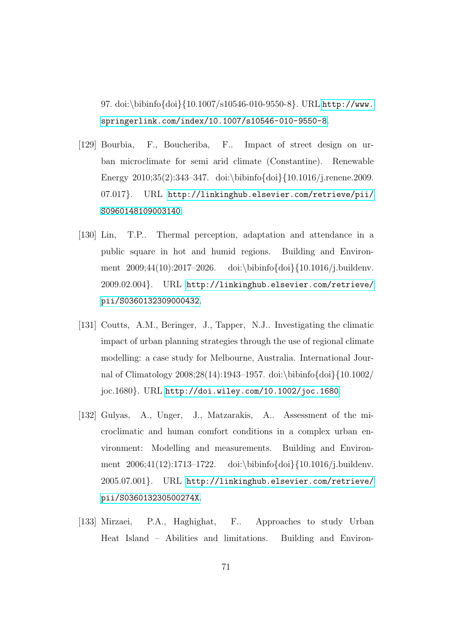97. doi:\bibinfo{doi}{10.1007/s10546-010-9550-8}. URL [http://www.](http://www.springerlink.com/index/10.1007/s10546-010-9550-8) [springerlink.com/index/10.1007/s10546-010-9550-8](http://www.springerlink.com/index/10.1007/s10546-010-9550-8).

- [129] Bourbia, F., Boucheriba, F.. Impact of street design on urban microclimate for semi arid climate (Constantine). Renewable Energy 2010;35(2):343–347. doi:\bibinfo{doi}{10.1016/j.renene.2009. 07.017}. URL [http://linkinghub.elsevier.com/retrieve/pii/](http://linkinghub.elsevier.com/retrieve/pii/S0960148109003140) [S0960148109003140](http://linkinghub.elsevier.com/retrieve/pii/S0960148109003140).
- [130] Lin, T.P.. Thermal perception, adaptation and attendance in a public square in hot and humid regions. Building and Environment 2009;44(10):2017–2026. doi:\bibinfo{doi}{10.1016/j.buildenv. 2009.02.004}. URL [http://linkinghub.elsevier.com/retrieve/](http://linkinghub.elsevier.com/retrieve/pii/S0360132309000432) [pii/S0360132309000432](http://linkinghub.elsevier.com/retrieve/pii/S0360132309000432).
- [131] Coutts, A.M., Beringer, J., Tapper, N.J.. Investigating the climatic impact of urban planning strategies through the use of regional climate modelling: a case study for Melbourne, Australia. International Journal of Climatology 2008;28(14):1943–1957. doi:\bibinfo{doi}{10.1002/ joc.1680}. URL <http://doi.wiley.com/10.1002/joc.1680>.
- [132] Gulyas, A., Unger, J., Matzarakis, A.. Assessment of the microclimatic and human comfort conditions in a complex urban environment: Modelling and measurements. Building and Environment 2006;41(12):1713–1722. doi:\bibinfo{doi}{10.1016/j.buildenv. 2005.07.001}. URL [http://linkinghub.elsevier.com/retrieve/](http://linkinghub.elsevier.com/retrieve/pii/S036013230500274X) [pii/S036013230500274X](http://linkinghub.elsevier.com/retrieve/pii/S036013230500274X).
- [133] Mirzaei, P.A., Haghighat, F.. Approaches to study Urban Heat Island – Abilities and limitations. Building and Environ-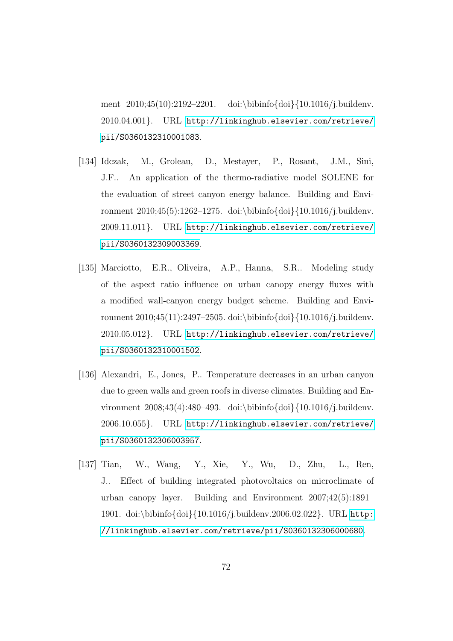ment 2010;45(10):2192–2201. doi:\bibinfo{doi}{10.1016/j.buildenv. 2010.04.001}. URL [http://linkinghub.elsevier.com/retrieve/](http://linkinghub.elsevier.com/retrieve/pii/S0360132310001083) [pii/S0360132310001083](http://linkinghub.elsevier.com/retrieve/pii/S0360132310001083).

- [134] Idczak, M., Groleau, D., Mestayer, P., Rosant, J.M., Sini, J.F.. An application of the thermo-radiative model SOLENE for the evaluation of street canyon energy balance. Building and Environment 2010;45(5):1262–1275. doi:\bibinfo{doi}{10.1016/j.buildenv. 2009.11.011}. URL [http://linkinghub.elsevier.com/retrieve/](http://linkinghub.elsevier.com/retrieve/pii/S0360132309003369) [pii/S0360132309003369](http://linkinghub.elsevier.com/retrieve/pii/S0360132309003369).
- [135] Marciotto, E.R., Oliveira, A.P., Hanna, S.R.. Modeling study of the aspect ratio influence on urban canopy energy fluxes with a modified wall-canyon energy budget scheme. Building and Environment 2010;45(11):2497–2505. doi:\bibinfo{doi}{10.1016/j.buildenv. 2010.05.012}. URL [http://linkinghub.elsevier.com/retrieve/](http://linkinghub.elsevier.com/retrieve/pii/S0360132310001502) [pii/S0360132310001502](http://linkinghub.elsevier.com/retrieve/pii/S0360132310001502).
- [136] Alexandri, E., Jones, P.. Temperature decreases in an urban canyon due to green walls and green roofs in diverse climates. Building and Environment 2008;43(4):480–493. doi:\bibinfo{doi}{10.1016/j.buildenv. 2006.10.055}. URL [http://linkinghub.elsevier.com/retrieve/](http://linkinghub.elsevier.com/retrieve/pii/S0360132306003957) [pii/S0360132306003957](http://linkinghub.elsevier.com/retrieve/pii/S0360132306003957).
- [137] Tian, W., Wang, Y., Xie, Y., Wu, D., Zhu, L., Ren, J.. Effect of building integrated photovoltaics on microclimate of urban canopy layer. Building and Environment 2007;42(5):1891– 1901. doi:\bibinfo{doi}{10.1016/j.buildenv.2006.02.022}. URL [http:](http://linkinghub.elsevier.com/retrieve/pii/S0360132306000680) [//linkinghub.elsevier.com/retrieve/pii/S0360132306000680](http://linkinghub.elsevier.com/retrieve/pii/S0360132306000680).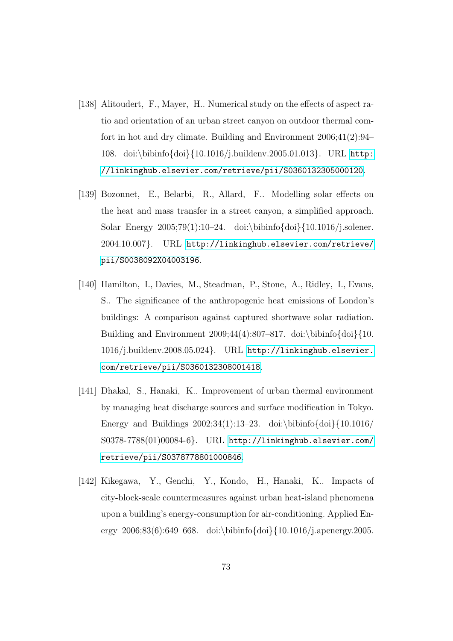- [138] Alitoudert, F., Mayer, H.. Numerical study on the effects of aspect ratio and orientation of an urban street canyon on outdoor thermal comfort in hot and dry climate. Building and Environment 2006;41(2):94– 108. doi:\bibinfo{doi}{10.1016/j.buildenv.2005.01.013}. URL [http:](http://linkinghub.elsevier.com/retrieve/pii/S0360132305000120) [//linkinghub.elsevier.com/retrieve/pii/S0360132305000120](http://linkinghub.elsevier.com/retrieve/pii/S0360132305000120).
- [139] Bozonnet, E., Belarbi, R., Allard, F.. Modelling solar effects on the heat and mass transfer in a street canyon, a simplified approach. Solar Energy 2005;79(1):10–24. doi:\bibinfo{doi}{10.1016/j.solener. 2004.10.007}. URL [http://linkinghub.elsevier.com/retrieve/](http://linkinghub.elsevier.com/retrieve/pii/S0038092X04003196) [pii/S0038092X04003196](http://linkinghub.elsevier.com/retrieve/pii/S0038092X04003196).
- [140] Hamilton, I., Davies, M., Steadman, P., Stone, A., Ridley, I., Evans, S.. The significance of the anthropogenic heat emissions of London's buildings: A comparison against captured shortwave solar radiation. Building and Environment  $2009;44(4):807-817$ . doi:\bibinfo{doi}{10. 1016/j.buildenv.2008.05.024}. URL [http://linkinghub.elsevier.](http://linkinghub.elsevier.com/retrieve/pii/S0360132308001418) [com/retrieve/pii/S0360132308001418](http://linkinghub.elsevier.com/retrieve/pii/S0360132308001418).
- [141] Dhakal, S., Hanaki, K.. Improvement of urban thermal environment by managing heat discharge sources and surface modification in Tokyo. Energy and Buildings  $2002;34(1):13-23$ . doi:\bibinfo{doi}{10.1016/ S0378-7788(01)00084-6}. URL [http://linkinghub.elsevier.com/](http://linkinghub.elsevier.com/retrieve/pii/S0378778801000846) [retrieve/pii/S0378778801000846](http://linkinghub.elsevier.com/retrieve/pii/S0378778801000846).
- [142] Kikegawa, Y., Genchi, Y., Kondo, H., Hanaki, K.. Impacts of city-block-scale countermeasures against urban heat-island phenomena upon a building's energy-consumption for air-conditioning. Applied Energy 2006;83(6):649–668. doi:\bibinfo{doi}{10.1016/j.apenergy.2005.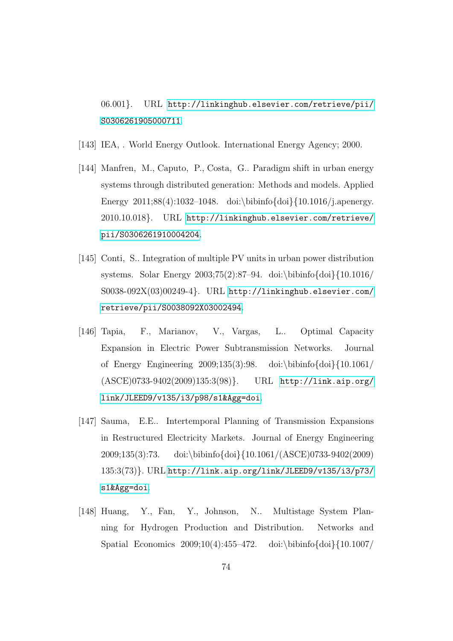06.001}. URL [http://linkinghub.elsevier.com/retrieve/pii/](http://linkinghub.elsevier.com/retrieve/pii/S0306261905000711) [S0306261905000711](http://linkinghub.elsevier.com/retrieve/pii/S0306261905000711).

- [143] IEA, . World Energy Outlook. International Energy Agency; 2000.
- [144] Manfren, M., Caputo, P., Costa, G.. Paradigm shift in urban energy systems through distributed generation: Methods and models. Applied Energy 2011;88(4):1032–1048. doi:\bibinfo{doi}{10.1016/j.apenergy. 2010.10.018}. URL [http://linkinghub.elsevier.com/retrieve/](http://linkinghub.elsevier.com/retrieve/pii/S0306261910004204) [pii/S0306261910004204](http://linkinghub.elsevier.com/retrieve/pii/S0306261910004204).
- [145] Conti, S.. Integration of multiple PV units in urban power distribution systems. Solar Energy 2003;75(2):87–94. doi:\bibinfo{doi}{10.1016/ S0038-092X(03)00249-4}. URL [http://linkinghub.elsevier.com/](http://linkinghub.elsevier.com/retrieve/pii/S0038092X03002494) [retrieve/pii/S0038092X03002494](http://linkinghub.elsevier.com/retrieve/pii/S0038092X03002494).
- [146] Tapia, F., Marianov, V., Vargas, L.. Optimal Capacity Expansion in Electric Power Subtransmission Networks. Journal of Energy Engineering 2009;135(3):98. doi:\bibinfo{doi}{10.1061/ (ASCE)0733-9402(2009)135:3(98)}. URL [http://link.aip.org/](http://link.aip.org/link/JLEED9/v135/i3/p98/s1&Agg=doi) [link/JLEED9/v135/i3/p98/s1&Agg=doi](http://link.aip.org/link/JLEED9/v135/i3/p98/s1&Agg=doi).
- [147] Sauma, E.E.. Intertemporal Planning of Transmission Expansions in Restructured Electricity Markets. Journal of Energy Engineering 2009;135(3):73. doi:\bibinfo{doi}{10.1061/(ASCE)0733-9402(2009) 135:3(73)}. URL [http://link.aip.org/link/JLEED9/v135/i3/p73/](http://link.aip.org/link/JLEED9/v135/i3/p73/s1&Agg=doi) [s1&Agg=doi](http://link.aip.org/link/JLEED9/v135/i3/p73/s1&Agg=doi).
- [148] Huang, Y., Fan, Y., Johnson, N.. Multistage System Planning for Hydrogen Production and Distribution. Networks and Spatial Economics 2009;10(4):455–472. doi:\bibinfo{doi}{10.1007/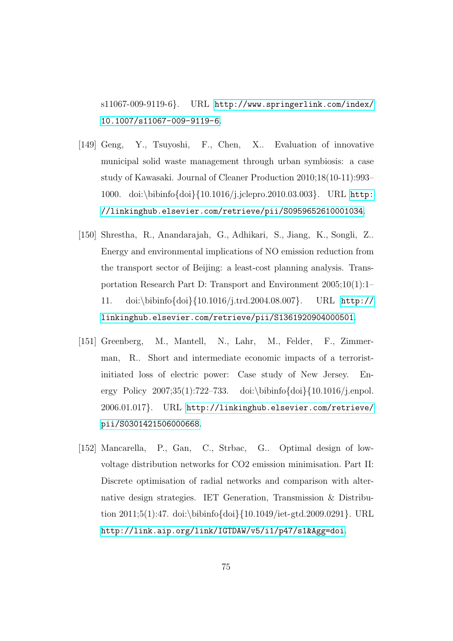s11067-009-9119-6}. URL [http://www.springerlink.com/index/](http://www.springerlink.com/index/10.1007/s11067-009-9119-6) [10.1007/s11067-009-9119-6](http://www.springerlink.com/index/10.1007/s11067-009-9119-6).

- [149] Geng, Y., Tsuyoshi, F., Chen, X.. Evaluation of innovative municipal solid waste management through urban symbiosis: a case study of Kawasaki. Journal of Cleaner Production 2010;18(10-11):993– 1000. doi:\bibinfo{doi}{10.1016/j.jclepro.2010.03.003}. URL [http:](http://linkinghub.elsevier.com/retrieve/pii/S0959652610001034) [//linkinghub.elsevier.com/retrieve/pii/S0959652610001034](http://linkinghub.elsevier.com/retrieve/pii/S0959652610001034).
- [150] Shrestha, R., Anandarajah, G., Adhikari, S., Jiang, K., Songli, Z.. Energy and environmental implications of NO emission reduction from the transport sector of Beijing: a least-cost planning analysis. Transportation Research Part D: Transport and Environment 2005;10(1):1– 11. doi:\bibinfo{doi}{10.1016/j.trd.2004.08.007}. URL [http://](http://linkinghub.elsevier.com/retrieve/pii/S1361920904000501) [linkinghub.elsevier.com/retrieve/pii/S1361920904000501](http://linkinghub.elsevier.com/retrieve/pii/S1361920904000501).
- [151] Greenberg, M., Mantell, N., Lahr, M., Felder, F., Zimmerman, R.. Short and intermediate economic impacts of a terroristinitiated loss of electric power: Case study of New Jersey. Energy Policy 2007;35(1):722–733. doi:\bibinfo{doi}{10.1016/j.enpol. 2006.01.017}. URL [http://linkinghub.elsevier.com/retrieve/](http://linkinghub.elsevier.com/retrieve/pii/S0301421506000668) [pii/S0301421506000668](http://linkinghub.elsevier.com/retrieve/pii/S0301421506000668).
- [152] Mancarella, P., Gan, C., Strbac, G.. Optimal design of lowvoltage distribution networks for CO2 emission minimisation. Part II: Discrete optimisation of radial networks and comparison with alternative design strategies. IET Generation, Transmission & Distribution 2011;5(1):47. doi:\bibinfo{doi}{10.1049/iet-gtd.2009.0291}. URL <http://link.aip.org/link/IGTDAW/v5/i1/p47/s1&Agg=doi>.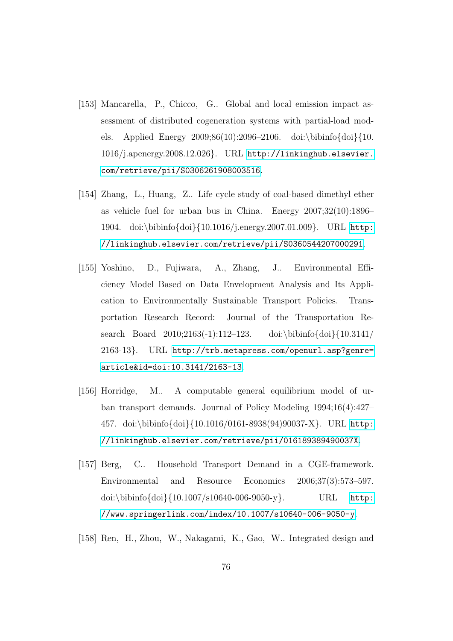- [153] Mancarella, P., Chicco, G.. Global and local emission impact assessment of distributed cogeneration systems with partial-load models. Applied Energy  $2009;86(10):2096-2106$ . doi:\bibinfo{doi}{10. 1016/j.apenergy.2008.12.026}. URL [http://linkinghub.elsevier.](http://linkinghub.elsevier.com/retrieve/pii/S0306261908003516) [com/retrieve/pii/S0306261908003516](http://linkinghub.elsevier.com/retrieve/pii/S0306261908003516).
- [154] Zhang, L., Huang, Z.. Life cycle study of coal-based dimethyl ether as vehicle fuel for urban bus in China. Energy 2007;32(10):1896– 1904. doi:\bibinfo{doi}{10.1016/j.energy.2007.01.009}. URL [http:](http://linkinghub.elsevier.com/retrieve/pii/S0360544207000291) [//linkinghub.elsevier.com/retrieve/pii/S0360544207000291](http://linkinghub.elsevier.com/retrieve/pii/S0360544207000291).
- [155] Yoshino, D., Fujiwara, A., Zhang, J.. Environmental Efficiency Model Based on Data Envelopment Analysis and Its Application to Environmentally Sustainable Transport Policies. Transportation Research Record: Journal of the Transportation Research Board 2010;2163(-1):112–123. doi:\bibinfo{doi}{10.3141/ 2163-13}. URL [http://trb.metapress.com/openurl.asp?genre=](http://trb.metapress.com/openurl.asp?genre=article&id=doi:10.3141/2163-13) [article&id=doi:10.3141/2163-13](http://trb.metapress.com/openurl.asp?genre=article&id=doi:10.3141/2163-13).
- [156] Horridge, M.. A computable general equilibrium model of urban transport demands. Journal of Policy Modeling 1994;16(4):427– 457. doi:\bibinfo{doi}{10.1016/0161-8938(94)90037-X}. URL [http:](http://linkinghub.elsevier.com/retrieve/pii/016189389490037X) [//linkinghub.elsevier.com/retrieve/pii/016189389490037X](http://linkinghub.elsevier.com/retrieve/pii/016189389490037X).
- [157] Berg, C.. Household Transport Demand in a CGE-framework. Environmental and Resource Economics 2006;37(3):573–597. doi:\bibinfo{doi}{10.1007/s10640-006-9050-y}. URL [http:](http://www.springerlink.com/index/10.1007/s10640-006-9050-y) [//www.springerlink.com/index/10.1007/s10640-006-9050-y](http://www.springerlink.com/index/10.1007/s10640-006-9050-y).
- [158] Ren, H., Zhou, W., Nakagami, K., Gao, W.. Integrated design and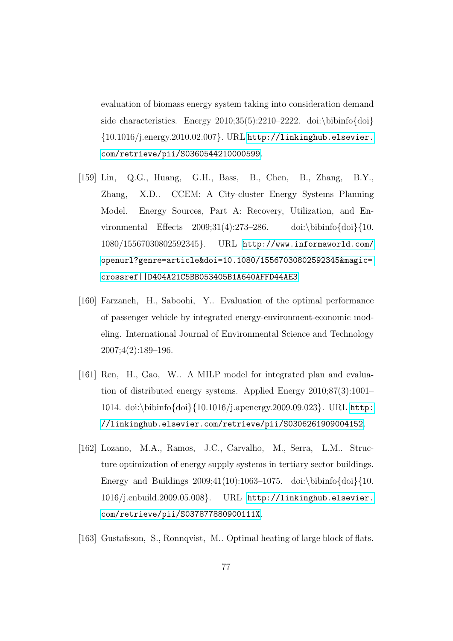evaluation of biomass energy system taking into consideration demand side characteristics. Energy  $2010;35(5):2210-2222$ . doi:\bibinfo{doi} {10.1016/j.energy.2010.02.007}. URL [http://linkinghub.elsevier.](http://linkinghub.elsevier.com/retrieve/pii/S0360544210000599) [com/retrieve/pii/S0360544210000599](http://linkinghub.elsevier.com/retrieve/pii/S0360544210000599).

- [159] Lin, Q.G., Huang, G.H., Bass, B., Chen, B., Zhang, B.Y., Zhang, X.D.. CCEM: A City-cluster Energy Systems Planning Model. Energy Sources, Part A: Recovery, Utilization, and Environmental Effects  $2009;31(4):273-286.$  doi:\bibinfo{doi}{10. 1080/15567030802592345}. URL [http://www.informaworld.com/](http://www.informaworld.com/openurl?genre=article&doi=10.1080/15567030802592345&magic=crossref||D404A21C5BB053405B1A640AFFD44AE3) [openurl?genre=article&doi=10.1080/15567030802592345&magic=](http://www.informaworld.com/openurl?genre=article&doi=10.1080/15567030802592345&magic=crossref||D404A21C5BB053405B1A640AFFD44AE3) [crossref||D404A21C5BB053405B1A640AFFD44AE3](http://www.informaworld.com/openurl?genre=article&doi=10.1080/15567030802592345&magic=crossref||D404A21C5BB053405B1A640AFFD44AE3).
- [160] Farzaneh, H., Saboohi, Y.. Evaluation of the optimal performance of passenger vehicle by integrated energy-environment-economic modeling. International Journal of Environmental Science and Technology 2007;4(2):189–196.
- [161] Ren, H., Gao, W.. A MILP model for integrated plan and evaluation of distributed energy systems. Applied Energy 2010;87(3):1001– 1014. doi:\bibinfo{doi}{10.1016/j.apenergy.2009.09.023}. URL [http:](http://linkinghub.elsevier.com/retrieve/pii/S0306261909004152) [//linkinghub.elsevier.com/retrieve/pii/S0306261909004152](http://linkinghub.elsevier.com/retrieve/pii/S0306261909004152).
- [162] Lozano, M.A., Ramos, J.C., Carvalho, M., Serra, L.M.. Structure optimization of energy supply systems in tertiary sector buildings. Energy and Buildings  $2009;41(10):1063-1075$ . doi:\bibinfo{doi}{10. 1016/j.enbuild.2009.05.008}. URL [http://linkinghub.elsevier.](http://linkinghub.elsevier.com/retrieve/pii/S037877880900111X) [com/retrieve/pii/S037877880900111X](http://linkinghub.elsevier.com/retrieve/pii/S037877880900111X).
- [163] Gustafsson, S., Ronnqvist, M.. Optimal heating of large block of flats.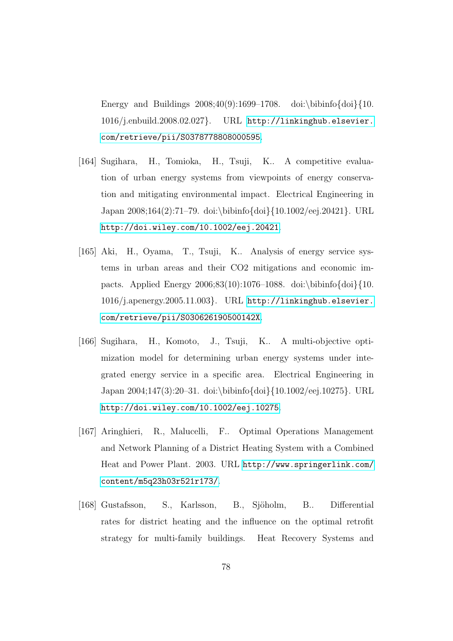Energy and Buildings  $2008;40(9):1699-1708$ . doi:\bibinfo{doi}{10. 1016/j.enbuild.2008.02.027}. URL [http://linkinghub.elsevier.](http://linkinghub.elsevier.com/retrieve/pii/S0378778808000595) [com/retrieve/pii/S0378778808000595](http://linkinghub.elsevier.com/retrieve/pii/S0378778808000595).

- [164] Sugihara, H., Tomioka, H., Tsuji, K.. A competitive evaluation of urban energy systems from viewpoints of energy conservation and mitigating environmental impact. Electrical Engineering in Japan 2008;164(2):71–79. doi:\bibinfo{doi}{10.1002/eej.20421}. URL <http://doi.wiley.com/10.1002/eej.20421>.
- [165] Aki, H., Oyama, T., Tsuji, K.. Analysis of energy service systems in urban areas and their CO2 mitigations and economic impacts. Applied Energy  $2006;83(10):1076-1088$ . doi:\bibinfo{doi}{10. 1016/j.apenergy.2005.11.003}. URL [http://linkinghub.elsevier.](http://linkinghub.elsevier.com/retrieve/pii/S030626190500142X) [com/retrieve/pii/S030626190500142X](http://linkinghub.elsevier.com/retrieve/pii/S030626190500142X).
- [166] Sugihara, H., Komoto, J., Tsuji, K.. A multi-objective optimization model for determining urban energy systems under integrated energy service in a specific area. Electrical Engineering in Japan 2004;147(3):20–31. doi:\bibinfo{doi}{10.1002/eej.10275}. URL <http://doi.wiley.com/10.1002/eej.10275>.
- [167] Aringhieri, R., Malucelli, F.. Optimal Operations Management and Network Planning of a District Heating System with a Combined Heat and Power Plant. 2003. URL [http://www.springerlink.com/](http://www.springerlink.com/content/m5q23h03r521r173/) [content/m5q23h03r521r173/](http://www.springerlink.com/content/m5q23h03r521r173/).
- [168] Gustafsson, S., Karlsson, B., Sjöholm, B., Differential rates for district heating and the influence on the optimal retrofit strategy for multi-family buildings. Heat Recovery Systems and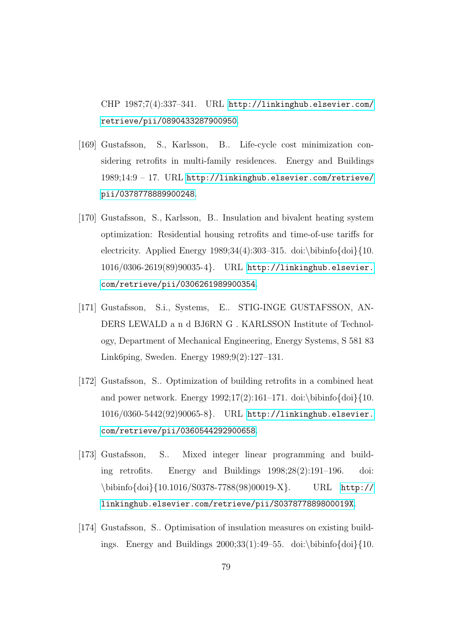CHP 1987;7(4):337–341. URL [http://linkinghub.elsevier.com/](http://linkinghub.elsevier.com/retrieve/pii/0890433287900950) [retrieve/pii/0890433287900950](http://linkinghub.elsevier.com/retrieve/pii/0890433287900950).

- [169] Gustafsson, S., Karlsson, B.. Life-cycle cost minimization considering retrofits in multi-family residences. Energy and Buildings 1989;14:9 – 17. URL [http://linkinghub.elsevier.com/retrieve/](http://linkinghub.elsevier.com/retrieve/pii/0378778889900248) [pii/0378778889900248](http://linkinghub.elsevier.com/retrieve/pii/0378778889900248).
- [170] Gustafsson, S., Karlsson, B.. Insulation and bivalent heating system optimization: Residential housing retrofits and time-of-use tariffs for electricity. Applied Energy  $1989;34(4):303-315$ . doi:\bibinfo{doi}{10. 1016/0306-2619(89)90035-4}. URL [http://linkinghub.elsevier.](http://linkinghub.elsevier.com/retrieve/pii/0306261989900354) [com/retrieve/pii/0306261989900354](http://linkinghub.elsevier.com/retrieve/pii/0306261989900354).
- [171] Gustafsson, S.i., Systems, E.. STIG-INGE GUSTAFSSON, AN-DERS LEWALD a n d BJ6RN G . KARLSSON Institute of Technology, Department of Mechanical Engineering, Energy Systems, S 581 83 Link6ping, Sweden. Energy 1989;9(2):127–131.
- [172] Gustafsson, S.. Optimization of building retrofits in a combined heat and power network. Energy  $1992;17(2):161-171$ . doi:\bibinfo{doi}{10. 1016/0360-5442(92)90065-8}. URL [http://linkinghub.elsevier.](http://linkinghub.elsevier.com/retrieve/pii/0360544292900658) [com/retrieve/pii/0360544292900658](http://linkinghub.elsevier.com/retrieve/pii/0360544292900658).
- [173] Gustafsson, S.. Mixed integer linear programming and building retrofits. Energy and Buildings 1998;28(2):191–196. doi: \bibinfo{doi}{10.1016/S0378-7788(98)00019-X}. URL [http://](http://linkinghub.elsevier.com/retrieve/pii/S037877889800019X) [linkinghub.elsevier.com/retrieve/pii/S037877889800019X](http://linkinghub.elsevier.com/retrieve/pii/S037877889800019X).
- [174] Gustafsson, S.. Optimisation of insulation measures on existing buildings. Energy and Buildings  $2000;33(1):49-55$ . doi:\bibinfo{doi}{10.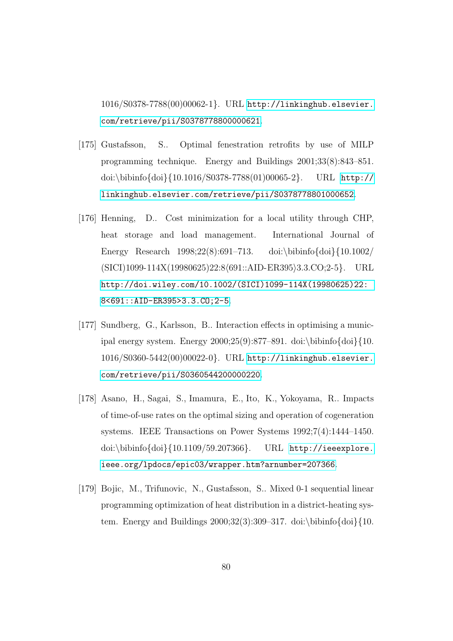1016/S0378-7788(00)00062-1}. URL [http://linkinghub.elsevier.](http://linkinghub.elsevier.com/retrieve/pii/S0378778800000621) [com/retrieve/pii/S0378778800000621](http://linkinghub.elsevier.com/retrieve/pii/S0378778800000621).

- [175] Gustafsson, S.. Optimal fenestration retrofits by use of MILP programming technique. Energy and Buildings 2001;33(8):843–851. doi:\bibinfo{doi}{10.1016/S0378-7788(01)00065-2}. URL [http://](http://linkinghub.elsevier.com/retrieve/pii/S0378778801000652) [linkinghub.elsevier.com/retrieve/pii/S0378778801000652](http://linkinghub.elsevier.com/retrieve/pii/S0378778801000652).
- [176] Henning, D.. Cost minimization for a local utility through CHP, heat storage and load management. International Journal of Energy Research 1998;22(8):691–713. doi:\bibinfo{doi}{10.1002/  $(SICI)1099-114X(19980625)22:8(691::AID-ER395)3.3.CO;2-5$ . URL [http://doi.wiley.com/10.1002/\(SICI\)1099-114X\(19980625\)22:](http://doi.wiley.com/10.1002/(SICI)1099-114X(19980625)22:8<691::AID-ER395>3.3.CO;2-5) [8<691::AID-ER395>3.3.CO;2-5](http://doi.wiley.com/10.1002/(SICI)1099-114X(19980625)22:8<691::AID-ER395>3.3.CO;2-5).
- [177] Sundberg, G., Karlsson, B.. Interaction effects in optimising a municipal energy system. Energy  $2000;25(9):877-891.$  doi:\bibinfo{doi}{10. 1016/S0360-5442(00)00022-0}. URL [http://linkinghub.elsevier.](http://linkinghub.elsevier.com/retrieve/pii/S0360544200000220) [com/retrieve/pii/S0360544200000220](http://linkinghub.elsevier.com/retrieve/pii/S0360544200000220).
- [178] Asano, H., Sagai, S., Imamura, E., Ito, K., Yokoyama, R.. Impacts of time-of-use rates on the optimal sizing and operation of cogeneration systems. IEEE Transactions on Power Systems 1992;7(4):1444–1450. doi:\bibinfo{doi}{10.1109/59.207366}. URL [http://ieeexplore.](http://ieeexplore.ieee.org/lpdocs/epic03/wrapper.htm?arnumber=207366) [ieee.org/lpdocs/epic03/wrapper.htm?arnumber=207366](http://ieeexplore.ieee.org/lpdocs/epic03/wrapper.htm?arnumber=207366).
- [179] Bojic, M., Trifunovic, N., Gustafsson, S.. Mixed 0-1 sequential linear programming optimization of heat distribution in a district-heating system. Energy and Buildings  $2000;32(3):309-317.$  doi:\bibinfo{doi}{10.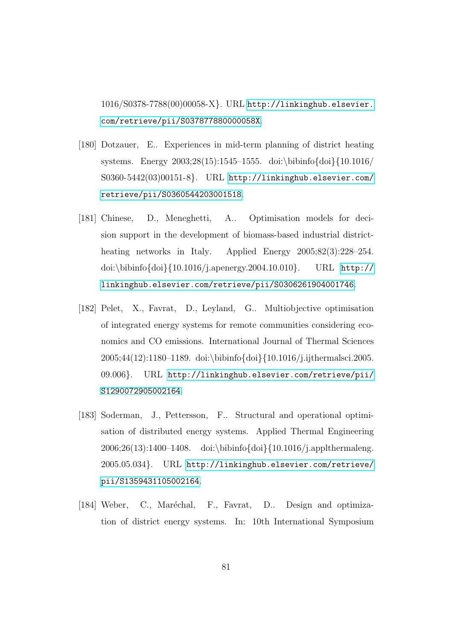1016/S0378-7788(00)00058-X}. URL [http://linkinghub.elsevier.](http://linkinghub.elsevier.com/retrieve/pii/S037877880000058X) [com/retrieve/pii/S037877880000058X](http://linkinghub.elsevier.com/retrieve/pii/S037877880000058X).

- [180] Dotzauer, E.. Experiences in mid-term planning of district heating systems. Energy 2003;28(15):1545–1555. doi:\bibinfo{doi}{10.1016/ S0360-5442(03)00151-8}. URL [http://linkinghub.elsevier.com/](http://linkinghub.elsevier.com/retrieve/pii/S0360544203001518) [retrieve/pii/S0360544203001518](http://linkinghub.elsevier.com/retrieve/pii/S0360544203001518).
- [181] Chinese, D., Meneghetti, A.. Optimisation models for decision support in the development of biomass-based industrial districtheating networks in Italy. Applied Energy  $2005;82(3):228-254$ . doi:\bibinfo{doi}{10.1016/j.apenergy.2004.10.010}. URL [http://](http://linkinghub.elsevier.com/retrieve/pii/S0306261904001746) [linkinghub.elsevier.com/retrieve/pii/S0306261904001746](http://linkinghub.elsevier.com/retrieve/pii/S0306261904001746).
- [182] Pelet, X., Favrat, D., Leyland, G.. Multiobjective optimisation of integrated energy systems for remote communities considering economics and CO emissions. International Journal of Thermal Sciences 2005;44(12):1180–1189. doi:\bibinfo{doi}{10.1016/j.ijthermalsci.2005. 09.006}. URL [http://linkinghub.elsevier.com/retrieve/pii/](http://linkinghub.elsevier.com/retrieve/pii/S1290072905002164) [S1290072905002164](http://linkinghub.elsevier.com/retrieve/pii/S1290072905002164).
- [183] Soderman, J., Pettersson, F.. Structural and operational optimisation of distributed energy systems. Applied Thermal Engineering 2006;26(13):1400–1408. doi:\bibinfo{doi}{10.1016/j.applthermaleng. 2005.05.034}. URL [http://linkinghub.elsevier.com/retrieve/](http://linkinghub.elsevier.com/retrieve/pii/S1359431105002164) [pii/S1359431105002164](http://linkinghub.elsevier.com/retrieve/pii/S1359431105002164).
- [184] Weber, C., Maréchal, F., Favrat, D., Design and optimization of district energy systems. In: 10th International Symposium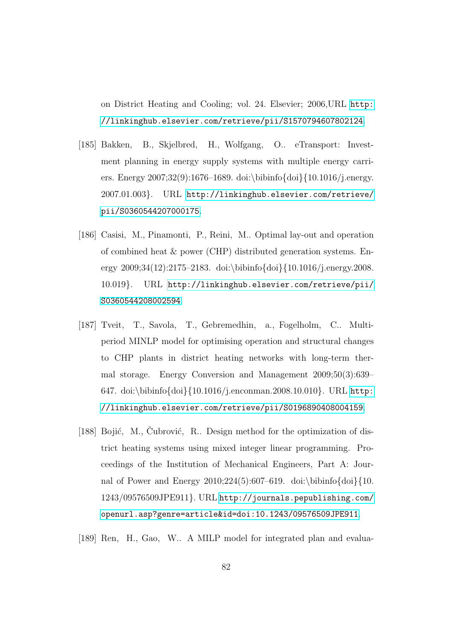on District Heating and Cooling; vol. 24. Elsevier; 2006,URL [http:](http://linkinghub.elsevier.com/retrieve/pii/S1570794607802124) [//linkinghub.elsevier.com/retrieve/pii/S1570794607802124](http://linkinghub.elsevier.com/retrieve/pii/S1570794607802124).

- [185] Bakken, B., Skjelbred, H., Wolfgang, O.. eTransport: Investment planning in energy supply systems with multiple energy carriers. Energy 2007;32(9):1676–1689. doi:\bibinfo{doi}{10.1016/j.energy. 2007.01.003}. URL [http://linkinghub.elsevier.com/retrieve/](http://linkinghub.elsevier.com/retrieve/pii/S0360544207000175) [pii/S0360544207000175](http://linkinghub.elsevier.com/retrieve/pii/S0360544207000175).
- [186] Casisi, M., Pinamonti, P., Reini, M.. Optimal lay-out and operation of combined heat & power (CHP) distributed generation systems. Energy 2009;34(12):2175–2183. doi:\bibinfo{doi}{10.1016/j.energy.2008. 10.019}. URL [http://linkinghub.elsevier.com/retrieve/pii/](http://linkinghub.elsevier.com/retrieve/pii/S0360544208002594) [S0360544208002594](http://linkinghub.elsevier.com/retrieve/pii/S0360544208002594).
- [187] Tveit, T., Savola, T., Gebremedhin, a., Fogelholm, C.. Multiperiod MINLP model for optimising operation and structural changes to CHP plants in district heating networks with long-term thermal storage. Energy Conversion and Management 2009;50(3):639– 647. doi:\bibinfo{doi}{10.1016/j.enconman.2008.10.010}. URL [http:](http://linkinghub.elsevier.com/retrieve/pii/S0196890408004159) [//linkinghub.elsevier.com/retrieve/pii/S0196890408004159](http://linkinghub.elsevier.com/retrieve/pii/S0196890408004159).
- [188] Bojić, M., Čubrović, R.. Design method for the optimization of district heating systems using mixed integer linear programming. Proceedings of the Institution of Mechanical Engineers, Part A: Journal of Power and Energy  $2010;224(5):607–619$ . doi:\bibinfo{doi}{10. 1243/09576509JPE911}. URL [http://journals.pepublishing.com/](http://journals.pepublishing.com/openurl.asp?genre=article&id=doi:10.1243/09576509JPE911) [openurl.asp?genre=article&id=doi:10.1243/09576509JPE911](http://journals.pepublishing.com/openurl.asp?genre=article&id=doi:10.1243/09576509JPE911).
- [189] Ren, H., Gao, W.. A MILP model for integrated plan and evalua-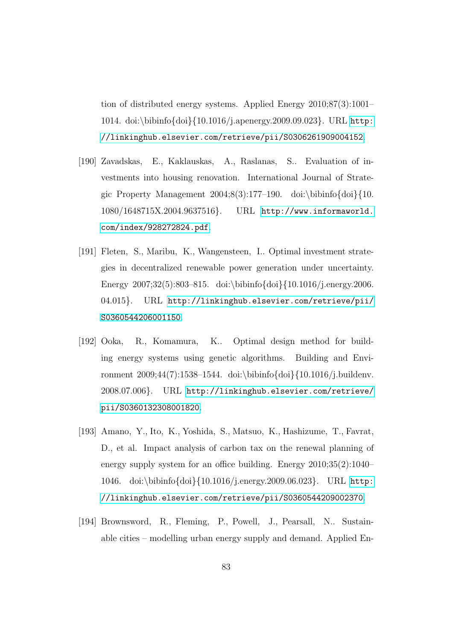tion of distributed energy systems. Applied Energy 2010;87(3):1001– 1014. doi:\bibinfo{doi}{10.1016/j.apenergy.2009.09.023}. URL [http:](http://linkinghub.elsevier.com/retrieve/pii/S0306261909004152) [//linkinghub.elsevier.com/retrieve/pii/S0306261909004152](http://linkinghub.elsevier.com/retrieve/pii/S0306261909004152).

- [190] Zavadskas, E., Kaklauskas, A., Raslanas, S.. Evaluation of investments into housing renovation. International Journal of Strategic Property Management  $2004;8(3):177-190$ . doi:\bibinfo{doi}{10. 1080/1648715X.2004.9637516}. URL [http://www.informaworld.](http://www.informaworld.com/index/928272824.pdf) [com/index/928272824.pdf](http://www.informaworld.com/index/928272824.pdf).
- [191] Fleten, S., Maribu, K., Wangensteen, I.. Optimal investment strategies in decentralized renewable power generation under uncertainty. Energy 2007;32(5):803–815. doi:\bibinfo{doi}{10.1016/j.energy.2006. 04.015}. URL [http://linkinghub.elsevier.com/retrieve/pii/](http://linkinghub.elsevier.com/retrieve/pii/S0360544206001150) [S0360544206001150](http://linkinghub.elsevier.com/retrieve/pii/S0360544206001150).
- [192] Ooka, R., Komamura, K.. Optimal design method for building energy systems using genetic algorithms. Building and Environment 2009;44(7):1538–1544. doi:\bibinfo{doi}{10.1016/j.buildenv. 2008.07.006}. URL [http://linkinghub.elsevier.com/retrieve/](http://linkinghub.elsevier.com/retrieve/pii/S0360132308001820) [pii/S0360132308001820](http://linkinghub.elsevier.com/retrieve/pii/S0360132308001820).
- [193] Amano, Y., Ito, K., Yoshida, S., Matsuo, K., Hashizume, T., Favrat, D., et al. Impact analysis of carbon tax on the renewal planning of energy supply system for an office building. Energy 2010;35(2):1040– 1046. doi:\bibinfo{doi}{10.1016/j.energy.2009.06.023}. URL [http:](http://linkinghub.elsevier.com/retrieve/pii/S0360544209002370) [//linkinghub.elsevier.com/retrieve/pii/S0360544209002370](http://linkinghub.elsevier.com/retrieve/pii/S0360544209002370).
- [194] Brownsword, R., Fleming, P., Powell, J., Pearsall, N.. Sustainable cities – modelling urban energy supply and demand. Applied En-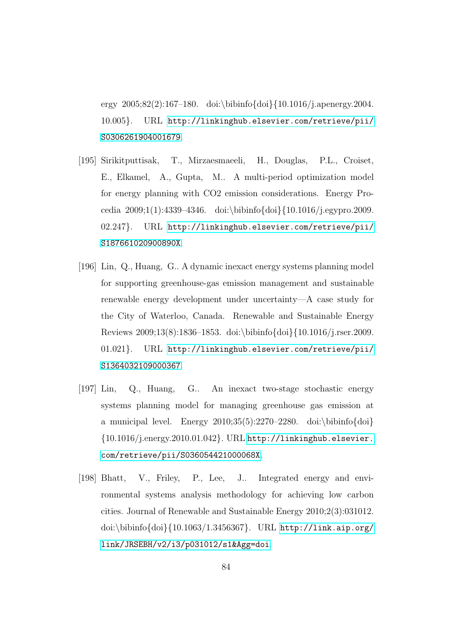ergy 2005;82(2):167–180. doi:\bibinfo{doi}{10.1016/j.apenergy.2004. 10.005}. URL [http://linkinghub.elsevier.com/retrieve/pii/](http://linkinghub.elsevier.com/retrieve/pii/S0306261904001679) [S0306261904001679](http://linkinghub.elsevier.com/retrieve/pii/S0306261904001679).

- [195] Sirikitputtisak, T., Mirzaesmaeeli, H., Douglas, P.L., Croiset, E., Elkamel, A., Gupta, M.. A multi-period optimization model for energy planning with CO2 emission considerations. Energy Procedia 2009;1(1):4339–4346. doi:\bibinfo{doi}{10.1016/j.egypro.2009. 02.247}. URL [http://linkinghub.elsevier.com/retrieve/pii/](http://linkinghub.elsevier.com/retrieve/pii/S187661020900890X) [S187661020900890X](http://linkinghub.elsevier.com/retrieve/pii/S187661020900890X).
- [196] Lin, Q., Huang, G.. A dynamic inexact energy systems planning model for supporting greenhouse-gas emission management and sustainable renewable energy development under uncertainty—A case study for the City of Waterloo, Canada. Renewable and Sustainable Energy Reviews 2009;13(8):1836–1853. doi:\bibinfo{doi}{10.1016/j.rser.2009. 01.021}. URL [http://linkinghub.elsevier.com/retrieve/pii/](http://linkinghub.elsevier.com/retrieve/pii/S1364032109000367) [S1364032109000367](http://linkinghub.elsevier.com/retrieve/pii/S1364032109000367).
- [197] Lin, Q., Huang, G.. An inexact two-stage stochastic energy systems planning model for managing greenhouse gas emission at a municipal level. Energy  $2010;35(5):2270-2280$ . doi:\bibinfo{doi} {10.1016/j.energy.2010.01.042}. URL [http://linkinghub.elsevier.](http://linkinghub.elsevier.com/retrieve/pii/S036054421000068X) [com/retrieve/pii/S036054421000068X](http://linkinghub.elsevier.com/retrieve/pii/S036054421000068X).
- [198] Bhatt, V., Friley, P., Lee, J.. Integrated energy and environmental systems analysis methodology for achieving low carbon cities. Journal of Renewable and Sustainable Energy 2010;2(3):031012. doi:\bibinfo{doi}{10.1063/1.3456367}. URL [http://link.aip.org/](http://link.aip.org/link/JRSEBH/v2/i3/p031012/s1&Agg=doi) [link/JRSEBH/v2/i3/p031012/s1&Agg=doi](http://link.aip.org/link/JRSEBH/v2/i3/p031012/s1&Agg=doi).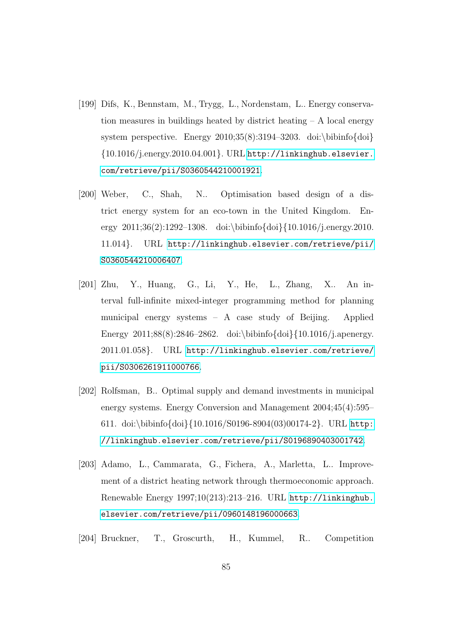- [199] Difs, K., Bennstam, M., Trygg, L., Nordenstam, L.. Energy conservation measures in buildings heated by district heating – A local energy system perspective. Energy  $2010;35(8):3194-3203$ . doi:\bibinfo{doi} {10.1016/j.energy.2010.04.001}. URL [http://linkinghub.elsevier.](http://linkinghub.elsevier.com/retrieve/pii/S0360544210001921) [com/retrieve/pii/S0360544210001921](http://linkinghub.elsevier.com/retrieve/pii/S0360544210001921).
- [200] Weber, C., Shah, N.. Optimisation based design of a district energy system for an eco-town in the United Kingdom. Energy 2011;36(2):1292–1308. doi:\bibinfo{doi}{10.1016/j.energy.2010. 11.014}. URL [http://linkinghub.elsevier.com/retrieve/pii/](http://linkinghub.elsevier.com/retrieve/pii/S0360544210006407) [S0360544210006407](http://linkinghub.elsevier.com/retrieve/pii/S0360544210006407).
- [201] Zhu, Y., Huang, G., Li, Y., He, L., Zhang, X.. An interval full-infinite mixed-integer programming method for planning municipal energy systems – A case study of Beijing. Applied Energy 2011;88(8):2846–2862. doi:\bibinfo{doi}{10.1016/j.apenergy. 2011.01.058}. URL [http://linkinghub.elsevier.com/retrieve/](http://linkinghub.elsevier.com/retrieve/pii/S0306261911000766) [pii/S0306261911000766](http://linkinghub.elsevier.com/retrieve/pii/S0306261911000766).
- [202] Rolfsman, B.. Optimal supply and demand investments in municipal energy systems. Energy Conversion and Management 2004;45(4):595– 611. doi:\bibinfo{doi}{10.1016/S0196-8904(03)00174-2}. URL [http:](http://linkinghub.elsevier.com/retrieve/pii/S0196890403001742) [//linkinghub.elsevier.com/retrieve/pii/S0196890403001742](http://linkinghub.elsevier.com/retrieve/pii/S0196890403001742).
- [203] Adamo, L., Cammarata, G., Fichera, A., Marletta, L.. Improvement of a district heating network through thermoeconomic approach. Renewable Energy 1997;10(213):213–216. URL [http://linkinghub.](http://linkinghub.elsevier.com/retrieve/pii/0960148196000663) [elsevier.com/retrieve/pii/0960148196000663](http://linkinghub.elsevier.com/retrieve/pii/0960148196000663).
- [204] Bruckner, T., Groscurth, H., Kummel, R.. Competition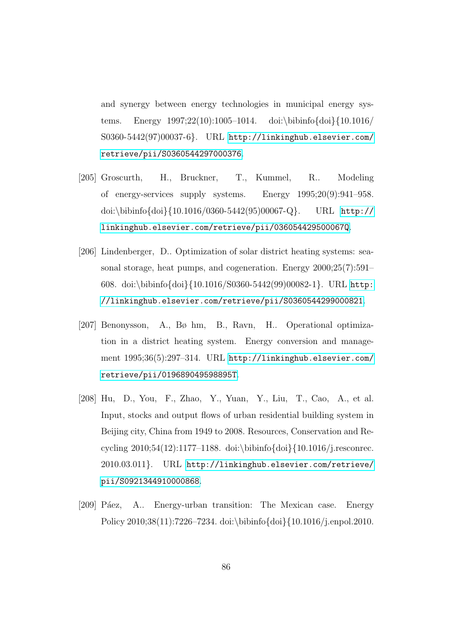and synergy between energy technologies in municipal energy systems. Energy 1997;22(10):1005–1014. doi:\bibinfo{doi}{10.1016/ S0360-5442(97)00037-6}. URL [http://linkinghub.elsevier.com/](http://linkinghub.elsevier.com/retrieve/pii/S0360544297000376) [retrieve/pii/S0360544297000376](http://linkinghub.elsevier.com/retrieve/pii/S0360544297000376).

- [205] Groscurth, H., Bruckner, T., Kummel, R.. Modeling of energy-services supply systems. Energy 1995;20(9):941–958. doi:\bibinfo{doi}{10.1016/0360-5442(95)00067-Q}. URL [http://](http://linkinghub.elsevier.com/retrieve/pii/036054429500067Q) [linkinghub.elsevier.com/retrieve/pii/036054429500067Q](http://linkinghub.elsevier.com/retrieve/pii/036054429500067Q).
- [206] Lindenberger, D.. Optimization of solar district heating systems: seasonal storage, heat pumps, and cogeneration. Energy 2000;25(7):591– 608. doi:\bibinfo{doi}{10.1016/S0360-5442(99)00082-1}. URL [http:](http://linkinghub.elsevier.com/retrieve/pii/S0360544299000821) [//linkinghub.elsevier.com/retrieve/pii/S0360544299000821](http://linkinghub.elsevier.com/retrieve/pii/S0360544299000821).
- [207] Benonysson, A., Bø hm, B., Ravn, H.. Operational optimization in a district heating system. Energy conversion and management 1995;36(5):297–314. URL [http://linkinghub.elsevier.com/](http://linkinghub.elsevier.com/retrieve/pii/019689049598895T) [retrieve/pii/019689049598895T](http://linkinghub.elsevier.com/retrieve/pii/019689049598895T).
- [208] Hu, D., You, F., Zhao, Y., Yuan, Y., Liu, T., Cao, A., et al. Input, stocks and output flows of urban residential building system in Beijing city, China from 1949 to 2008. Resources, Conservation and Recycling 2010;54(12):1177–1188. doi:\bibinfo{doi}{10.1016/j.resconrec. 2010.03.011}. URL [http://linkinghub.elsevier.com/retrieve/](http://linkinghub.elsevier.com/retrieve/pii/S0921344910000868) [pii/S0921344910000868](http://linkinghub.elsevier.com/retrieve/pii/S0921344910000868).
- [209] Páez, A.. Energy-urban transition: The Mexican case. Energy Policy 2010;38(11):7226–7234. doi:\bibinfo{doi}{10.1016/j.enpol.2010.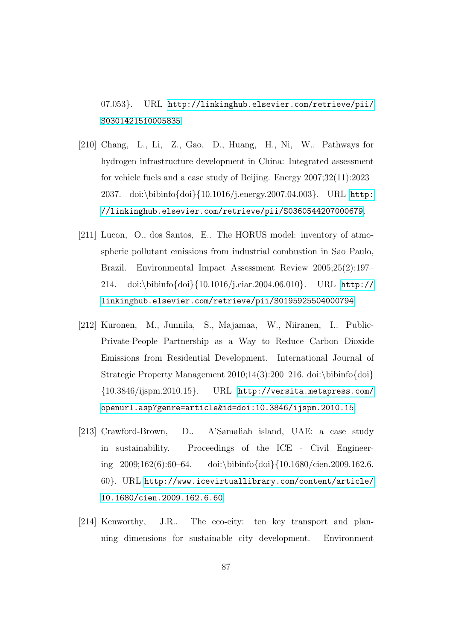07.053}. URL [http://linkinghub.elsevier.com/retrieve/pii/](http://linkinghub.elsevier.com/retrieve/pii/S0301421510005835) [S0301421510005835](http://linkinghub.elsevier.com/retrieve/pii/S0301421510005835).

- [210] Chang, L., Li, Z., Gao, D., Huang, H., Ni, W.. Pathways for hydrogen infrastructure development in China: Integrated assessment for vehicle fuels and a case study of Beijing. Energy 2007;32(11):2023– 2037. doi:\bibinfo{doi}{10.1016/j.energy.2007.04.003}. URL [http:](http://linkinghub.elsevier.com/retrieve/pii/S0360544207000679) [//linkinghub.elsevier.com/retrieve/pii/S0360544207000679](http://linkinghub.elsevier.com/retrieve/pii/S0360544207000679).
- [211] Lucon, O., dos Santos, E.. The HORUS model: inventory of atmospheric pollutant emissions from industrial combustion in Sao Paulo, Brazil. Environmental Impact Assessment Review 2005;25(2):197– 214. doi:\bibinfo{doi}{10.1016/j.eiar.2004.06.010}. URL [http://](http://linkinghub.elsevier.com/retrieve/pii/S0195925504000794) [linkinghub.elsevier.com/retrieve/pii/S0195925504000794](http://linkinghub.elsevier.com/retrieve/pii/S0195925504000794).
- [212] Kuronen, M., Junnila, S., Majamaa, W., Niiranen, I.. Public-Private-People Partnership as a Way to Reduce Carbon Dioxide Emissions from Residential Development. International Journal of Strategic Property Management 2010;14(3):200–216. doi:\bibinfo{doi} {10.3846/ijspm.2010.15}. URL [http://versita.metapress.com/](http://versita.metapress.com/openurl.asp?genre=article&id=doi:10.3846/ijspm.2010.15) [openurl.asp?genre=article&id=doi:10.3846/ijspm.2010.15](http://versita.metapress.com/openurl.asp?genre=article&id=doi:10.3846/ijspm.2010.15).
- [213] Crawford-Brown, D.. A'Samaliah island, UAE: a case study in sustainability. Proceedings of the ICE - Civil Engineering 2009;162(6):60–64. doi:\bibinfo{doi}{10.1680/cien.2009.162.6. 60}. URL [http://www.icevirtuallibrary.com/content/article/](http://www.icevirtuallibrary.com/content/article/10.1680/cien.2009.162.6.60) [10.1680/cien.2009.162.6.60](http://www.icevirtuallibrary.com/content/article/10.1680/cien.2009.162.6.60).
- [214] Kenworthy, J.R.. The eco-city: ten key transport and planning dimensions for sustainable city development. Environment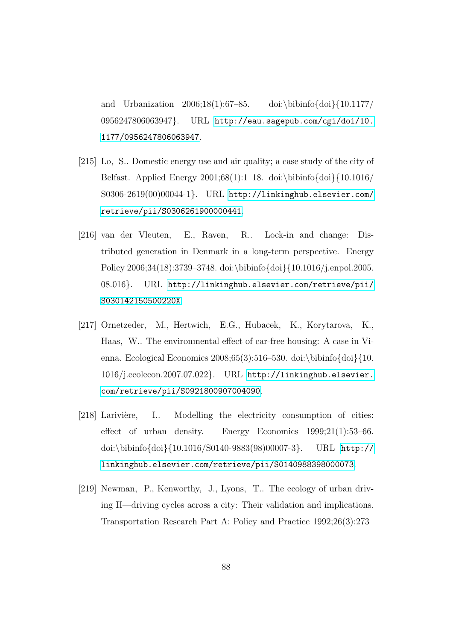and Urbanization 2006;18(1):67–85. doi:\bibinfo{doi}{10.1177/ 0956247806063947}. URL [http://eau.sagepub.com/cgi/doi/10.](http://eau.sagepub.com/cgi/doi/10.1177/0956247806063947) [1177/0956247806063947](http://eau.sagepub.com/cgi/doi/10.1177/0956247806063947).

- [215] Lo, S.. Domestic energy use and air quality; a case study of the city of Belfast. Applied Energy 2001;68(1):1–18. doi:\bibinfo{doi}{10.1016/ S0306-2619(00)00044-1}. URL [http://linkinghub.elsevier.com/](http://linkinghub.elsevier.com/retrieve/pii/S0306261900000441) [retrieve/pii/S0306261900000441](http://linkinghub.elsevier.com/retrieve/pii/S0306261900000441).
- [216] van der Vleuten, E., Raven, R.. Lock-in and change: Distributed generation in Denmark in a long-term perspective. Energy Policy 2006;34(18):3739–3748. doi:\bibinfo{doi}{10.1016/j.enpol.2005. 08.016}. URL [http://linkinghub.elsevier.com/retrieve/pii/](http://linkinghub.elsevier.com/retrieve/pii/S030142150500220X) [S030142150500220X](http://linkinghub.elsevier.com/retrieve/pii/S030142150500220X).
- [217] Ornetzeder, M., Hertwich, E.G., Hubacek, K., Korytarova, K., Haas, W.. The environmental effect of car-free housing: A case in Vienna. Ecological Economics 2008;65(3):516–530. doi:\bibinfo{doi}{10. 1016/j.ecolecon.2007.07.022}. URL [http://linkinghub.elsevier.](http://linkinghub.elsevier.com/retrieve/pii/S0921800907004090) [com/retrieve/pii/S0921800907004090](http://linkinghub.elsevier.com/retrieve/pii/S0921800907004090).
- [218] Larivière, I.. Modelling the electricity consumption of cities: effect of urban density. Energy Economics 1999;21(1):53–66. doi:\bibinfo{doi}{10.1016/S0140-9883(98)00007-3}. URL [http://](http://linkinghub.elsevier.com/retrieve/pii/S0140988398000073) [linkinghub.elsevier.com/retrieve/pii/S0140988398000073](http://linkinghub.elsevier.com/retrieve/pii/S0140988398000073).
- [219] Newman, P., Kenworthy, J., Lyons, T.. The ecology of urban driving II—driving cycles across a city: Their validation and implications. Transportation Research Part A: Policy and Practice 1992;26(3):273–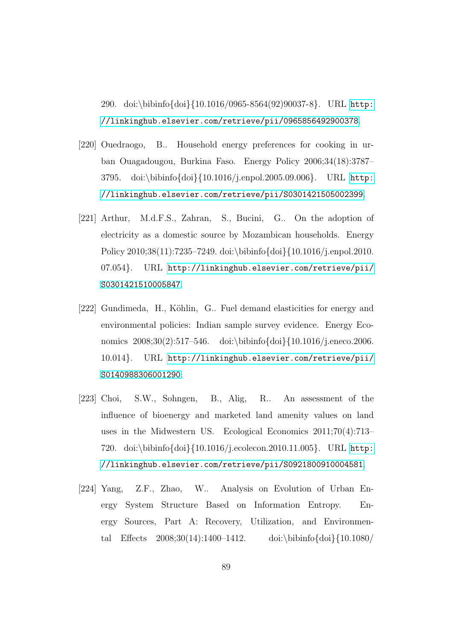290. doi:\bibinfo{doi}{10.1016/0965-8564(92)90037-8}. URL [http:](http://linkinghub.elsevier.com/retrieve/pii/0965856492900378) [//linkinghub.elsevier.com/retrieve/pii/0965856492900378](http://linkinghub.elsevier.com/retrieve/pii/0965856492900378).

- [220] Ouedraogo, B.. Household energy preferences for cooking in urban Ouagadougou, Burkina Faso. Energy Policy 2006;34(18):3787– 3795. doi:\bibinfo{doi}{10.1016/j.enpol.2005.09.006}. URL [http:](http://linkinghub.elsevier.com/retrieve/pii/S0301421505002399) [//linkinghub.elsevier.com/retrieve/pii/S0301421505002399](http://linkinghub.elsevier.com/retrieve/pii/S0301421505002399).
- [221] Arthur, M.d.F.S., Zahran, S., Bucini, G.. On the adoption of electricity as a domestic source by Mozambican households. Energy Policy 2010;38(11):7235–7249. doi:\bibinfo{doi}{10.1016/j.enpol.2010. 07.054}. URL [http://linkinghub.elsevier.com/retrieve/pii/](http://linkinghub.elsevier.com/retrieve/pii/S0301421510005847) [S0301421510005847](http://linkinghub.elsevier.com/retrieve/pii/S0301421510005847).
- [222] Gundimeda, H., Köhlin, G.. Fuel demand elasticities for energy and environmental policies: Indian sample survey evidence. Energy Economics 2008;30(2):517–546. doi:\bibinfo{doi}{10.1016/j.eneco.2006. 10.014}. URL [http://linkinghub.elsevier.com/retrieve/pii/](http://linkinghub.elsevier.com/retrieve/pii/S0140988306001290) [S0140988306001290](http://linkinghub.elsevier.com/retrieve/pii/S0140988306001290).
- [223] Choi, S.W., Sohngen, B., Alig, R.. An assessment of the influence of bioenergy and marketed land amenity values on land uses in the Midwestern US. Ecological Economics 2011;70(4):713– 720. doi:\bibinfo{doi}{10.1016/j.ecolecon.2010.11.005}. URL [http:](http://linkinghub.elsevier.com/retrieve/pii/S0921800910004581) [//linkinghub.elsevier.com/retrieve/pii/S0921800910004581](http://linkinghub.elsevier.com/retrieve/pii/S0921800910004581).
- [224] Yang, Z.F., Zhao, W.. Analysis on Evolution of Urban Energy System Structure Based on Information Entropy. Energy Sources, Part A: Recovery, Utilization, and Environmental Effects 2008;30(14):1400–1412. doi:\bibinfo{doi}{10.1080/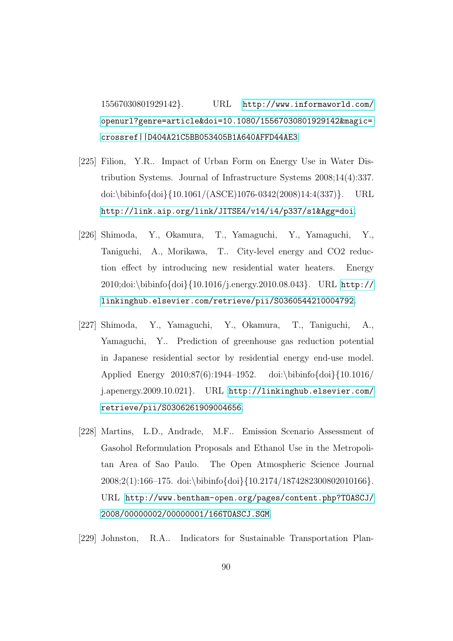15567030801929142}. URL [http://www.informaworld.com/](http://www.informaworld.com/openurl?genre=article&doi=10.1080/15567030801929142&magic=crossref||D404A21C5BB053405B1A640AFFD44AE3) [openurl?genre=article&doi=10.1080/15567030801929142&magic=](http://www.informaworld.com/openurl?genre=article&doi=10.1080/15567030801929142&magic=crossref||D404A21C5BB053405B1A640AFFD44AE3) [crossref||D404A21C5BB053405B1A640AFFD44AE3](http://www.informaworld.com/openurl?genre=article&doi=10.1080/15567030801929142&magic=crossref||D404A21C5BB053405B1A640AFFD44AE3).

- [225] Filion, Y.R.. Impact of Urban Form on Energy Use in Water Distribution Systems. Journal of Infrastructure Systems 2008;14(4):337. doi:\bibinfo{doi}{10.1061/(ASCE)1076-0342(2008)14:4(337)}. URL <http://link.aip.org/link/JITSE4/v14/i4/p337/s1&Agg=doi>.
- [226] Shimoda, Y., Okamura, T., Yamaguchi, Y., Yamaguchi, Y., Taniguchi, A., Morikawa, T.. City-level energy and CO2 reduction effect by introducing new residential water heaters. Energy 2010;doi:\bibinfo{doi}{10.1016/j.energy.2010.08.043}. URL [http://](http://linkinghub.elsevier.com/retrieve/pii/S0360544210004792) [linkinghub.elsevier.com/retrieve/pii/S0360544210004792](http://linkinghub.elsevier.com/retrieve/pii/S0360544210004792).
- [227] Shimoda, Y., Yamaguchi, Y., Okamura, T., Taniguchi, A., Yamaguchi, Y.. Prediction of greenhouse gas reduction potential in Japanese residential sector by residential energy end-use model. Applied Energy 2010;87(6):1944–1952. doi:\bibinfo{doi}{10.1016/ j.apenergy.2009.10.021}. URL [http://linkinghub.elsevier.com/](http://linkinghub.elsevier.com/retrieve/pii/S0306261909004656) [retrieve/pii/S0306261909004656](http://linkinghub.elsevier.com/retrieve/pii/S0306261909004656).
- [228] Martins, L.D., Andrade, M.F.. Emission Scenario Assessment of Gasohol Reformulation Proposals and Ethanol Use in the Metropolitan Area of Sao Paulo. The Open Atmospheric Science Journal 2008;2(1):166–175. doi:\bibinfo{doi}{10.2174/1874282300802010166}. URL [http://www.bentham-open.org/pages/content.php?TOASCJ/](http://www.bentham-open.org/pages/content.php?TOASCJ/2008/00000002/00000001/166TOASCJ.SGM) [2008/00000002/00000001/166TOASCJ.SGM](http://www.bentham-open.org/pages/content.php?TOASCJ/2008/00000002/00000001/166TOASCJ.SGM).
- [229] Johnston, R.A.. Indicators for Sustainable Transportation Plan-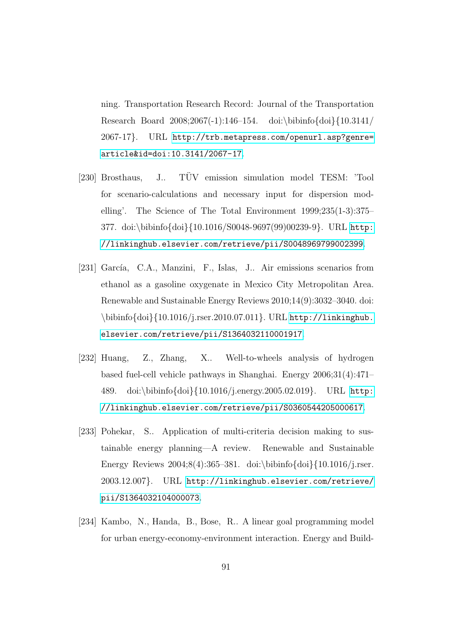ning. Transportation Research Record: Journal of the Transportation Research Board 2008;2067(-1):146–154. doi:\bibinfo{doi}{10.3141/ 2067-17}. URL [http://trb.metapress.com/openurl.asp?genre=](http://trb.metapress.com/openurl.asp?genre=article&id=doi:10.3141/2067-17) [article&id=doi:10.3141/2067-17](http://trb.metapress.com/openurl.asp?genre=article&id=doi:10.3141/2067-17).

- [230] Brosthaus, J.. TÜV emission simulation model TESM: 'Tool for scenario-calculations and necessary input for dispersion modelling'. The Science of The Total Environment 1999;235(1-3):375– 377. doi:\bibinfo{doi}{10.1016/S0048-9697(99)00239-9}. URL [http:](http://linkinghub.elsevier.com/retrieve/pii/S0048969799002399) [//linkinghub.elsevier.com/retrieve/pii/S0048969799002399](http://linkinghub.elsevier.com/retrieve/pii/S0048969799002399).
- [231] García, C.A., Manzini, F., Islas, J.. Air emissions scenarios from ethanol as a gasoline oxygenate in Mexico City Metropolitan Area. Renewable and Sustainable Energy Reviews 2010;14(9):3032–3040. doi: \bibinfo{doi}{10.1016/j.rser.2010.07.011}. URL [http://linkinghub.](http://linkinghub.elsevier.com/retrieve/pii/S1364032110001917) [elsevier.com/retrieve/pii/S1364032110001917](http://linkinghub.elsevier.com/retrieve/pii/S1364032110001917).
- [232] Huang, Z., Zhang, X.. Well-to-wheels analysis of hydrogen based fuel-cell vehicle pathways in Shanghai. Energy 2006;31(4):471– 489. doi:\bibinfo{doi}{10.1016/j.energy.2005.02.019}. URL [http:](http://linkinghub.elsevier.com/retrieve/pii/S0360544205000617) [//linkinghub.elsevier.com/retrieve/pii/S0360544205000617](http://linkinghub.elsevier.com/retrieve/pii/S0360544205000617).
- [233] Pohekar, S.. Application of multi-criteria decision making to sustainable energy planning—A review. Renewable and Sustainable Energy Reviews  $2004;8(4):365-381.$  doi:\bibinfo{doi}{10.1016/j.rser. 2003.12.007}. URL [http://linkinghub.elsevier.com/retrieve/](http://linkinghub.elsevier.com/retrieve/pii/S1364032104000073) [pii/S1364032104000073](http://linkinghub.elsevier.com/retrieve/pii/S1364032104000073).
- [234] Kambo, N., Handa, B., Bose, R.. A linear goal programming model for urban energy-economy-environment interaction. Energy and Build-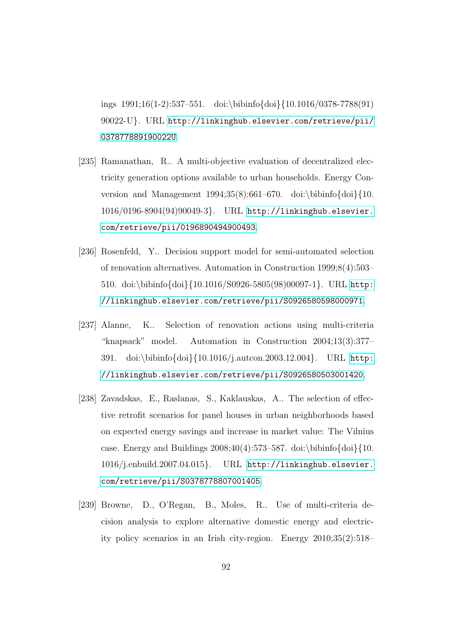ings 1991;16(1-2):537–551. doi:\bibinfo{doi}{10.1016/0378-7788(91) 90022-U}. URL [http://linkinghub.elsevier.com/retrieve/pii/](http://linkinghub.elsevier.com/retrieve/pii/037877889190022U) [037877889190022U](http://linkinghub.elsevier.com/retrieve/pii/037877889190022U).

- [235] Ramanathan, R.. A multi-objective evaluation of decentralized electricity generation options available to urban households. Energy Conversion and Management  $1994;35(8):661–670$ . doi:\bibinfo{doi}{10. 1016/0196-8904(94)90049-3}. URL [http://linkinghub.elsevier.](http://linkinghub.elsevier.com/retrieve/pii/0196890494900493) [com/retrieve/pii/0196890494900493](http://linkinghub.elsevier.com/retrieve/pii/0196890494900493).
- [236] Rosenfeld, Y.. Decision support model for semi-automated selection of renovation alternatives. Automation in Construction 1999;8(4):503– 510. doi:\bibinfo{doi}{10.1016/S0926-5805(98)00097-1}. URL [http:](http://linkinghub.elsevier.com/retrieve/pii/S0926580598000971) [//linkinghub.elsevier.com/retrieve/pii/S0926580598000971](http://linkinghub.elsevier.com/retrieve/pii/S0926580598000971).
- [237] Alanne, K.. Selection of renovation actions using multi-criteria "knapsack" model. Automation in Construction 2004;13(3):377– 391. doi:\bibinfo{doi}{10.1016/j.autcon.2003.12.004}. URL [http:](http://linkinghub.elsevier.com/retrieve/pii/S0926580503001420) [//linkinghub.elsevier.com/retrieve/pii/S0926580503001420](http://linkinghub.elsevier.com/retrieve/pii/S0926580503001420).
- [238] Zavadskas, E., Raslanas, S., Kaklauskas, A.. The selection of effective retrofit scenarios for panel houses in urban neighborhoods based on expected energy savings and increase in market value: The Vilnius case. Energy and Buildings  $2008;40(4):573-587.$  doi:\bibinfo{doi}{10. 1016/j.enbuild.2007.04.015}. URL [http://linkinghub.elsevier.](http://linkinghub.elsevier.com/retrieve/pii/S0378778807001405) [com/retrieve/pii/S0378778807001405](http://linkinghub.elsevier.com/retrieve/pii/S0378778807001405).
- [239] Browne, D., O'Regan, B., Moles, R.. Use of multi-criteria decision analysis to explore alternative domestic energy and electricity policy scenarios in an Irish city-region. Energy 2010;35(2):518–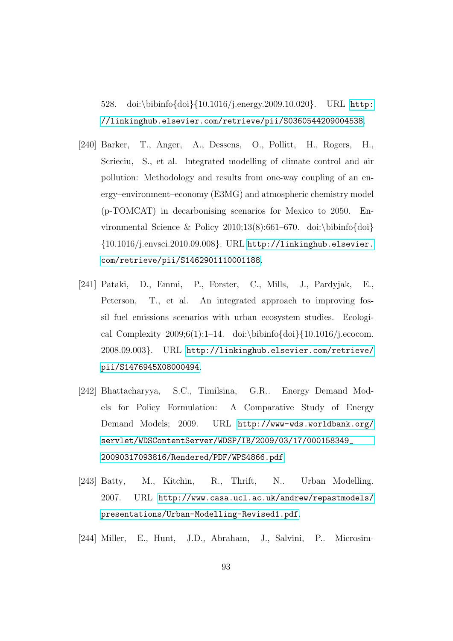528. doi:\bibinfo{doi}{10.1016/j.energy.2009.10.020}. URL [http:](http://linkinghub.elsevier.com/retrieve/pii/S0360544209004538) [//linkinghub.elsevier.com/retrieve/pii/S0360544209004538](http://linkinghub.elsevier.com/retrieve/pii/S0360544209004538).

- [240] Barker, T., Anger, A., Dessens, O., Pollitt, H., Rogers, H., Scrieciu, S., et al. Integrated modelling of climate control and air pollution: Methodology and results from one-way coupling of an energy–environment–economy (E3MG) and atmospheric chemistry model (p-TOMCAT) in decarbonising scenarios for Mexico to 2050. Environmental Science & Policy  $2010;13(8):661-670$ . doi:\bibinfo{doi} {10.1016/j.envsci.2010.09.008}. URL [http://linkinghub.elsevier.](http://linkinghub.elsevier.com/retrieve/pii/S1462901110001188) [com/retrieve/pii/S1462901110001188](http://linkinghub.elsevier.com/retrieve/pii/S1462901110001188).
- [241] Pataki, D., Emmi, P., Forster, C., Mills, J., Pardyjak, E., Peterson, T., et al. An integrated approach to improving fossil fuel emissions scenarios with urban ecosystem studies. Ecological Complexity  $2009;6(1):1-14.$  doi:\bibinfo{doi}{10.1016/j.ecocom. 2008.09.003}. URL [http://linkinghub.elsevier.com/retrieve/](http://linkinghub.elsevier.com/retrieve/pii/S1476945X08000494) [pii/S1476945X08000494](http://linkinghub.elsevier.com/retrieve/pii/S1476945X08000494).
- [242] Bhattacharyya, S.C., Timilsina, G.R.. Energy Demand Models for Policy Formulation: A Comparative Study of Energy Demand Models; 2009. URL [http://www-wds.worldbank.org/](http://www-wds.worldbank.org/servlet/WDSContentServer/WDSP/IB/2009/03/17/000158349_20090317093816/Rendered/PDF/WPS4866.pdf) [servlet/WDSContentServer/WDSP/IB/2009/03/17/000158349\\_](http://www-wds.worldbank.org/servlet/WDSContentServer/WDSP/IB/2009/03/17/000158349_20090317093816/Rendered/PDF/WPS4866.pdf) [20090317093816/Rendered/PDF/WPS4866.pdf](http://www-wds.worldbank.org/servlet/WDSContentServer/WDSP/IB/2009/03/17/000158349_20090317093816/Rendered/PDF/WPS4866.pdf).
- [243] Batty, M., Kitchin, R., Thrift, N.. Urban Modelling. 2007. URL [http://www.casa.ucl.ac.uk/andrew/repastmodels/](http://www.casa.ucl.ac.uk/andrew/repastmodels/presentations/Urban-Modelling-Revised1.pdf) [presentations/Urban-Modelling-Revised1.pdf](http://www.casa.ucl.ac.uk/andrew/repastmodels/presentations/Urban-Modelling-Revised1.pdf).
- [244] Miller, E., Hunt, J.D., Abraham, J., Salvini, P.. Microsim-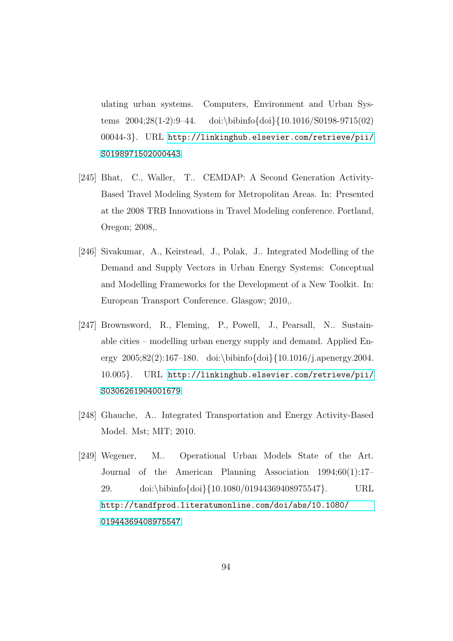ulating urban systems. Computers, Environment and Urban Systems 2004;28(1-2):9–44. doi:\bibinfo{doi}{10.1016/S0198-9715(02) 00044-3}. URL [http://linkinghub.elsevier.com/retrieve/pii/](http://linkinghub.elsevier.com/retrieve/pii/S0198971502000443) [S0198971502000443](http://linkinghub.elsevier.com/retrieve/pii/S0198971502000443).

- [245] Bhat, C., Waller, T.. CEMDAP: A Second Generation Activity-Based Travel Modeling System for Metropolitan Areas. In: Presented at the 2008 TRB Innovations in Travel Modeling conference. Portland, Oregon; 2008,.
- [246] Sivakumar, A., Keirstead, J., Polak, J.. Integrated Modelling of the Demand and Supply Vectors in Urban Energy Systems: Conceptual and Modelling Frameworks for the Development of a New Toolkit. In: European Transport Conference. Glasgow; 2010,.
- [247] Brownsword, R., Fleming, P., Powell, J., Pearsall, N.. Sustainable cities – modelling urban energy supply and demand. Applied Energy  $2005;82(2):167-180$ . doi:\bibinfo{doi}{10.1016/j.apenergy.2004. 10.005}. URL [http://linkinghub.elsevier.com/retrieve/pii/](http://linkinghub.elsevier.com/retrieve/pii/S0306261904001679) [S0306261904001679](http://linkinghub.elsevier.com/retrieve/pii/S0306261904001679).
- [248] Ghauche, A.. Integrated Transportation and Energy Activity-Based Model. Mst; MIT; 2010.
- [249] Wegener, M.. Operational Urban Models State of the Art. Journal of the American Planning Association 1994;60(1):17– 29. doi:\bibinfo{doi}{10.1080/01944369408975547}. URL [http://tandfprod.literatumonline.com/doi/abs/10.1080/](http://tandfprod.literatumonline.com/doi/abs/10.1080/01944369408975547) [01944369408975547](http://tandfprod.literatumonline.com/doi/abs/10.1080/01944369408975547).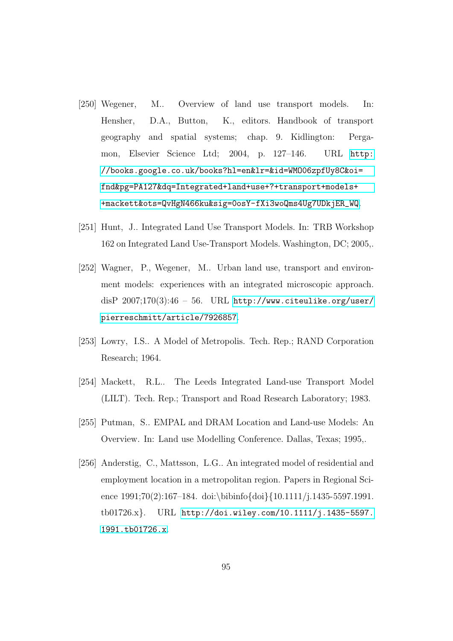- [250] Wegener, M.. Overview of land use transport models. In: Hensher, D.A., Button, K., editors. Handbook of transport geography and spatial systems; chap. 9. Kidlington: Pergamon, Elsevier Science Ltd; 2004, p. 127–146. URL [http:](http://books.google.co.uk/books?hl=en&lr=&id=WMO06zpfUy8C&oi=fnd&pg=PA127&dq=Integrated+land+use+?+transport+models++mackett&ots=QvHgN466ku&sig=0osY-fXi3woQms4Ug7UDkjER_WQ) [//books.google.co.uk/books?hl=en&lr=&id=WMO06zpfUy8C&oi=](http://books.google.co.uk/books?hl=en&lr=&id=WMO06zpfUy8C&oi=fnd&pg=PA127&dq=Integrated+land+use+?+transport+models++mackett&ots=QvHgN466ku&sig=0osY-fXi3woQms4Ug7UDkjER_WQ) [fnd&pg=PA127&dq=Integrated+land+use+?+transport+models+](http://books.google.co.uk/books?hl=en&lr=&id=WMO06zpfUy8C&oi=fnd&pg=PA127&dq=Integrated+land+use+?+transport+models++mackett&ots=QvHgN466ku&sig=0osY-fXi3woQms4Ug7UDkjER_WQ) [+mackett&ots=QvHgN466ku&sig=0osY-fXi3woQms4Ug7UDkjER\\_WQ](http://books.google.co.uk/books?hl=en&lr=&id=WMO06zpfUy8C&oi=fnd&pg=PA127&dq=Integrated+land+use+?+transport+models++mackett&ots=QvHgN466ku&sig=0osY-fXi3woQms4Ug7UDkjER_WQ).
- [251] Hunt, J.. Integrated Land Use Transport Models. In: TRB Workshop 162 on Integrated Land Use-Transport Models. Washington, DC; 2005,.
- [252] Wagner, P., Wegener, M.. Urban land use, transport and environment models: experiences with an integrated microscopic approach. disP  $2007;170(3):46 - 56$ . URL [http://www.citeulike.org/user/](http://www.citeulike.org/user/pierreschmitt/article/7926857) [pierreschmitt/article/7926857](http://www.citeulike.org/user/pierreschmitt/article/7926857).
- [253] Lowry, I.S.. A Model of Metropolis. Tech. Rep.; RAND Corporation Research; 1964.
- [254] Mackett, R.L.. The Leeds Integrated Land-use Transport Model (LILT). Tech. Rep.; Transport and Road Research Laboratory; 1983.
- [255] Putman, S.. EMPAL and DRAM Location and Land-use Models: An Overview. In: Land use Modelling Conference. Dallas, Texas; 1995,.
- [256] Anderstig, C., Mattsson, L.G.. An integrated model of residential and employment location in a metropolitan region. Papers in Regional Science 1991;70(2):167-184. doi:\bibinfo{doi}{10.1111/j.1435-5597.1991. tb01726.x}. URL [http://doi.wiley.com/10.1111/j.1435-5597.](http://doi.wiley.com/10.1111/j.1435-5597.1991.tb01726.x) [1991.tb01726.x](http://doi.wiley.com/10.1111/j.1435-5597.1991.tb01726.x).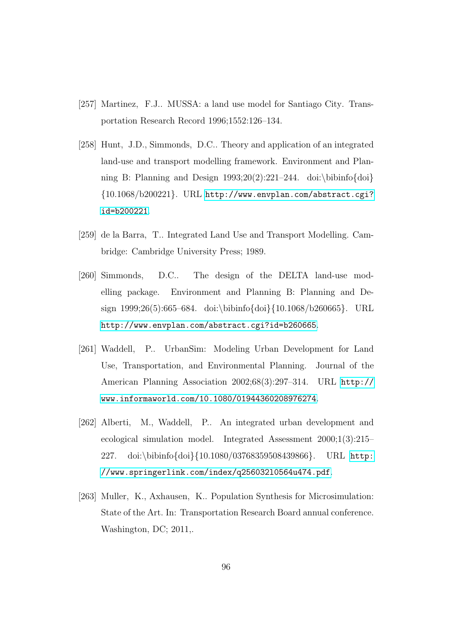- [257] Martinez, F.J.. MUSSA: a land use model for Santiago City. Transportation Research Record 1996;1552:126–134.
- [258] Hunt, J.D., Simmonds, D.C.. Theory and application of an integrated land-use and transport modelling framework. Environment and Planning B: Planning and Design  $1993;20(2):221-244.$  doi:\bibinfo{doi}  ${10.1068/b200221}$ . URL [http://www.envplan.com/abstract.cgi?](http://www.envplan.com/abstract.cgi?id=b200221) [id=b200221](http://www.envplan.com/abstract.cgi?id=b200221).
- [259] de la Barra, T.. Integrated Land Use and Transport Modelling. Cambridge: Cambridge University Press; 1989.
- [260] Simmonds, D.C.. The design of the DELTA land-use modelling package. Environment and Planning B: Planning and Design 1999;26(5):665–684. doi:\bibinfo{doi}{10.1068/b260665}. URL <http://www.envplan.com/abstract.cgi?id=b260665>.
- [261] Waddell, P.. UrbanSim: Modeling Urban Development for Land Use, Transportation, and Environmental Planning. Journal of the American Planning Association 2002;68(3):297–314. URL [http://](http://www.informaworld.com/10.1080/01944360208976274) [www.informaworld.com/10.1080/01944360208976274](http://www.informaworld.com/10.1080/01944360208976274).
- [262] Alberti, M., Waddell, P.. An integrated urban development and ecological simulation model. Integrated Assessment 2000;1(3):215– 227. doi:\bibinfo{doi}{10.1080/03768359508439866}. URL [http:](http://www.springerlink.com/index/q256032l0564u474.pdf) [//www.springerlink.com/index/q256032l0564u474.pdf](http://www.springerlink.com/index/q256032l0564u474.pdf).
- [263] Muller, K., Axhausen, K.. Population Synthesis for Microsimulation: State of the Art. In: Transportation Research Board annual conference. Washington, DC; 2011,.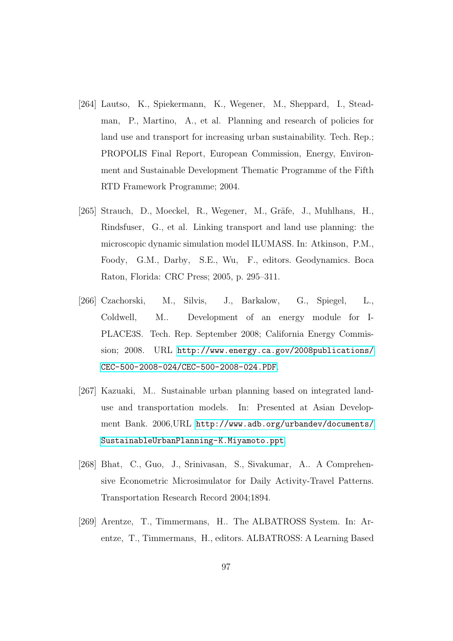- [264] Lautso, K., Spiekermann, K., Wegener, M., Sheppard, I., Steadman, P., Martino, A., et al. Planning and research of policies for land use and transport for increasing urban sustainability. Tech. Rep.; PROPOLIS Final Report, European Commission, Energy, Environment and Sustainable Development Thematic Programme of the Fifth RTD Framework Programme; 2004.
- [265] Strauch, D., Moeckel, R., Wegener, M., Gräfe, J., Muhlhans, H., Rindsfuser, G., et al. Linking transport and land use planning: the microscopic dynamic simulation model ILUMASS. In: Atkinson, P.M., Foody, G.M., Darby, S.E., Wu, F., editors. Geodynamics. Boca Raton, Florida: CRC Press; 2005, p. 295–311.
- [266] Czachorski, M., Silvis, J., Barkalow, G., Spiegel, L., Coldwell, M.. Development of an energy module for I-PLACE3S. Tech. Rep. September 2008; California Energy Commission; 2008. URL [http://www.energy.ca.gov/2008publications/](http://www.energy.ca.gov/2008publications/CEC-500-2008-024/CEC-500-2008-024.PDF) [CEC-500-2008-024/CEC-500-2008-024.PDF](http://www.energy.ca.gov/2008publications/CEC-500-2008-024/CEC-500-2008-024.PDF).
- [267] Kazuaki, M.. Sustainable urban planning based on integrated landuse and transportation models. In: Presented at Asian Development Bank. 2006,URL [http://www.adb.org/urbandev/documents/](http://www.adb.org/urbandev/documents/SustainableUrbanPlanning-K.Miyamoto.ppt) [SustainableUrbanPlanning-K.Miyamoto.ppt](http://www.adb.org/urbandev/documents/SustainableUrbanPlanning-K.Miyamoto.ppt).
- [268] Bhat, C., Guo, J., Srinivasan, S., Sivakumar, A.. A Comprehensive Econometric Microsimulator for Daily Activity-Travel Patterns. Transportation Research Record 2004;1894.
- [269] Arentze, T., Timmermans, H.. The ALBATROSS System. In: Arentze, T., Timmermans, H., editors. ALBATROSS: A Learning Based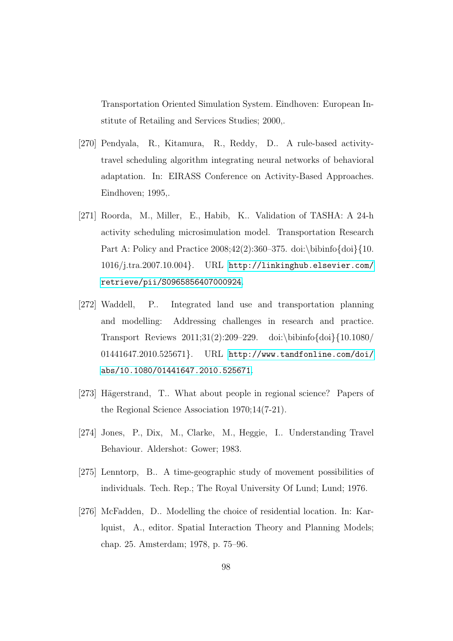Transportation Oriented Simulation System. Eindhoven: European Institute of Retailing and Services Studies; 2000,.

- [270] Pendyala, R., Kitamura, R., Reddy, D.. A rule-based activitytravel scheduling algorithm integrating neural networks of behavioral adaptation. In: EIRASS Conference on Activity-Based Approaches. Eindhoven; 1995,.
- [271] Roorda, M., Miller, E., Habib, K.. Validation of TASHA: A 24-h activity scheduling microsimulation model. Transportation Research Part A: Policy and Practice  $2008;42(2):360-375$ . doi:\bibinfo{doi}{10. 1016/j.tra.2007.10.004}. URL [http://linkinghub.elsevier.com/](http://linkinghub.elsevier.com/retrieve/pii/S0965856407000924) [retrieve/pii/S0965856407000924](http://linkinghub.elsevier.com/retrieve/pii/S0965856407000924).
- [272] Waddell, P.. Integrated land use and transportation planning and modelling: Addressing challenges in research and practice. Transport Reviews 2011;31(2):209–229. doi:\bibinfo{doi}{10.1080/ 01441647.2010.525671}. URL [http://www.tandfonline.com/doi/](http://www.tandfonline.com/doi/abs/10.1080/01441647.2010.525671) [abs/10.1080/01441647.2010.525671](http://www.tandfonline.com/doi/abs/10.1080/01441647.2010.525671).
- [273] Hägerstrand, T.. What about people in regional science? Papers of the Regional Science Association 1970;14(7-21).
- [274] Jones, P., Dix, M., Clarke, M., Heggie, I.. Understanding Travel Behaviour. Aldershot: Gower; 1983.
- [275] Lenntorp, B.. A time-geographic study of movement possibilities of individuals. Tech. Rep.; The Royal University Of Lund; Lund; 1976.
- [276] McFadden, D.. Modelling the choice of residential location. In: Karlquist, A., editor. Spatial Interaction Theory and Planning Models; chap. 25. Amsterdam; 1978, p. 75–96.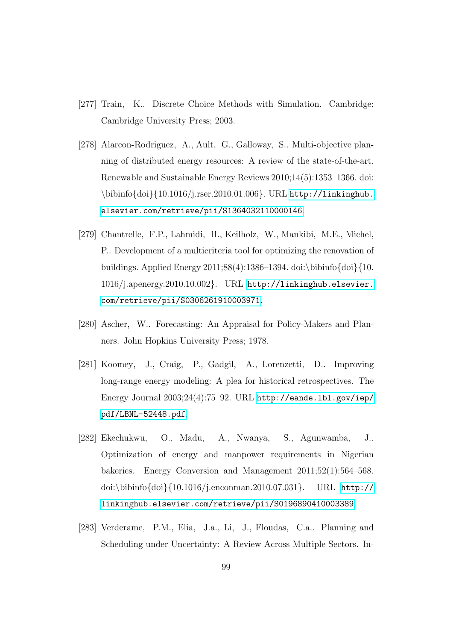- [277] Train, K.. Discrete Choice Methods with Simulation. Cambridge: Cambridge University Press; 2003.
- [278] Alarcon-Rodriguez, A., Ault, G., Galloway, S.. Multi-objective planning of distributed energy resources: A review of the state-of-the-art. Renewable and Sustainable Energy Reviews 2010;14(5):1353–1366. doi: \bibinfo{doi}{10.1016/j.rser.2010.01.006}. URL [http://linkinghub.](http://linkinghub.elsevier.com/retrieve/pii/S1364032110000146) [elsevier.com/retrieve/pii/S1364032110000146](http://linkinghub.elsevier.com/retrieve/pii/S1364032110000146).
- [279] Chantrelle, F.P., Lahmidi, H., Keilholz, W., Mankibi, M.E., Michel, P.. Development of a multicriteria tool for optimizing the renovation of buildings. Applied Energy  $2011;88(4):1386-1394. \text{doi:} \b或{doi} \{10.$ 1016/j.apenergy.2010.10.002}. URL [http://linkinghub.elsevier.](http://linkinghub.elsevier.com/retrieve/pii/S0306261910003971) [com/retrieve/pii/S0306261910003971](http://linkinghub.elsevier.com/retrieve/pii/S0306261910003971).
- [280] Ascher, W.. Forecasting: An Appraisal for Policy-Makers and Planners. John Hopkins University Press; 1978.
- [281] Koomey, J., Craig, P., Gadgil, A., Lorenzetti, D.. Improving long-range energy modeling: A plea for historical retrospectives. The Energy Journal 2003;24(4):75–92. URL [http://eande.lbl.gov/iep/](http://eande.lbl.gov/iep/pdf/LBNL-52448.pdf) [pdf/LBNL-52448.pdf](http://eande.lbl.gov/iep/pdf/LBNL-52448.pdf).
- [282] Ekechukwu, O., Madu, A., Nwanya, S., Agunwamba, J.. Optimization of energy and manpower requirements in Nigerian bakeries. Energy Conversion and Management 2011;52(1):564–568. doi:\bibinfo{doi}{10.1016/j.enconman.2010.07.031}. URL [http://](http://linkinghub.elsevier.com/retrieve/pii/S0196890410003389) [linkinghub.elsevier.com/retrieve/pii/S0196890410003389](http://linkinghub.elsevier.com/retrieve/pii/S0196890410003389).
- [283] Verderame, P.M., Elia, J.a., Li, J., Floudas, C.a.. Planning and Scheduling under Uncertainty: A Review Across Multiple Sectors. In-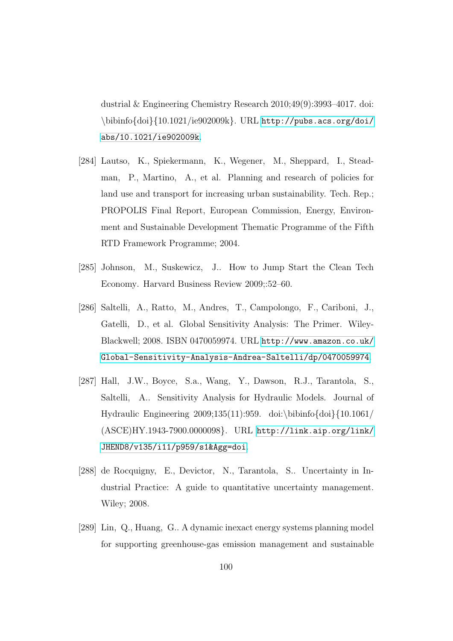dustrial & Engineering Chemistry Research 2010;49(9):3993–4017. doi: \bibinfo{doi}{10.1021/ie902009k}. URL [http://pubs.acs.org/doi/](http://pubs.acs.org/doi/abs/10.1021/ie902009k) [abs/10.1021/ie902009k](http://pubs.acs.org/doi/abs/10.1021/ie902009k).

- [284] Lautso, K., Spiekermann, K., Wegener, M., Sheppard, I., Steadman, P., Martino, A., et al. Planning and research of policies for land use and transport for increasing urban sustainability. Tech. Rep.; PROPOLIS Final Report, European Commission, Energy, Environment and Sustainable Development Thematic Programme of the Fifth RTD Framework Programme; 2004.
- [285] Johnson, M., Suskewicz, J.. How to Jump Start the Clean Tech Economy. Harvard Business Review 2009;:52–60.
- [286] Saltelli, A., Ratto, M., Andres, T., Campolongo, F., Cariboni, J., Gatelli, D., et al. Global Sensitivity Analysis: The Primer. Wiley-Blackwell; 2008. ISBN 0470059974. URL [http://www.amazon.co.uk/](http://www.amazon.co.uk/Global-Sensitivity-Analysis-Andrea-Saltelli/dp/0470059974) [Global-Sensitivity-Analysis-Andrea-Saltelli/dp/0470059974](http://www.amazon.co.uk/Global-Sensitivity-Analysis-Andrea-Saltelli/dp/0470059974).
- [287] Hall, J.W., Boyce, S.a., Wang, Y., Dawson, R.J., Tarantola, S., Saltelli, A.. Sensitivity Analysis for Hydraulic Models. Journal of Hydraulic Engineering 2009;135(11):959. doi:\bibinfo{doi}{10.1061/ (ASCE)HY.1943-7900.0000098}. URL [http://link.aip.org/link/](http://link.aip.org/link/JHEND8/v135/i11/p959/s1&Agg=doi) [JHEND8/v135/i11/p959/s1&Agg=doi](http://link.aip.org/link/JHEND8/v135/i11/p959/s1&Agg=doi).
- [288] de Rocquigny, E., Devictor, N., Tarantola, S.. Uncertainty in Industrial Practice: A guide to quantitative uncertainty management. Wiley; 2008.
- [289] Lin, Q., Huang, G.. A dynamic inexact energy systems planning model for supporting greenhouse-gas emission management and sustainable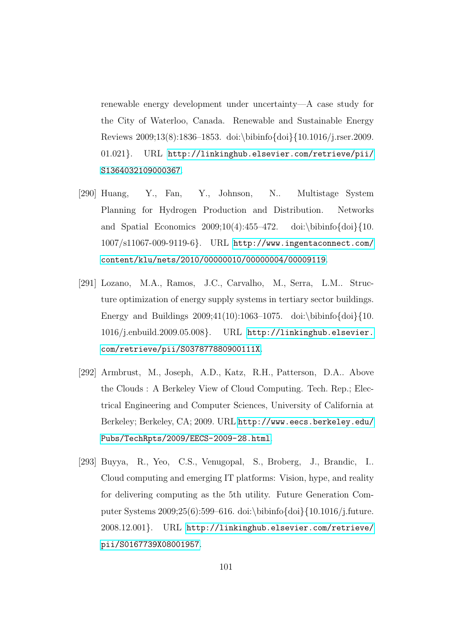renewable energy development under uncertainty—A case study for the City of Waterloo, Canada. Renewable and Sustainable Energy Reviews 2009;13(8):1836–1853. doi:\bibinfo{doi}{10.1016/j.rser.2009. 01.021}. URL [http://linkinghub.elsevier.com/retrieve/pii/](http://linkinghub.elsevier.com/retrieve/pii/S1364032109000367) [S1364032109000367](http://linkinghub.elsevier.com/retrieve/pii/S1364032109000367).

- [290] Huang, Y., Fan, Y., Johnson, N.. Multistage System Planning for Hydrogen Production and Distribution. Networks and Spatial Economics  $2009;10(4):455-472$ . doi:\bibinfo{doi}{10. 1007/s11067-009-9119-6}. URL [http://www.ingentaconnect.com/](http://www.ingentaconnect.com/content/klu/nets/2010/00000010/00000004/00009119) [content/klu/nets/2010/00000010/00000004/00009119](http://www.ingentaconnect.com/content/klu/nets/2010/00000010/00000004/00009119).
- [291] Lozano, M.A., Ramos, J.C., Carvalho, M., Serra, L.M.. Structure optimization of energy supply systems in tertiary sector buildings. Energy and Buildings  $2009;41(10):1063-1075$ . doi:\bibinfo{doi}{10. 1016/j.enbuild.2009.05.008}. URL [http://linkinghub.elsevier.](http://linkinghub.elsevier.com/retrieve/pii/S037877880900111X) [com/retrieve/pii/S037877880900111X](http://linkinghub.elsevier.com/retrieve/pii/S037877880900111X).
- [292] Armbrust, M., Joseph, A.D., Katz, R.H., Patterson, D.A.. Above the Clouds : A Berkeley View of Cloud Computing. Tech. Rep.; Electrical Engineering and Computer Sciences, University of California at Berkeley; Berkeley, CA; 2009. URL [http://www.eecs.berkeley.edu/](http://www.eecs.berkeley.edu/Pubs/TechRpts/2009/EECS-2009-28.html) [Pubs/TechRpts/2009/EECS-2009-28.html](http://www.eecs.berkeley.edu/Pubs/TechRpts/2009/EECS-2009-28.html).
- [293] Buyya, R., Yeo, C.S., Venugopal, S., Broberg, J., Brandic, I.. Cloud computing and emerging IT platforms: Vision, hype, and reality for delivering computing as the 5th utility. Future Generation Computer Systems 2009;25(6):599–616. doi:\bibinfo{doi}{10.1016/j.future. 2008.12.001}. URL [http://linkinghub.elsevier.com/retrieve/](http://linkinghub.elsevier.com/retrieve/pii/S0167739X08001957) [pii/S0167739X08001957](http://linkinghub.elsevier.com/retrieve/pii/S0167739X08001957).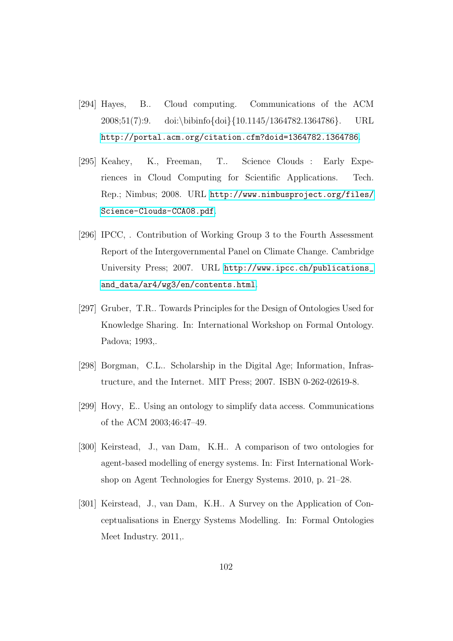- [294] Hayes, B.. Cloud computing. Communications of the ACM 2008;51(7):9. doi:\bibinfo{doi}{10.1145/1364782.1364786}. URL <http://portal.acm.org/citation.cfm?doid=1364782.1364786>.
- [295] Keahey, K., Freeman, T.. Science Clouds : Early Experiences in Cloud Computing for Scientific Applications. Tech. Rep.; Nimbus; 2008. URL [http://www.nimbusproject.org/files/](http://www.nimbusproject.org/files/Science-Clouds-CCA08.pdf) [Science-Clouds-CCA08.pdf](http://www.nimbusproject.org/files/Science-Clouds-CCA08.pdf).
- [296] IPCC, . Contribution of Working Group 3 to the Fourth Assessment Report of the Intergovernmental Panel on Climate Change. Cambridge University Press; 2007. URL [http://www.ipcc.ch/publications\\_](http://www.ipcc.ch/publications_and_data/ar4/wg3/en/contents.html) [and\\_data/ar4/wg3/en/contents.html](http://www.ipcc.ch/publications_and_data/ar4/wg3/en/contents.html).
- [297] Gruber, T.R.. Towards Principles for the Design of Ontologies Used for Knowledge Sharing. In: International Workshop on Formal Ontology. Padova; 1993,.
- [298] Borgman, C.L.. Scholarship in the Digital Age; Information, Infrastructure, and the Internet. MIT Press; 2007. ISBN 0-262-02619-8.
- [299] Hovy, E.. Using an ontology to simplify data access. Communications of the ACM 2003;46:47–49.
- [300] Keirstead, J., van Dam, K.H.. A comparison of two ontologies for agent-based modelling of energy systems. In: First International Workshop on Agent Technologies for Energy Systems. 2010, p. 21–28.
- [301] Keirstead, J., van Dam, K.H.. A Survey on the Application of Conceptualisations in Energy Systems Modelling. In: Formal Ontologies Meet Industry. 2011,.